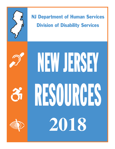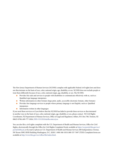The New Jersey Department of Human Services (NJ DHS) complies with applicable Federal civil rights laws and does not discriminate on the basis of race, color, national origin, age, disability, or sex. NJ DHS does not exclude people or treat them differently because of race, color, national origin, age, disability, or sex. The NJ DHS:

- **•** Provides free aids and services to people with disabilities to communicate effectively with us, such as: Qualified sign language interpreters
- **In Written information in other formats (large print, audio, accessible electronic formats, other formats)**
- **•** Provides free language services to people whose primary language is not English, such as: Qualified interpreters
- **Information written in other languages**

If you need these services or if you believe that the NJ DHS has failed to provide these services or discriminated in another way on the basis of race, color, national origin, age, disability, or sex, please contact: NJ Civil Rights Coordinator, NJ Department of Human Services, Office of Legal and Regulatory Affairs, P.O. Box 700, Trenton, NJ 08625-0700, 609-777-2026, DHS-CO.OLRA@dhs.state.nj.us.

You can also file a civil rights complaint with the U.S. Department of Health and Human Services, Office for Civil Rights, electronically through the Office for Civil Rights Complaint Portal, available at https://ocrportal.hhs.gov/ocr/ portal/lobby.jsf, or by mail or phone at: U.S. Department of Health and Human Services 200 Independence Avenue, SW Room 509F, HHH Building Washington, D.C. 20201 1-800-368-1019, 800-537-7697 (TDD) Complaint forms are available at http://www.hhs.gov/ocr/office/file/index.html.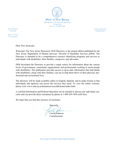

PHIL MURPHY *Governor*

**SHEILA OLIVER** *Lt. Governor*

CAROLE **JOHNSON** *Commissioner*

Dear New Jerseyans:

Welcome! The New Jersey Resources 2018 Directory is the annual edition published by the New Jersey Department of Human Services' Division of Disability Services (DDS). The Directory is intended to be a comprehensive resource identifying programs and services to individuals with disabilities, their families, caregivers, and advocates.

DDS developed the Directory to provide a single source for information about the various levels of government, community organizations and professionals working to assist people with disabilities. The publication provides access to up-to-date information that individuals with disabilities, along with their families, can use to help them thrive in their physical, professional and recreational lives.

The directory will be made available online in English, Spanish, and in audio format so that individuals and agencies can access the services they need. To view the online versions, please visit: www.state.nj.us/humanservices/dds/home/index.html

A certified Information and Referral Specialist can be reached to discuss any individual concerns and can provide direct assistance by phone at 1-888-285-3036 (toll free).

We hope that you find this resource of assistance.

 Sincerely, Carole/Johnson

**Commissioner**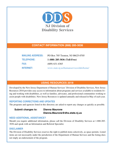

## **CONTACT INFORMATION (888) 285-3036**

| <b>MAILING ADDRESS:</b> | PO Box 705 Trenton, NJ 08625-0705       |
|-------------------------|-----------------------------------------|
| <b>TELEPHONE:</b>       | 1 (888) 285-3036 (Toll-Free)            |
| <b>FAX:</b>             | $(609)$ 631-4365                        |
| <b>INTERNET:</b>        | www.state.nj.us/humanservices/dds/home/ |

## **USING RESOURCES 2018**

Developed by the New Jersey Department of Human Services' Division of Disability Services, New Jersey Resources 2018 provides easy access to information about programs and services available to residents living and working with disabilities, as well as families, advocates, and professional communities working to assist people with disabilities. New Jersey Resources is updated annually and released in May of each year.

## **REPORTING CORRECTIONS AND UPDATES**

The programs and agencies listed in this directory are asked to report any changes as quickly as possible.

## **Submit changes to: Dianna Maurone Dianna.Maurone@dhs.state.nj.us**

## **NEED ADDITIONAL ASSISTANCE?**

Should you require additional information, please call the Division of Disability Services at 1-888-285- 3036 and speak with an Information and Referral Specialist.

## **DISCLAIMER**

The Division of Disability Services reserves the right to publish items selectively, as space permits. Listed items are not necessarily under the jurisdiction of the Department of Human Services and the listing does not imply an endorsement of the program.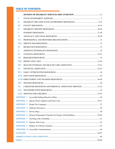## **TABLE OF CONTENTS**

| $\mathbb T$             |         |  |
|-------------------------|---------|--|
| П                       |         |  |
| Ш                       |         |  |
| IV                      |         |  |
| $\mathbf{V}$            |         |  |
| <b>VI</b>               |         |  |
| <b>VII</b>              |         |  |
| <b>VIII</b>             |         |  |
| $\mathbf{I} \mathbf{X}$ |         |  |
| $\mathbf{X}$            |         |  |
| XI                      |         |  |
| XII                     |         |  |
| <b>XIII</b>             |         |  |
| <b>XIV</b>              |         |  |
| XV                      |         |  |
| <b>XVI</b>              |         |  |
|                         |         |  |
|                         |         |  |
| <b>XIX</b>              |         |  |
| XX                      |         |  |
| <b>XXI</b>              |         |  |
|                         |         |  |
|                         |         |  |
| <b>APPENDIX 2</b>       |         |  |
| <b>APPENDIX 3</b>       |         |  |
| <b>APPENDIX 4</b>       |         |  |
| <b>APPENDIX 5</b>       |         |  |
| <b>APPENDIX 6</b>       |         |  |
| <b>APPENDIX 7</b>       |         |  |
| <b>APPENDIX 8</b>       |         |  |
|                         |         |  |
|                         |         |  |
| <b>GLOSSARY</b>         | $64-67$ |  |
|                         |         |  |
|                         |         |  |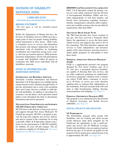# DIVISION OF DISABILITY SERVICES (DDS)

## 1-888-285-3036

www.state.nj.us/humanservices/dds/home/

## **MISSION STATEMENT**

*"The first place to call for disability-related information."*

Within the Department of Human Services, the Division of Disability Services (DDS) provides a single point of entry for people seeking disability related information in New Jersey. DDS works to streamline access to services and information that promote and enhance independent living for individuals with all disabilities by facilitating coordination and cooperation among local, county, and state government agencies. DDS promotes maximum independence and the full participation of people with disabilities within all aspects of community life. DDS serves individuals with all disabilities, statewide.

## **OFFICE OF INFORMATION AND ASSISTANCE SERVICES**

#### **Information and Referral Services**

Nationally Certified Information and Referral Specialists (I & R Specialists) are available during regular business hours, Monday through Friday, to provide information and to assist with navigating State and County Services available to individuals with disabilities. In addition to providing live assistance over the phone, I  $&R$  specialists attend public events throughout the State to disseminate information and answer questions.

#### **Managed Long Term Services and Supports (MLTSS) Enrollment Assistance**

MLTSS refers to the delivery of long-term services and supports through New Jersey Medicaid's NJ FamilyCare program. MLTSS is designed to provide the long term supports and services individuals need to remain in the community for as long as possible. DDS I & R Specialists initiate assessments for the determination of MLTSS eligibility for children, 20 years old and younger, who are not otherwise eligible for NJ Medicaid. (For more information on MLTSS, see page 8)

#### **DDD/DDS Case Management Collaboration**

DDS' I & R Specialists remain the primary contact for some adults registered with the Division of Developmental Disabilities (DDD) who live, either independently or with their families, and benefit from information regarding insurance, benefits, transportation, education, future employment and available resources that are provided by organizations other than DDD.

#### **Traumatic Brain Injury Fund**

The TBI Fund provides New Jersey residents of any age, who have survived a Traumatic Brain Injury, the opportunity to access the brain injury related services and supports they need to live in the community. The Fund subsidizes supports and services to foster independence and maximize quality of life when insurance, personal resources, and/or public programs are unavailable to meet those needs.

### **Personal Assistance Services Program (PASP)**

PASP is a supplemental personal care program designed for New Jersey residents, ages 18 to 70, who have a permanent physical disability, are capable of directing their own services, and are either employed, preparing for employment, involved in community volunteer work, or attending school. PASP allows consumers to receive up to 40 hours of service per week, therefore enabling them to maintain their independence in the community. Personal assistants help with such tasks as light housekeeping, bathing, dressing, meal preparation and shopping. (See Page 51)

#### **Personal Preference Program (PPP)**

This program is now administered by the Division of Medical Assistance and Health Services (DMAHS). (See Page 51)

#### **SPECIAL PROJECTS AND INITIATIVES**

#### **NJ Workability**

The WorkAbility program offers people with disabilities who are working and whose income would otherwise make them ineligible for NJ Familycare the opportunity to pay a small premium and receive full NJ Medicaid coverage. People with disabilities who are employed and are between the ages of 16 and 64 can qualify for the program with an annual gross earned income of up to approximately \$61,500. (See Page 49)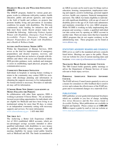### **Disability Health and Wellness Initiatives (DH&W)**

The DH&W program, funded by various grant programs, works to collaborate with policy makers, health educators, public and private agencies, and experts in the field of health and wellness on projects that promote healthy living and prevention of secondary conditions for people with disabilities. The Division continuously seeks funding for initiatives that will help meet those needs. Recent project topics have included the following: *Addressing Violence Against Women with Disabilities, Emergency Food Provider Accessibility Project, Emergency Planning and Disaster Preparedness for People with Disabilities, and a Health & Wellness Guide*.

#### **Access and Functional Needs (AFN)**

Within the Department of Human Services, DDS serves as the lead for implementation of emergency preparedness and disaster response, recovery, and mitigation efforts that are inclusive of people with disabilities and others with access and functional needs. DDS provides guidance, tools, methods and strategies to assist in establishing equal physical, program, and communication access.

## **Community Discharge Initiative**

Individuals in hospitals or nursing homes wishing to return to the community may contact DDS for assistance with discharge planning and information in obtaining the supports necessary to live independently. No formal referral is necessary. Providers or individuals may call for information.

#### **I Choose Home New Jersey (also known as Money Follows the Person)**

In collaboration with other State agencies, DDS is working to promote I Choose Home – NJ, an initiative focused on providing opportunities for individuals who are eligible for Medicaid and have been living in an institutional setting for more than 90 days, to return to an independent community setting with necessary supports and services. For more information: www.ichoosehome.nj.gov 1-855-466-3005

#### **The Able Act**

The Achieving a Better Life Experience (ABLE) Act of 2014 established ABLE accounts, which are tax-advantaged savings accounts intended to allow qualified individuals with disabilities to save money for qualified disability related expenses, while still meeting eligibility for means tested public benefits such as Medicaid and SSI. The funds accumulated in

an ABLE account can be used to pay for things such as education, housing, transportation, employment training and support, assistive technology, personal support services, health care expenses, financial management, and more. The ABLE Act limits eligibility to individuals with significant disabilities, with an age of onset of disability prior to the age of 26. Each state administers and maintains ownership of its own ABLE program. While NJ DHS is working on fully implementing this program and securing a vendor, a qualified individual can take action now by opening an ABLE account in another state. There are many states that have launched ABLE programs that do not require residency in the administering state. These programs can be found at www.ablenrc.org.

## **STATUTORY ADVISORY BOARDS AND COUNCILS**

DDS serves as staff to the mandated advisory councils listed below. Meetings are open to the public. Please visit our website for a list of current meeting dates and locations: www.state.nj.us/humanservices/dds/home/

## **Traumatic Brain Injury Advisory Council**

The TBI Council holds quarterly public meetings to advise the Department of Human Services of issues relevant to brain injury services.

## **Personal Assistance Services Advisory Council**

The PASP advisory Council meets quarterly to serve as a means for consumers to offer feedback that is used to review and evaluate the effectiveness of the PASP program and to recommend changes on a statewide level.

#### **PUBLICATIONS**

DDS publishes several guides/informational brochures which are available to you free of charge, including *New Jersey Resources* and the *New Jersey Guide to Accessible Parking.* Most publications are available in English and Spanish. Please contact us at **1-888-285- 3036** to request a guide by mail or visit our website at: www.state.nj.us/humanservices/dds/home/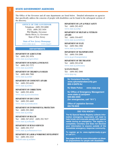## STATE GOVERNMENT AGENCIES

I

The Office of the Governor and all state departments are listed below. Detailed information on agencies that specifically address the concerns of people with disabilities can be found in the subsequent sections of the directory.

**OFFICE OF THE GOVERNOR** Telephone: (609) 292-6000 FAX: (609) 292-3454 Phil Murphy, Governor Sheila Oliver, Lt. Governor State of New Jersey

**State of New Jersey Homepage** www.state.nj.us www.nj.gov

#### **DEPARTMENTS**

**DEPARTMENT OF AGRICULTURE** Tel: (609) 292-3976 www.state.nj.us/agriculture

**DEPARTMENT OF BANKING & INSURANCE** Tel: (609) 292-7272 www.state.nj.us/dobi

**DEPARTMENT OF CHILDREN & FAMILIES** Tel: (609) 888-7900 www.state.nj.us/dcf

**DEPARTMENT OF COMMUNITY AFFAIRS** Tel: (609) 292-6420 www.state.nj.us/dca

**DEPARTMENT OF CORRECTIONS** Tel: (609) 292-4036 www.state.nj.us/corrections

**DEPARTMENT OF EDUCATION** Tel: (609) 292-4469 www.state.nj.us/education

**DEPARTMENT OF ENVIRONMENTAL PROTECTION** Tel: (609) 292-2885 www.state.nj.us/dep

**DEPARTMENT OF HEALTH** Tel: (800) 367-6543 (609) 292-7837 www.state.nj.us/health

**DEPARTMENT OF HUMAN SERVICES** Tel: (609) 292-3717 www.state.nj.us/humanservices

**DEPARTMENT OF LABOR & WORKFORCE DEVELOPMENT** Tel: (609) 292-2323 lwd.dol.state.nj.us/labor

**DEPARTMENT OF LAW & PUBLIC SAFETY** Tel: (609) 292-4925 www.state.nj.us/lps

**DEPARTMENT OF MILITARY & VETERANS AFFAIRS** Tel: (609) 530-6957 www.state.nj.us/military

**DEPARTMENT OF STATE** Tel: (609) 984-1900 www.state.nj.us/state

**DEPARTMENT OF TRANSPORTATION** Tel: (609) 530-2000 www.nj.gov/transportation

**DEPARTMENT OF THE TREASURY** Tel: (609) 292-6748 www.state.nj.us/treasury

**NJ STATE POLICE**  Tel: (609) 882-2000 www.njsp.org

> **NJ Homeland Security** *www.njhomelandsecurity.gov* **866-4-SAFE-NJ**

**NJ State Police** *www.njsp.org*

**NJ Office of Emergency Management** *www.state.nj.us/njoem* **609-882-2000 (for emergencies, call "911")**

**Office of Legislative Services 800-792-8630**

#### **DID YOU KNOW?**

**The NJ Special Needs Registry collects information emergency responders will need to help locate and evacuate people with special needs during an emergency. The registry is completely voluntary and does not disclose your information to anyone outside of the immediate emergency response community.** 

**To register go to:** *www.registerready.nj.gov* **or call 211.** 

**See pages 59-60 for more information on disaster preparedness for people with disabilities.**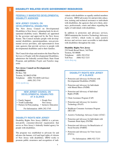## **FEDERALLY MANDATED DEVELOPMENTAL DISABILITY AGENCIES**

## **NEW JERSEY COUNCIL ON DEVELOPMENTAL DISABILITIES**

The New Jersey Council on Developmental Disabilities is New Jersey's planning body for developmental disability issues. Members are appointed by the governor and approved by the New Jersey Senate. The Council includes people with developmental disabilities, parents/guardians, non-governmental service providers, and representatives from state agencies that provide services to people with developmental disabilities and to their families.

The Council develops and monitors the State Plan for Services to People with Developmental Disabilities, administers the federally assisted Basic State Grant Program, and publishes *People and Families* magazine.

#### **New Jersey Council on Developmental Disabilities**

PO Box 700 Trenton, NJ 08625-0700 Telephone: (800) 792-8858 (toll free) (609) 292-3745 www.njcdd.org

## **NEW JERSEY COUNCIL ON DEVELOPMENTAL DISABILITIES AT A GLANCE**

- Family Support People First<br>• Youth Leadership New Jersey
	-
- $\bullet$  Youth Leadership
- 
- 
- Partners In Policymaking Inclusive Education

For Information: (609) 292-3745

#### **DISABILITY RIGHTS NEW JERSEY**

Disability Rights New Jersey (DRNJ) is a private, non-profit, consumer-directed organization that serves as New Jersey's federally funded agency for people with disabilities.

The program was established to advocate for and advance the human, civil and legal rights of citizens of New Jersey with disabilities. DRNJ works to promote public awareness and recognition of individuals with disabilities as equally entitled members of society. DRNJ advocates for and provides education, training and technical assistance to individuals with disabilities, the agencies that serve them, attorneys, professionals, courts and others regarding the rights of individuals with disabilities.

In addition to protection and advocacy services, DRNJ maintains the Assistive Technology Advocacy Center (ATAC), which works to make assistive devices and services more accessible to individuals with disabilities throughout the state.

#### **Disability Rights New Jersey**

210 South Broad Street, 3rd Floor Trenton, NJ 08608 Telephone: (609) 292-9742 Toll Free: (800) 922-7233 www.drnj.org

## **DISABILITY RIGHTS NEW JERSEY AT A GLANCE**

- Protection and Advocacy for Persons with Developmental Disabilities (PADD)
- Protection and Advocacy for Individuals with Mental Illness (PAIMI)
- Protection and Advocacy of Individual Rights (PAIR)
- Client Assistance Program (CAP)
- Protection and Advocacy for Assistive Technology (PAAT)
- Healthcare Consumer Assistance Program (HCCAP)
- Assistive Technology Advocacy Center (ATAC)
- Protection and Advocacy for Individuals with Traumatic Brain Injury (PATBI)
- Protection and Advocacy for Beneficiaries of Social Security (PABSS)
- Protection and Advocacy for Voter Access (PAVA)

For Information: (800) 922-7233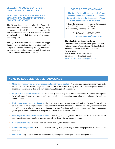## **ELIZABETH M. BOGGS CENTER ON DEVELOPMENTAL DISABILITIES**

#### **"A UNIVERSITY CENTER FOR EXCELLENCE IN DEVELOPMENTAL DISABILITIES EDUCATION, RESEARCH, AND SERVICE"**

The Boggs Center, as a University Center for Excellence in Developmental Disabilities, values uniqueness and individuality and promotes the self-determination and full participation of people with disabilities and their families in all aspects of community life.

Through partnerships and collaborations, the Boggs Center prepares students through interdisciplinary programs, provides community training and technical assistance, conducts research, and disseminates information and educational materials.

## **BOGGS CENTER AT A GLANCE**

**The Boggs Center addresses the needs of communities, people with disabilities, and families through training and the dissemination of information and research in the focus areas of:**

- Early Intervention Self-Determination and Education • Employment
	-
	-
- Community Supports Health

For Information: (732) 235-9300 www.rwjms.rutgers.edu/boggscenter

**The Elizabeth M. Boggs Center on Developmental Disabilities/Rutgers University** Rutgers Robert Wood Johnson Medical School 335 George Street, Suite 3500 3rd Floor PO Box 2688 New Brunswick, NJ 08901-2688 Telephone: (732) 235-9300 www.rwjms.rutgers.edu/boggscenter/

## **KEYS TO SUCCESSFUL SELF-ADVOCACY**

- 0 **Make sure you have an accurate understanding of what is needed**  When seeking equipment or services, make sure you have all the details and product information. If insurance is being used, ask if there are preset guidelines or requisite information. This will save time during the application process.
- 0 **Be prepared to assist professionals**  Your family doctor may have limited experience in writing prescriptions for wheelchairs. Discuss your needs, and give as much detail as possible about what you are looking for and your specific needs.
- 0 **Understand your insurance benefits**  Review the terms of each program and policy. Pay careful attention to co-pays, service limits, replacement, and equipment ownership. These issues become especially important for parents with children, who will outgrow equipment, or whose functional abilities may change with time. Understand your rights to appeal an insurance company's decision in the event of a denial.
- 0 **Seek help from others who have succeeded**  Peer support is the greatest tool to an advocate. The information that you get from peers can be priceless. Learn from those who have done it before.
- 0 **Keep accurate notes**  Include dates, all contact names, and phone numbers.
- 0 **Understand the process**  Most agencies have waiting lists, processing periods, and paperwork to be done. This takes time.
- **Follow up** Stay vigilant and work collaboratively with your service providers to meet your needs.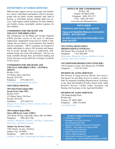## **DEPARTMENT OF HUMAN SERVICES**

DHS provides support services for people with disabilities, seniors, individuals and families with low incomes; people who are blind, visually impaired, deaf, hard of hearing, or deaf-blind; parents needing child care services, child support and/or healthcare for their children; and families facing catastrophic medical expenses for their children.

## **COMMISSION FOR THE BLIND AND VISUALLY IMPAIRED (CBVI)**

The Commission for the Blind and Visually Impaired (CBVI) provides services in the areas of education, employment, independent living and eye health to individuals who are blind or vision impaired, their families and the community. CBVI's programs are designed to enable individuals to achieve full inclusion and integration in society through success in employment, independent living, and social self-sufficiency. Services are made available through State and Federal funding and for the most part, are provided free of charge to residents of New Jersey.

## **COMMISSION FOR THE BLIND AND VISUALLY IMPAIRED (CBVI) - CENTRAL OFFICE**

PO Box 47017 153 Halsey Street, 6th Floor Newark, NJ 07101 Telephone: (973) 648-3333 www.state.nj.us/humanservices/cbvi

## **CBVI FIELD OFFICES:**

#### **CBVI Metro/Northern Region Office**

**Newark Service Center (NSC):** PO Box 47017 153 Halsey Street, 5th Floor Newark, NJ 07101 Telephone: (973) 648-2111 (Bergen, Essex, Hudson, Morris, Passaic, Sussex, and Warren counties)

## **CBVI Southern Region Office**

**Cherry Hill Service Center (CHSC):** 2201 Route 38 East, Suite 600, Cherry Hill, NJ 08002 Telephone: (856) 482-3700 (Atlantic, Burlington, Camden, Cape May, Cumberland, Gloucester, and Salem counties)

## **Atlantic City Services Center**

1300 Atlantic Avenue, 3rd Floor Atlantic City, NJ 08401 Telephone: (609) 441-3074 (Atlantic, Cape May, Cumberland, and Salem counties)

#### **OFFICE OF THE COMMISSIONER**

PO Box 700 Trenton, NJ 08625-0700 Telephone: (609) 292-3717 FAX: (609) 292-3824 www.state.nj.us/humanservices

### **HOTLINES**

**PAAD/Senior Gold Hotline (800) 792-9745**

**Aging and Disability Resource Connection (ADRC) (877) 222-3737**

**NJ DHS Long Term Care Information Line (844) 646-5347** 

#### **CBVI CENTRAL REGION OFFICE FREEHOLD SERVICE CENTER (FSC):**

100 Daniels Way, Freehold, NJ 07728 Telephone: (732) 308-4001 (Hunterdon, Monmouth, Mercer, Middlesex, Ocean, Somerset, and Union counties)

#### **CBVI JOSEPH KOHN REHABILITATION CENTER (JKRC)**

130 Livingston Avenue, New Brunswick, NJ 08901 Telephone: (732) 937-6363

#### **DIVISION OF AGING SERVICES**

The Division of Aging Services (DoAS), New Jersey's lead agency for providing services to seniors, is responsible for programs including Pharmaceutical Assistance to the Aged and Disabled (PAAD), Senior Gold, Adult Protective Services, Lifeline Utility Assistance, and Hearing Aid Assistance to the Aged and Disabled.

#### **DIVISION OF AGING SERVICES**

12D Quakerbridge Plaza PO Box 807 Trenton, NJ 08625-0807 Telephone: (800) 792-8820 www.aging.nj.gov

## **Division of Aging Services at a Glance**

- PAAD/Senior Gold
- Managed Long Term Services and Supports (MLTSS)
- Aging and Disability Resource Connection (ADRC) / Area Agency on Aging (AAA)
- Alzheimer's Day Services
- Adult Protective Services
- Lifeline Utility Assistance
- State Health Insurance Program (SHIP)
- Specified Low Income Medicare Beneficiary (SLMB)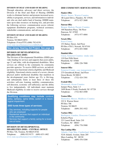#### **DIVISION OF DEAF AND HARD OF HEARING**

Through education, advocacy and direct services, the Division of the Deaf and Hard of Hearing (DDHH) works to eliminate barriers and promote increased accessibility to programs, services, and information to individuals who are deaf and/or hard of hearing. DDHH maintains up-to-date resources on hearing loss, and provides the following services: communication access referral, equipment distribution programs, technical assistance, stakeholder communications, and advocacy.

#### **DIVISION OF DEAF AND HARD OF HEARING**

PO Box 074 Trenton, NJ 08625-0074 Telephone (Voice/TTY):(800) 792-8339 www.state.nj.us/humanservices/ddhh/home

**New Jersey Hearing Aid Project, See page 38**

## **DIVISION OF DEVELOPMENTAL DISABILITIES (DDD)**

The Division of Developmental Disabilities (DDD) provides funding for services and supports that assist adults, age 21 and older, with developmental disabilities. Most services are offered in the community by community provider agencies. To receive DDD services, an individual must meet functional criteria eligibility and Medicaid eligibility. Functional criteria consist of a severe, chronic physical and/or intellectual disability that manifests in the developmental years (before age 22), is life-long, and substantially limits at least three of these life activities: self-care, learning, mobility, communication, self-direction, economic self-sufficiency and the ability to live independently. All individuals must maintain Medicaid eligibility in order to receive services through the Division.

**Qualifying conditions may include** cerebral palsy, epilepsy, spina bifida, autism or a neurological impairment.

#### **DDD funds three types of services:**

- Day services, including supports for people who are employed
- Residential services that support an individual in the community
- Services that support a family caring for a loved one at home

## **DIVISION OF DEVELOPMENTAL DISABILITIES (DDD) - CENTRAL OFFICE**

PO Box 726, Trenton, NJ 08625-0726 Telephone: (800) 832-9173 (609) 633-1482 www.state.nj.us/humanservices/ddd/home

#### **DDD COMMUNITY SERVICES OFFICES:**

#### **Flanders Office**

Morris, Sussex, Warren Counties 1B Laurel Drive, Flanders, NJ 07836 Telephone: (973) 927-2600

#### **Paterson Office**

Bergen, Hudson, Passaic Counties 100 Hamilton Plaza, 7th Floor Paterson, NJ 07505 Telephone: (973) 977-4004

#### **Newark Office**

Essex County 153 Halsey Street, 2nd Floor PO Box 47013, Newark, NJ 07101 Telephone: (973) 693-5080

#### **Plainfield Office**

Union, Somerset Counties- intake only

110 East Fifth Street Plainfield, NJ 07060 Telephone: (908) 226-7800

#### **Somerset Office**

Somerset County- case management only 275 Greenbrook Road, 2nd Floor Green Brook, NJ 08812 Telephone: (732) 424-3301

### **Freehold Office**

## Monmouth, Ocean Counties

Juniper Plaza, Suite 1-J 3499 Route 9 North, Freehold, NJ 07728 Telephone: (732) 863-4500

#### **Trenton Office**

Hunterdon, Mercer, Middlesex Counties 222 S. Warren Street PO Box 706 Trenton, NJ 08625 Telephone: (609) 292-1922

#### **Voorhees Office**

#### Burlington, Camden, Gloucester Counties

Echelon Plaza 221 Laurel Road, Suite 210 Voorhees, NJ 08043 Telephone: (856) 770-5900

### **Mays Landing Office**

Atlantic, Cape May, Cumberland, Salem Counties 5218 Atlantic Avenue, Suite 205 Mays Landing, NJ 08330 Telephone: (609) 476-5200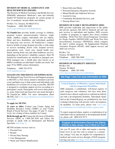## **DIVISION OF MEDICAL ASSISTANCE AND HEALTH SERVICES (DMAHS)**

The Division of Medical Assistance and Health Services (DMAHS) administers Medicaid's state and federally funded NJ FamilyCare programs for certain groups of low- to moderate- income adults and children

PO Box 712, Trenton, NJ 08625-0712 Telephone: (609) 588-2600 www.nj.gov/humanservices/dmahs/home

**NJ FamilyCare** provides health coverage to children, pregnant women, parents/caretaker relatives, single adults, childless couples, individuals who are elderly, blind, and have disabilities, and individuals qualified for long-term care services. NJ FamilyCare's comprehensive health coverage program provides a wide-range of services including: doctor visits, hospital services, prescriptions, tests, vision care, mental health care, dental, nursing home care and other healthcare services, depending on the person's eligibility category. Most NJ FamilyCare beneficiaries are enrolled in managed care. With managed care, a health plan (also known as an HMO) coordinates an individual's health care needs. See page 39 for HMO contact information.

Telephone: (800) 701-0710 www.njfamilycare.org

### **MANAGED LONG TERM SERVICES AND SUPPORTS (MLTSS)**

The Managed Long Term Services and Supports program or MLTSS is a New Jersey initiative intended to provide a new and better way to help seniors and individuals with disabilities live at home for as long as possible. MLTSS is designed to coordinate support services according to a participant's needs. Participants will receive their primary, acute, behavioral and long-term care needs through a NJ FamilyCare HMO. For more information about MLTSS, visit: www.nj.gov/humanservices/dmahs/home/ mltss.html

#### **To apply for MLTSS:**

**21 years or older:** Contact your County Aging and Disability Resource Center (ADRC) or your County Board of Social Services. See pages 19 and 17, respectively, for a listing of those numbers by County.

**Birth through age 20:** Contact the Division of Disability Services (DDS) at 1-888-285-3036 and follow the prompts to speak with an Information and Referral Specialist. (See Page 1)

MLTSS includes services such as:

- **•** Personal Care
- **•** Respite
- **•** Private Duty Nursing
- **•** Care Management
- **•** Home and Vehicle Modifications
- **•** Home Delivered Meals
- **•** Personal Emergency Response Systems
- **•** Mental Health and Addiction Services
- **•** Assisted Living
- **•** Community Residential Services; and
- **•** Nursing Home Care

## **DIVISION OF FAMILY DEVELOPMENT (DFD)**

DFD provides leadership and supervision to the public and private agencies that deliver financial aid and support services to individuals and families. DFD oversees a number of programs to support New Jersey residents including: Work First New Jersey/Temporary Assistance for Needy Families (WFNJ/TANF) and Work First New Jersey/General Assistance (WFNJ/GA) which comprise the state's welfare program, NJ Supplemental Nutrition Assistance Program (SNAP), child support services and child care services.

PO Box 716

Trenton, NJ 08625-0716 Telephone: (609) 588-2400 www.state.nj.us/humanservices/dfd/home

## **DIVISION OF DISABILITY SERVICES**

PO Box 705 Trenton, NJ 08625 Telephone: (888) 285-3036 www.state.nj.us/humanservices/dds/home

**See Page 1 and 2 for more information on DDS**

## **Central Registry of Offenders Against Individuals with Developmental Disabilities**

DHS maintains a confidential, web-based registry of paid caregivers and volunteers who have been determined to have abused, neglected or exploited an individual with a developmental disability. Individuals identified on the Central Registry are prohibited by law from working/volunteering with persons with a developmental disability. To learn more, please visit: www.state. nj.us/humanservices/staff/opia/central\_registry.html

To report suspected abuse, neglect, or exploitation of an individual with an intellectual or developmental disability, please call: (800) 832-9173.

## **Program of All-Inclusive Care for the Elderly (PACE) in New Jersey: Can It Work for You?**

Are you 55 years old or older and require a nursing home level of care but wish to remain in a community setting? You may be eligible for comprehensive medical and social services through a PACE program serving your area. (See Page 19 for More Information)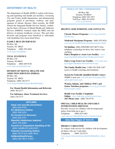## **DEPARTMENT OF HEALTH**

The Department of Health (DOH) is tasked with licensing and regulating state health care facilities, overseeing City and County health departments, and administering programs geared at prevention, wellness, and management of chronic diseases. Most recently, the DOH formed the Integrated Health Services branch, combining the State's Division of Mental Health and Addiction Services (DMHAS, formerly under the DHS) with the delivery of primary healthcare services. This and other divisions and programs most beneficial to individuals with disabilities have been listed below.

## **FAMILY HEALTH SERVICES**

PO Box 364 Trenton, NJ 08625 Telephone: (609) 292-4043 www.nj.gov/health/fhs/

#### **VITAL STATISTICS**

PO Box 370 Trenton, NJ 08625 Telephone: (866) 649-8726 www.state.nj.us/health/vital/

#### **DIVISION OF MENTAL HEALTH AND ADDICTION SERVICES (DMHAS)**

PO Box 362 Trenton, NJ 08625 Telephone: (800) 382-6717 www.nj.gov/health/integratedhealth/dmhas/

**For Mental Health Information and Referrals:**  (800) 382-6717

**For Substance Abuse Treatment Services:**  (844) 276-2777

#### **HOTLINES**

**Hope Line (suicide prevention):**  (855) 654-6735 **NJ Addictions Hotline** (800) 238-2333 **NJ Connect for Recovery:**  (855) 652-3737 **ReachNJ (Addictions helpline):**  (844) 732-2465 **Council on Compulsive Gambling of NJ:**  (800) GAMBLER (426-2537) **Veterans Counseling Hotline:**  (866) VETS-NJ4 (838-7654) **NJMentalHealthCares:**  (866) 202-HELP (4357)

## **OFFICE OF THE COMMISSIONER**

PO Box 360 Trenton, NJ 08625 Telephone (609) 292-7837 Toll-Free: (800) 367-6543 www.nj.gov/health

### **HELPFUL DOH WEBSITES AND CONTACTS:**

**Chronic Disease Programs:** www.nj.gov/health/ fhs/chronic/

**Medicinal Marijuana Program:** (609) 292-0424 www.nj.gov/health/medicalmarijuana/index.shtml

**NJ Quitline:** (866) NJSTOPS (657-8677) Free telephone counseling for those who want to stop smoking.

**Find a Hospital or Acute Care Facility:** www. nj.gov/health/healthfacilities/findhospital.shtml

**Find a Long Term Care Facility:** www.doh.state. nj.us/apps2/healthfacilities/fsSearch.aspx

**The Family Health Line:** 1-800-328-3838 (24/7 access to health screening and treatment)

**Search for Federally Qualified Health Centers**  (FQHCs) near you: web.doh.state.nj.us/apps2/fhs/ cphc/cphcSearch.aspx

**Women, Infants, and Children (WIC) and Senior Nutrition programs:** www.nj.gov/health/ fhs/wic/index.shtml

**Health Care Facility Complaints Online:** www.doh.state.nj.us/fc/search.aspx

**24/7 Phone Line:** (800) 792-9770

#### **SPECIAL CHILD HEALTH AND EARLY INTERVENTION SERVICES**

Provides services for children with developmental delays from birth up to age 3. Telephone: (888) 653-4463 www.state.nj.us/health/fhs/eis/for-families/when/

**Also See Pages 37 And 44**

#### **PROJECT CHILD FIND**

To connect with services for children with developmental delays who are 3 and older. Telephone: (800) 322-8174 www.nj.gov/education/specialed/childfind/fact\_sheet. pdf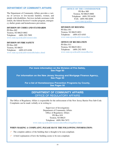## **DEPARTMENT OF COMMUNITY AFFAIRS**

The Department of Community Affairs provides a variety of services to low-income families, women, and people with disabilities. Services include assistance with rentals, the federal Section 8 voucher program, emergency shelter grants and homelessness prevention.

## **DIVISION OF CODES AND STANDARDS**

PO Box 802 Trenton, NJ 08625-0802 Telephone: (609) 292-7899 www.state.nj.us/dca/divisions/codes

## **DIVISION OF FIRE SAFETY**

PO Box 809 Trenton, NJ 08625 Telephone: (609) 633-6106 www.state.nj.us/dca/divisions/dfs/index.shtml

### **OFFICE OF THE COMMISSIONER**

PO Box 800 Trenton, NJ 08625-0800 Telephone: (609) 292-6420 FAX: (609) 984-6696 www.state.nj.us/dca

#### **DIVISION OF HOUSING**

PO Box 051 Trenton, NJ 08625-0051 Telephone: (609) 633-6303 www.state.nj.us/dca/divisions/dhcr

#### **OFFICE OF RECREATION**

PO Box 811 Trenton, NJ 08625-0811 Telephone: (609) 292-5855 www.state.nj.us/dca/divisions/dhcr/rec

**For more information on the Division of Fire Safety, See Page 60**

**For information on the New Jersey Housing and Mortgage Finance Agency, See Page 50**

**For a list of Homelessness Prevention Programs by County, See Pages 50**

## **DEPARTMENT OF COMMUNITY AFFAIRS**  OFFICE OF REGULATORY AFFAIRS

The Office of Regulatory Affairs is responsible for the enforcement of the New Jersey Barrier Free Sub-Code. Complaints can be made verbally or in writing to:

> Supervisor of Investigations Department of Community Affairs Office of Regulatory Affairs PO Box 818 Trenton, NJ 08625 Telephone: (609) 984-7672 www.state.nj.us/dca/divisions/codes/offices/regaffairs.html

#### **WHEN MAKING A COMPLAINT, PLEASE HAVE THE FOLLOWING INFORMATION:**

The complete address of the building that is thought to be non-compliant.

0 A brief explanation of how the building seems to be non-compliant.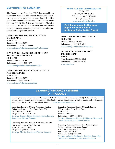## **DEPARTMENT OF EDUCATION**

The Department of Education (DOE) is responsible for overseeing more than 600 school districts and administering education programs to more than 1.4 million public and nonpublic elementary and secondary school children. The DOE's Office of the Special Education Ombudsman offers valuable resources and information to support parents, students and educators regarding special education rights and services.

#### **OFFICE OF THE SPECIAL EDUCATION OMBUDSMAN**

PO Box 500 Trenton, NJ 08625-0500 Telephone: (609) 376-9060 www.state.nj.us/education/specialed/ombudsman/

#### **DIVISION OF LEARNING SUPPORTS AND SPECIALIZED SERVICES**

PO Box 500 Trenton, NJ 08625-0500 Telephone: (609) 292-9899 www.state.nj.us/education/students/safety

#### **OFFICE OF SPECIAL EDUCATION POLICY AND PROCEDURE**

PO Box 500 Trenton, NJ 08625-0500 Telephone: (609) 292-0147 www.state.nj.us/education/specialed

### **OFFICE OF THE COMMISSIONER**

PO Box 500 Trenton, NJ 08625-0500 Telephone: (609) 292-4469 FAX: (609) 777-4099 www.state.nj.us/education

**For information on the New Jersey Higher Education Student Assistance Authority, See Page 45**

#### **OFFICE OF STATE ASSESSMENTS**

PO Box 500 Trenton, NJ 08625-0500 Telephone: (609) 984-6311 www.state.nj.us/education/assessment

## **MARIE KATZENBACH SCHOOL FOR THE DEAF**

PO Box 535 West Trenton, NJ 08625-0535 Telephone: (609) 530-3100 www.mksd.org

## **LEARNING RESOURCE CENTERS AT A GLANCE**

Learning Resource Centers are funded through the Individuals with Disabilities Education Act (IDEA), Part B Funds. The centers provide research reports, curriculum guides, books, videos and audio tapes, as well as training and workshops, for parents and educators of students with disabilities. www.state.nj.us/education/lrc

#### **Learning Resource Center-Northern Region**

7 Glenwood Avenue, 2nd Floor, Suite 201 East Orange, NJ 07017 Telephone: (973) 414-4491 *Serving:* Bergen, Essex, Hudson, Morris, Passaic, Sussex, and Warren Counties

#### **Learning Resource Center-Northern Satellite**

104 American Road, Building 100 Morris Plains, NJ 07950 Telephone: (973) 631-6345 *Serving:* Morris, Sussex, and Warren Counties

#### **Learning Resource Center-Central Region**

200 Riverview Plaza, First Floor PO Box 500 Trenton, NJ 08625 Telephone: (609) 633-8893 *Serving:* Hunterdon, Mercer, Middlesex, Monmouth, Ocean, Somerset, and Union Counties

**Learning Resource Center-Southern Region** Samuel H. Jones Innovation Center 107 Gilbreth Parkway, Suite 200 Mullica Hill, NJ 08062 Telephone: (856) 582-7000 *Serving:* Atlantic, Burlington, Camden, Cape May, Cumberland, Gloucester, and Salem Counties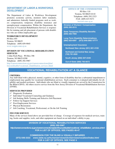## **DEPARTMENT OF LABOR & WORKFORCE DEVELOPMENT**

The Department of Labor & Workforce Development promotes economic activity, monitors labor standards, and administers federally funded programs such as workers compensation, temporary disability insurance and unemployment compensation. Within the Department, the Division of Vocational Rehabilitation Services is responsible for training and job placement of persons with disabilities who are within employable age.

#### **WORKFORCE DEVELOPMENT**

PO Box 055 Trenton, NJ 08625 Telephone: (609) 659-9045 www.wnjpin.state.nj.us

## **DIVISION OF VOCATIONAL REHABILITATION SERVICES**

1 John Fitch Plaza PO Box 398 Trenton, NJ 08625-0398 Telephone: (609) 292-5987

http://careerconnections.nj.gov/careerconnections/plan/ foryou/disable/vocational\_rehabilitation\_services.shtml

## **OFFICE OF THE COMMISSIONER**

PO Box 110 Trenton, NJ 08625-0110 Telephone: (609) 292-2323 FAX: (609) 633-9271 lwd.dol.state.nj.us

**Division of Workers' Compensation (609) 292-2515**

**State Temporary Disability Benefits (609) 292-7060**

**Long Term Disability Determinations (866) 920-6997 (973) 648-2983 V/TTY** 

**Unemployment Insurance** 

**Northeast New Jersey (201) 601-4100**

**Northwest and Central New Jersey (732) 761-2020**

**South Jersey (856) 507-2340**

**Out-of-State (888) 795-6672** 

## **VOCATIONAL REHABILITATION AT A GLANCE**

#### **CRITERIA**

Any individual with a physical, mental, cognitive, or other form of disability that has a substantial impediment to employment may qualify for vocational rehabilitation services. Each consumer is evaluated individually for eligibility and needed assistance. Individuals who are blind or visually impaired are served by the Commission for the Blind (CBVI). All others receive service from the New Jersey Division of Vocational Rehabilitation Services (DVRS).

#### **SERVICES PROVIDED**

- $\mathcal O$  Diagnostic Evaluation
- $\mathcal{O}$  Individual Vocational Counseling and Guidance
- $\mathscr O$  Job Seeking Skills Training and Selective Job Placement
- 0 Follow-Up Support Services
- 0 Post-Employment Services
- 0 Physical Restoration
- $\mathscr O$  Job Coaching, Vocational, Professional, or On the Job Training

#### **FEE FOR SERVICE**

Many of the services listed above are provided free of charge. Coverage of expenses for medical services, training, books and supplies, tools, and other equipment are based on an individual's ability to pay.

**DIVISION OF VOCATIONAL REHABILITATION SERVICES**

**(609) 292-5987**

*http://careerconnections.nj.gov/careerconnections/plan/foryou/disable/vocational\_rehabilitation\_services.shtml* **FOR A LIST OF OFFICES, SEE PAGES 46-47**

**COMMISSION FOR THE BLIND & VISUALLY IMPAIRED**

**(973) 648-3333** *www.state.nj.us/humanservices/cbvi/services/vocation/index.html* **FOR A LIST OF OFFICES, SEE PAGE 6**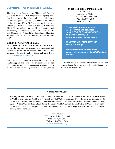## **DEPARTMENT OF CHILDREN & FAMILIES**

The New Jersey Department of Children and Families (DCF) is the state's first comprehensive agency dedicated to ensuring the safety, well-being and success of children, youth, families and communities. Some of the divisions/offices DCF encompasses include the following: Adolescent Services; Advocacy; Centralized Child Abuse/Neglect Hotline; Child Protection and Permanency; Children's System of Care; Family and Community Partnerships; Specialized Education Services; and Division on Women (transferred from DCA).

#### **CHILDREN'S SYSTEM OF CARE**

DCF's Division of Children's System of Care (CSOC), serves children and adolescents with emotional and behavioral health care challenges, their families, and children with intellectual/developmental disabilities. www.state.nj.us/dcf/families/csc

Since 2013, CSOC assumed responsibility for providing the supports and services for children under the age of 21 with developmental/intellectual disabilities, formerly provided by the Department of Human Services

#### **OFFICE OF THE COMMISSIONER**

PO Box 729 Trenton, NJ 08625 Telephone: (609) 888-7900 FAX: (609) 777-2070 www.state.nj.us/dcf

**For general information about DCF programs and services: 1-855-INFO-DCF (1-855-463-6323) or** *askdcf@dcf.state.nj.us* **See also services for Children, page 54**

**DOMESTIC VIOLENCE HOTLINE (800) 572-SAFE (7233)**

**For other Hotlines and Helplines, please visit:** *www.state.nj.us/dcf/families/ hotlines*

- Division of Developmental Disabilities (DDD). For information on the transition and the application process, please call PerformCare.

#### **What is PerformCare?**

The responsibility for providing services to children with developmental disabilities is the role of the Department of Children and Families' Children's System of Care (CSOC). As of January 2013, the State has contracted with PerformCare to administer the publicly funded developmental disability service delivery system for children up to age 21. PerformCare has been administering the State's Child Behavioral Health System of Care for many years. PerformCare is now your 24/7 point of contact for accessing services, formerly provided by DDD, for children with developmental disabilities.

> PerformCare 300 Horizon Drive, Suite 306 Robbinsville, NJ 08691 Toll-free: 1-877-652-7624 www.performcarenj.org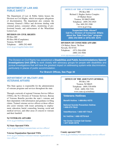## **DEPARTMENT OF LAW AND PUBLIC SAFETY**

The Department of Law & Public Safety houses the Division on Civil Rights, which investigates allegations of discrimination. The department also contains the Attorney General's Office and divisions dealing with criminal justice, consumer affairs, monitoring of professional boards, and enforcement of the Wheelchair Lemon Law.

## **DIVISION ON CIVIL RIGHTS**

PO Box 089 PO Box 090 (Complaints) Trenton, NJ 08625 Telephone: (609) 292-4605 www.nj.gov/oag/dcr/index.html

## **OFFICE OF THE ATTORNEY GENERAL**

PO Box 080 Richard J. Hughes Justice Complex 25 Market Street Trenton, NJ 08625-0080 Telephone: (609) 292-4925 Fax: 609-292-3508 www.nj.gov/oag

**Suspected Elder Abuse? Call N.J. Division of Consumer Affairs about the 'Safe Care Cam" program: (800) 242-5846 or (973) 504- 6375** 

#### **DIVISION OF CONSUMER AFFAIRS**

124 Halsey Street, 7th floor Newark, NJ 07101 Telephone: (973) 504-6200 (800) 242-5846 www.njconsumeraffairs.gov

The Division on Civil Rights has established a **Disabilities and Public Accommodations Special Investigations Unit (DPA)** to work closely with advocacy groups for people with disabilities and pursue investigations that will have the greatest impact on addressing system-wide discrimination, particularly in places of public accommodation.

**For Branch Offices, See Page 30**

## **DEPARTMENT OF MILITARY AND VETERANS AFFAIRS**

This State agency is responsible for the administration of veterans programs and services throughout the state.

Through a network of regional Veterans Service Offices (VSOs), the N.J. Division of Veterans Services, Bureau of Veterans Benefits provides the state's veterans and their dependents with information and guidance in filing claims. Trained veterans service officers at those offices also assist veterans with issues pertaining to employment, education, burial, counseling, housing, social and medical services, and other areas of concern to veterans and their familieS.

## **NJ VETERANS AFFAIRS**

www.nj.gov/military/veterans/

#### **NJ State Operated VSOs**

www.nj.gov/military/veterans/state-service-offices/

#### **Veteran Organization Operated VSOs**

www.nj.gov/military/veterans/veteran-organization-service-offices/

## **OFFICE OF THE ADJUTANT GENERAL**

PO Box 340 Trenton, NJ 08625 Telephone: (609) 530-6956 FAX: (609) 530-7191 www.state.nj.us/military

## **Veterans Hotlines**

**Benefit Hotline: 1-888-8NJ-VETS** 

**National Suicide Prevention Hotline: 1-800-273-TALK** 

**Vets4Warriors: 1-855-VET-TALK** 

**NJ Vet2Vet: 1-866-VETS-NJ4** 

**Vet Center Combat Call Center: 1-877-WAR-VETS** 

#### **County operated VSO** www.nj.gov/military/veterans/county-service-offices/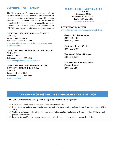## **DEPARTMENT OF TREASURY**

The Department of Treasury assumes responsibility for three major functions: generation and collection of revenue, management of assets, and statewide support services. The Department also houses the Office on Disabilities Management that is responsible for issues of compliance with the Americans with Disabilities Act (ADA) in state owned buildings and state run programs.

## **OFFICE OF DISABILITIES MANAGEMENT**

PO Box 034 Trenton, NJ 08625-0034 Telephone: (609) 292-7299 www.state.nj.us/treasury/dpmc/Property\_management\_ disabilities.shtml

## **OFFICE OF THE CORRECTIONS OMBUDSMAN**

PO Box 855 Trenton, NJ 08625 Telephone: (609) 633-2596 www.state.nj.us/correctionsombudsman

#### **OFFICE OF THE OMBUDSMAN FOR THE INSTITUTIONALIZED ELDERLY**

PO Box 852 Trenton, NJ 08625-0852 Telephone: (877) 582-6995 www.nj.gov/ooie

### **OFFICE OF THE STATE TREASURER**

PO Box 002 Trenton, NJ 08625 Telephone: (609) 292-5031 FAX: (609) 292-6145 www.state.nj.us/treasury

#### **DIVISION OF TAXATION**

www.state.nj.us/treasury/taxation/email.shtml

## **General Tax Information** (609) 826-4400 (800) 323-4400

**Customer Service Center** (609) 292-6400

**Homestead Rebate Hotlines:** (888) 238-1233

**Property Tax Reimbursement (Senior Freeze)**  (800) 882-6597

## **THE OFFICE OF DISABILITIES MANAGEMENT AT A GLANCE**

#### **The Office of Disabilities Management is responsible for the following areas:**

- 0 Barrier Free Compliance of state owned and operated facilities.
- *C* Implementation and assistance to allow access to all programs, services and activities offered by the State of New Jersey.
- 0 Technical assistance and advice concerning accessibility standards and adaptive devices to allow full inclusion by persons with disabilities.
- 0 Funding for modifications needed to ensure accessibility to all state owned and operated facilities.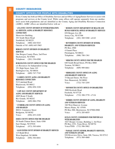COUNTY RESOURCES

 $\mathbb{I}$ 

## **COUNTY OFFICES FOR PEOPLE WITH DISABILITIES**

Every County has both an Office of Disability Services and an Office of Aging/Senior Services to assist with programs and services at the County level. While some offices still operate separately from one another, most assist both populations and are identified as the County Aging and Disability Resource Connection (ADRC). ADRC offices are identified below with an \*.

## **\* ATLANTIC COUNTY DIVISION OF INTERGENERATION-AL SERVICES, AGING & DISABILITY RESOURCE CONNECTION**

Shoreview Building 101 South Shore Road Northfield, NJ 08225 Telephone: (888) 426-9243 Outside of NJ: (609) 645-5965

## **BERGEN COUNTY DIVISION ON DISABILITY SERVICES**

One Bergen County Plaza, 2nd Floor Hackensack, NJ 07601 Telephone: (201) 336-6500

#### **BURLINGTON COUNTY OFFICE FOR THE DISABLED**

c/o Resources for Independent Living 351 High Street, Suite 103 Burlington City, NJ 08016 Telephone: (609) 747-7745

**\* CAMDEN COUNTY AGING AND DISABILITY RESOURCE CONNECTION** 512 Lakeland Road Blackwood, NJ 08012 Telephone: (856) 858-3220

**\* CAPE MAY COUNTY DEPARTMENT OF AGING AND DISABILITY SERVICES** 4005 Route 9 South Rio Grande, NJ 08242 Telephone: (609) 886-2784

## **\* CUMBERLAND COUNTY OFFICE ON AGING AND DISABLED** 800 E. Commerce Street Bridgeton, NJ 08302

Voice: (856) 453-2220

## **ESSEX COUNTY OFFICE FOR THE DISABLED**

50 South Clinton Street, Suite 4300 East Orange, NJ 07018 Telephone: (973) 395-8494

## **\* GLOUCESTER COUNTY DIVISION OF DISABILITY SERVICES** 115 Budd Blvd.

West Deptford, NJ 08096 Telephone: (856) 384-6841

#### **\* HUDSON COUNTY DEPARTMENT OF HEALTH AND HUMAN SERVICES, OFFICE OF DISABILITY SERVICES**

830 Bergen Ave 4B Jersey City, NJ 07306 Telephone: (201) 369-5280 x4142

## **\* HUNTERDON COUNTY DIVISION OF SENIOR, DISABILITY, AND VETERANS SERVICES** PO Box 2900 4 Gauntt Place Flemington, NJ 08822 Telephone: (908) 788-1361

**\* MERCER COUNTY OFFICE FOR THE DISABLED** 640 South Broad Street, PO Box 8068 Trenton, NJ 08611 Telephone: (609) 989-6661

## **\* MIDDLESEX COUNTY OFFICE ON AGING AND DISABILITY SERVICES**

75 Bayard Street, 5th Floor New Brunswick, NJ 08901 Voice: (732) 745-3295

#### **\* MONMOUTH COUNTY OFFICE ON DISABILITIES**

3000 Kozloski Road Freehold, NJ 07728 Telephone: (732) 308-3770 x7116

#### **\* MORRIS COUNTY DIVISION OF AGING, DISABILITY AND VETERANS SERVICES**

340 West Hanover Avenue Morris Plains, NJ 07950 PO Box 900, Morristown, NJ 07900-0900 Voice: (973) 285-6855

## **OCEAN COUNTY COMMISSION FOR INDIVIDUALS WITH DISABILITIES**

1027 Hooper Avenue, Building 2, 3rd Floor PO Box 2191, Toms River, NJ 08754 Voice/TDD: (732) 506-5062

#### **\* PASSAIC COUNTY SENIOR, DISABILITY SERVICES, AND VETERANS AFFAIRS** 930 Riverview Drive, Suite 200, Totowa, NJ 07512

Telephone: (973) 569-4060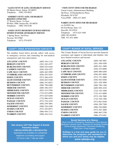**\* SALEM COUNTY OF AGING AND DISABILITY SERVICES**

98 Market Street, Salem, NJ 08079 Telephone: (856) 339-8622

#### **\* SOMERSET COUNTY AGING AND DISABILITY RESOURCE CONNECTION**

27 Warren Street, 1st floor PO Box 3000, Somerville, NJ 08876 Telephone: (908) 704-6346

## **\* SUSSEX COUNTY DEPARTMENT OF HUMAN SERVICES, DIVISION OF SENIOR AND DISABILITY SERVICES**

1 Spring Street, 2nd Floor Newton, NJ 07860 Telephone: (973) 579-0555

## **COUNTY CRISIS INTERVENTION CONTACTS**

The numbers listed below provide callers with access to emergency services and counseling for non-medical emergencies and crisis intervention:

| <b>ATLANTIC COUNTY</b>   | $(609)$ 344-1118   |
|--------------------------|--------------------|
| <b>BERGEN COUNTY</b>     | $(201)$ 262-4357   |
| <b>BURLINGTON COUNTY</b> | $(609)$ 835-6180   |
| <b>CAMDEN COUNTY</b>     | $(856)$ 428-4357   |
| <b>CAPE MAY COUNTY</b>   | $(609)$ 465-5999   |
| <b>CUMBERLAND COUNTY</b> | $(856)$ 455-5555   |
| <b>ESSEX COUNTY</b>      | $(973)$ 266-4478   |
| <b>GLOUCESTER COUNTY</b> | $(856)$ 845-9100   |
| <b>HUDSON COUNTY</b>     | $(866)$ 367-6023   |
| <b>HUNTERDON COUNTY</b>  | $(908) 788 - 6400$ |
| <b>MERCER COUNTY</b>     | $(609)$ 396-4357   |
| <b>MIDDLESEX COUNTY</b>  | $(855) 515 - 5700$ |
| <b>MONMOUTH COUNTY</b>   | (732) 923-6999     |
| <b>MORRIS COUNTY</b>     | $(973) 625 - 0280$ |
| <b>OCEAN COUNTY</b>      | (732) 886-4474     |
| <b>PASSAIC COUNTY</b>    | (973) 754-2230     |
| <b>SALEM COUNTY</b>      | $(856)$ 299-3001   |
| <b>SOMERSET COUNTY</b>   | $(908) 526 - 4100$ |
| <b>SUSSEX COUNTY</b>     | $(973)$ 383-0973   |
| <b>UNION COUNTY</b>      | $(908)$ 994-7131   |
| <b>WARREN COUNTY</b>     | $(908)$ 454-5141   |

**New Jersey's 24/7 Peer Support & Suicide Prevention Hotline 1-855-NJ-HOPELINE (1-855-654-6735)** Specialists are available for confidential telephone counseling and support 24 hours a day, 7 day per week.

#### **\* UNION COUNTY OFFICE FOR THE DISABLED**

Union County Administration Building 4th Floor, 10 Elizabethtown Plaza Elizabeth, NJ 07207 Voice/TDD: (908) 527-4845

### **WARREN COUNTY OFFICE FOR THE DISABLED**

c/o DAWN, Inc. 66 Ford Road, Suite 121 Denville, NJ 07834 Telephone: (973) 625-1940 (888) 383-DAWN VRS 973-453-4689

## **COUNTY BOARDS OF SOCIAL SERVICES**

The County Boards of Social Services provide financial assistance and support to individuals and families who have limited resources and income.

| $(609)$ 348-3001   |
|--------------------|
| $(201)$ 368-4200   |
| $(609)$ 261-1000   |
| $(856)$ 225-8800   |
| $(609) 886 - 6200$ |
| $(856) 691 - 4600$ |
| $(973) 733 - 3000$ |
| $(856) 582 - 9200$ |
| $(201)$ 420-3000   |
| $(908) 788 - 1300$ |
| $(609)$ 989-4320   |
| $(732)$ 745-3500   |
| $(732)$ 431-6000   |
| $(973)$ 326-7800   |
| $(732)$ 349-1500   |
| $(973) 881 - 0100$ |
| $(856)$ 299-7200   |
| $(908) 526 - 8800$ |
| $(973)$ 383-3600   |
| $(908)$ 965-2700   |
| $(908)$ 475-6301   |
|                    |

#### **Social Services at a Glance**

Work First NJ • Emergency Assistance • Food Stamps Medicaid • Kinship Care • Supports for Working Families Home Energy Assistance • Homeless Sheltering Child Care • Child Support

**NJHelps is a free and easy guide for you to determine the programs and assistance for which you and your family may be eligible.** *www.njhelps.org*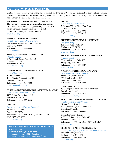## **CENTERS FOR INDEPENDENT LIVING**

Centers for Independent Living (many funded through the Division of Vocational Rehabilitation Services) are community-based, consumer-driven organizations that provide peer counseling, skills training, advocacy, information and referral, and a variety of services based on individual needs.

**NEW JERSEY STATEWIDE INDEPENDENT LIVING COUNCIL**  The New Jersey Statewide Independent Living Council (SILC) is a 17-member body appointed by the Governor

which maximizes opportunities for people with disabilities through planning and advocacy. www.njsilc.org

## **ALLIANCE CENTER FOR INDEPENDENCE**

(Middlesex, Somerset, Union Counties) 629 Amboy Avenue, 1st Floor, Suite 104 Edison, NJ 08837 Telephone: (732) 738-4388 www.adacil.org

## **ATLANTIC CENTER FOR INDEPENDENT LIVING**

(Atlantic County) 4 East Jimmie Leeds Road, Suite 7 Galloway, NJ 08205 Telephone: (609) 748-2253 www.artemiscil.org

## **CAMDEN CITY INDEPENDENT LIVING CENTER**

(City of Camden) Virtua Camden 1000 Atlantic Avenue, Suite 105 Camden, NJ 08104 Telephone: (856) 966-0800 www.camdencityilc.org

#### **CENTER FOR INDEPENDENT LIVING OF SOUTH JERSEY, INC. (CIL-SJ)**

(Camden and Gloucester Counties) 1150 Delsea Drive, Suite 1 & 2 Westville, NJ 08093 Telephone: (856) 853-6490

#### **DAWN, INC.**

(Morris, Sussex and Warren Counties) 66 Ford Road, Suite 121 Denville, NJ 07834 Telephone: (973) 625-1940 (888) 383-DAWN VRS: (973) 453-4689 www.dawncil.org

## **CENTERS FOR INDEPENDENT LIVING AT A GLANCE**

- Peer Support
- Individual and System Advocacy
- Independent Living Skills Training
- Development of Independent Living Plans

## **DIAL, INC.**

(Essex and Passaic Counties) 2 Prospect Village Plaza, First Floor Clifton, NJ 07013 Telephone: (973) 470-8090 VRS: (973) 556-0226 www.dial-cil.org

#### **HEIGHTENED INDEPENDENCE & PROGRESS (HIP)**

(Bergen County) 131 Main Street, Suite 120 Hackensack, NJ 07601 Telephone: (201) 996-9100 www.hipcil.org

## **HEIGHTENED INDEPENDENCE & PROGRESS-HUDSON**

(Hudson County) 35 Journal Square, Suite 703 Jersey City, NJ 07306 Telephone: (201) 533-4407 www.hipcil.org

#### **MOCEANS CENTER FOR INDEPENDENT LIVING**

(Monmouth and Ocean County) Monmouth County Branch: 565 Broadway, Suite 105 Long Branch NJ 07740 Telephone: (732) 571-4884

Ocean County Branch: 1027 Hooper Avenue, Building 6, 3rd Floor Toms River, NJ 08753 Telephone: (732) 505-2310 www.moceanscil.org

### **PROGRESSIVE CENTER FOR INDEPENDENT LIVING (PCIL)**

(Hunterdon and Mercer Counties) Mercer County Branch: 3525 Quakerbridge Road, Suite 904 Hamilton NJ 08619 Telephone: (609) 581-4500

Hunterdon County Branch: 4 Walter E. Foran Blvd., Suite 410 Flemington, NJ 08822 Telephone: (908) 782-1055 (877) 376-9174 www.pcil.org

## **RESOURCES FOR INDEPENDENT LIVING (RIL)**

## (Burlington, Cape May, Cumberland, Salem Counties)

351 High Street, Suite 103 Burlington City, NJ 08016 Telephone: (609) 747-7745 www.rilnj.org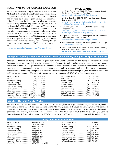#### **PROGRAM OF ALL INCLUSIVE CARE FOR THE ELDERLY (PACE)**

PACE is an innovative program, funded by Medicare and Medicaid, that provides frail individuals, age 55 and older, comprehensive medical and social services coordinated and provided by a team of professionals in a community-based center and in their homes, helping program participants delay or avoid long-term nursing home care. To participate in PACE, an individual must be 55 years of age or older, require nursing home level of care but be able to live safely in the community at time of enrollment with the services of PACE, and reside in the service area of a PACE organization. You can leave a PACE program at any time. Six PACE agencies are currently operating in New Jersey and you must live in their coverage area to participate. For more information, contact the PACE agency serving your area.

http://www.state.nj.us/humanservices/doas/services/pace

## **PACE Centers:**

- LIFE St. Francis: 609-599-5433 (serving Mercer County, Bordentown, Florence, and Roebling) www.stfrancismedical.org/LIFE/Overview.aspx
- LIFE at Lourdes: 856-675-3675 (serving most Camden County communities) www.lsmnj.org/how-we-help/senior-healthcare-retirement-living/lutheran-senior-life/
- Lutheran Senior LIFE: 877-543-3188 (serving most of Hudson County) www.lsmnj.org/how-we-help/senior-healthcare-retirement-living/lutheran-senior-life-jersey-city/
- Inspira LIFE: 855-295-5433 (serving portions of Cumberland, Gloucester, and Salem Counties) http://www.inspirahealthnetwork.org/life-center
- Beacon of LIFE: 732-592-3400 (serving Monmouth County) http://www.beaconhss.com
- AtlantiCare LIFE Connection: 609-572-8588 (Serving Atlantic and Cape May Counties) www.atlanticare.org/index.php/atlanticare-life-connection

## **Aging and Disability Resource Connection (ADRC)/Area Agency on Aging (AAA)** *www.adrcnj.org*

Through the Division of Aging Services, in partnership with County Government, the Aging and Disability Resource Connection/Area Agency on Aging (AAA) serves as the lead agency for seniors and their caregivers to access information, community services, and long term services and supports. Services available to eligible individuals may include: outreach, case management, transportation, senior centers, volunteer opportunities, health promotion, nutrition programs, education, health insurance counseling, adult protective services, senior employment, respite care options, and information on housing and long-term care options. For more information, contact your county ADRC/AAA at the numbers below.

| Hunterdon County(908) 788-1361/1362/1363 |
|------------------------------------------|
|                                          |
|                                          |

## **ADULT PROTECTIVE SERVICES**

The role of Adult Protective Services (APS) is to investigate complaints of suspected abuse, neglect, and/or exploitation of vulnerable adults aged 18 or older. A complaint to APS will generate a thorough assessment, which will include a private face-to-face interview with the potentially at-risk adult, to determine if intervention is warranted. All information generated by the investigation is confidential. A report of suspected abuse may be made to the Division of Aging Services Information and Referral toll-free number at 800-792-8820 or to the APS office in the county in which the individual lives.

#### **County Adult Protective Services**

| Cumberland County  (856) 825-0255 |  |
|-----------------------------------|--|
|                                   |  |
|                                   |  |
|                                   |  |
|                                   |  |
|                                   |  |
|                                   |  |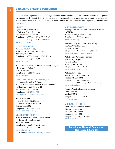## DISABILITY SPECIFIC RESOURCES

This section lists agencies outside of state government that serve individuals with specific disabilities. Agencies are categorized by target disability as a matter of reference although some may serve multiple populations. Where a local website was not available, a national website has been provided. Most agencies provide services statewide.

#### **AIDS/HIV**

IV

Hyacinth AIDS Foundation 317 George Street, Suite 203 New Brunswick, NJ 08901 Telephone: (800) 433-0254 (Toll-Free) (732) 246-0204 (outside NJ)

www.hyacinth.org

#### **ALZHEIMER'S DISEASE**

Alzheimer's New Jersey 425 Eaglerock Avenue, Suite 203 Roseland, NJ 07068 Telephone: (888) 280-6055 (Toll-Free) (973) 586-4300

#### www.alznj.org

Alzheimer's Association, Delaware Valley Chapter 3 Eves Drive, Suite 310 Marlton, NJ 08053 Telephone: (856) 797-1212 www.alz.org/nj/

## **AMYOTROPHIC LATERAL SCLEROSIS (ALS)**

Neuromuscular and ALS Center Rutgers-Robert Wood Johnson Medical School 125 Paterson Street, Suite 6100 New Brunswick, NJ 08901 Telephone: (732) 235-7331 web.rwjms.rutgers.edu/nmalsweb/

ALS Association Greater Philadelphia Chapter 321 Norristown Rd. Suite 260 Ambler, PA 19002 Telephone: (215) 643-5434 www.alsphiladelphia.org

#### **ARTHRITIS/FIBROMYALGIA**

Arthritis Foundation-New Jersey Chapter 555 Route 1 South, Suite 220 Iselin, NJ 08830 Telephone: (888) 467-3112 (Toll-Free) (732) 283-4300

www.arthritis.org Local website: www.arthritis.org/new-jersey

#### **AUTISM/ASPERGERS/ASD**

Asperger Autism Spectrum Education Network (ASPEN) 9 Aspen Circle, Edison, NJ 08820 Telephone: (732) 321-0880 www.aspennj.org

Autism Family Services of New Jersey 1 AAA Drive, Suite 203 Trenton, NJ 08691 Telephone: (877) 237-4477 (Toll-Free) www.autismfamilyservicesnj.org

Autistic Self Advocacy Network-New Jersey Chapter PO Box 66122 Washington, DC 20035 Telephone: (202) 596-1056 www.autisticadvocacy.org

Autism New Jersey 500 Horizon Drive, Suite 530 Robbinsville, NJ 08691 Telephone: (609) 588-8200 (800) 4-AUTISM (Toll-Free)

### www.autismnj.org

POAC (Parents of Autistic Children) 1989 Route 88 Brick, NJ 08724 Telephone: (732) 785-1099 www.poac.net

#### **AUTOIMMUNE DISORDERS**

American Autoimmune Related Diseases Association 22100 Gratiot Avenue Eastpointe, MI 48021 Telephone: (586) 776-3900 www.aarda.org

> **For a list of National Resources, See Pages 32 and 33**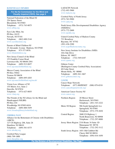#### **BLIND/VISUALLY IMPAIRED**

**For the NJ Commission for the Blind and Visually Impaired (CBVI), See page 6**

National Federation of the Blind-NJ 254 Spruce Street Bloomfield, NJ 07003 Telephone: (973) 743-0075 www.nfbnj.org

Eyes Like Mine, Inc PO Box 10125 Newark, NJ 07101 Telephone: (862) 600-2144 www.eyeslikemine.org

Parents of Blind Children-NJ 23 Alexander Avenue Madison, NJ 07940 Telephone: 973-377-0976 www.blindchildren.org

New Jersey Council of the Blind 153 Franklin Corner Road Lawrenceville, NJ 08648-2501 Telephone: (609) 912-0657 www.njcounciloftheblind.org

Mercer County Association of the Blind PO Box 55042 Trenton NJ 08638 Telephone: (609) 695-4203 www.njcounciloftheblind.org/mcab/

Vision Loss Alliance of NJ 155 Morris Ave, Suite 2 Denville, NJ 07834 Telephone: (973) 627-0055 www.vlanj.org

The Friends of the NJ Library for the Blind and Handicapped (NJLBH) PO Box 434 Woodbridge NJ 07095-0434 Telephone (609) 888-5459 www.friendsnjlibraryfortheblind.org

#### **CEREBRAL PALSY**

Alliance for the Betterment of Citizens with Disabilities (ABCD) 127 US Highway 206, Suite 26 Hamilton, NJ 08610 Telephone: (609) 581-8375 www.abcdnj.org

Cerebral Palsy League (908) 709-1800 www.thecplinc.org

LADACIN Network (732) 493-5900 www.ladacin.org

Cerebral Palsy of North Jersey (973) 763-9900 www.cpnj.org

North Jersey Elks Developmental Disabilities Agency (NJEDDA) (973) 772-2600 www.njedda.org

United Cerebral Palsy of Hudson County 721 Broadway Bayonne, NJ 07702 (201) 436-2200 www.ucpofhudsoncounty.org

New Jersey Institute for Disabilities (NJID) 10A Oak Drive Edison, NJ 08837 Telephone: (732) 549-6187 www.cpamc.org

Githens Center (Burlington County Cerebral Palsy Association) 40 Cedar Street Mount Holly, NJ 08060 Telephone: (609) 261-1667 www.githenscenter.org

#### **CANCER**

Cancer Hope Network Telephone: (877) HOPENET (908) 879-6518 www.cancerhopenetwork.org/

American Cancer Society-NJ www.cancer.org

| Northern Region: | 20 Mercer Street<br>Hackensack, NJ 07601<br>Telephone: (201) 343-2222                          |
|------------------|------------------------------------------------------------------------------------------------|
| Metro NJ Region: | 986 South Springfield Ave<br>Springfield, NJ 07081<br>Telephone: (973) 379-2830                |
| Central Region:  | 2600 US Highway 1<br>North Brunswick, NJ 08908<br>Telephone: (732) 297-8000                    |
|                  | Jersey Shore Region: 2310 Route 34 Suite 1D<br>Manasquan NJ 08736<br>Telephone: (732) 292-3112 |
|                  | South Jersey Region: 1851 Old Cuthbert Rd<br>Cherry Hill NJ 08034                              |

Telephone: (856) 616-1650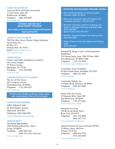#### **CARDIAC/HEART DISEASE**

American Heart and Stroke Association 1 Union Street, Suite 301 Robbinsville, NJ 08691 Telephone: (609) 208-0020 www.heart.org

#### **CHRONIC DISEASE SELF MANAGEMENT PROGRAM**

*www.state.nj.us/humanservices/doas/home/cdsmpprograms.html*

#### **CHRONIC FATIGUE SYNDROME**

NJCFSA (New Jersey Chronic Fatigue Syndrome Association, Inc.) PO Box 477 Florham Park, NJ 07932 Email: helpdesk@njcfsa.org www.njmecfsa.org

#### **CROHN'S DISEASE**

Crohn's and Colitis Foundation of America New Jersey Chapter 45 Wilson Avenue Manalapan, NJ 07726 Telephone: (732) 786-9960 www.ccfa.org

## **COGNITIVE/INTELLECTUAL DISABILITY**

The Arc of New Jersey 985 Livingston Avenue North Brunswick, NJ 08902 Telephone: (732) 246-2525 www.arcnj.org

**To Find a Local Chapter of the Arc of New Jersey, visit:** *www.arcnj.org* **Click on Find a Chapter**

### **COMMUNICATION DISORDER**

Adler Aphasia Center 60 West Hunter Avenue Maywood, NJ 07607 Telephone: (201) 368-8585 www.AdlerAphasiaCenter.org

#### **CROSS-DISABILITY**

Advancing Opportunities 1005 Whitehead Road Ext., Suite 1 Ewing, NJ 08638 Telephone: (609) 882-4182 (888) 322-1918 (Toll-free) www.advopps.org

#### **University Communication Disorder Centers**

- Kean University Center for Communication Disorders (908) 737-5816
- Monmouth University Center for Speech and Language Disorders (732) 923-4547
- Montclair University Center for Audiology and Speech-Language Pathology Audiology Clinic (973) 655-3934 Speech Clinic (973) 655-6917
- Stockton University Speech and Hearing Clinic (609) 652-4920
- William Paterson University Speech and Hearing **Clinic** (973) 720-2207

Elizabeth M. Boggs Center on Developmental Disabilities 335 George Street, Suite 3500, PO Box 2688 New Brunswick, NJ 08903-2688 Telephone: (732) 235-9300 www.rwjms.rutgers.edu/boggscenter

Community Access Unlimited 80 West Grand Street, Elizabeth, NJ 07202 Telephone: (908) 354-3040 www.caunj.org

Community Options, Inc. 16 Farber Road, Princeton, NJ 08540 Telephone: (609) 951-9900 www.comop.org

Easter Seals New Jersey 25 Kennedy Blvd., Suite 600 East Brunswick, NJ 08816 Telephone: (732) 257-6662 www.easterseals.com/nj

Spectrum for Living 210 Rivervale Road, Suite 3 River Vale, NJ 07675 Telephone: (201) 358-8000 (866) 367-7732 www.spectrumforliving.org

Statewide Parent Advocacy Network (SPAN) 35 Halsey Street, 4th Floor Newark, NJ 07102 Telephone: (800) 654-7726 (973) 642-8100

www.spanadvocacy.org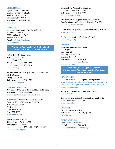#### **CYSTIC FIBROSIS**

Cystic Fibrosis Foundation Greater New Jersey Chapter 1719 Rt. 10, Suite 229 Parsippany, NJ 07054 Telephone 973-656-9200 www.cff.org

#### **DEAF/BLIND**

American Association of the Deaf-Blind c/o Mark Gasaway 3825 LaVista Road, W-2 Tucker, GA 30084 Email: aadb-info@aadb.org www.aadb.org

> **For the NJ Commission for the Blind and Visually Impaired (CBVI), See page 6**

Helen Keller National Center 141 Middle Neck Rd. Sands Point, NY 11050 Voice: (516) 944-8900 Video phone: (516) 570-3646 www.hknc.org

TCNJ Center for Sensory & Complex Disabilities PO BOX 7718 Ewing, NJ 08628 Telephone: (609) 771-3083 www.njcscd.tcnj.edu

#### **DEAF/HARD OF HEARING**

New Jersey Division of Deaf and Hard of Hearing Telephone (800) 792-8339 www.nj.gov/humanservices/ddhh/home

Alexander Graham Bell Association for the Deaf and Hard of Hearing (A.G. Bell) New Jersey Chapter PO Box 161 Glen Rock, NJ 07452 (202) 337-5220 http://agbellnj.org/

Better Hearing Institute 1444 I Street, NW, Suite 700 Washington, DC 20005 Voice: (800) 327-9355 (202) 449-1100 www.betterhearing.org

Hearing Loss Association of America New Jersey State Association Telephone (732) 475-7399 www.hearingloss-nj.org

The New Jersey Chapter of the Association of Late-Deafened Adults-Garden State (ALDA-GS) www.aldagardenstate.com/

North West Jersey Association for the Deaf (NWJAD) www.nwjad.org

NJ Association of the Deaf, Inc. (NJAD) www.deafnjad.org

#### **DIABETES**

American Diabetes Association NJ Chapter 575 Route 28 Building 2, Suite 2107 Raritan,NJ 08869 Telephone: (732) 469-7979 (888) DIABETES

### www.diabetes.org

**Diabetes Self Management Program www.state.nj.us/humanservices/doas/home/cdsmpprograms.html**

#### **DOWN SYNDROME**

New Jersey based Down Syndrome Organizations: www.globaldownsyndrome.org/about-down-syndrome/ resources/local-organizations/new-jersey-down-syndrome-organizations

Jersey Shore Down Syndrome Association www.jsdsa.org

Knowledge and Information about Individuals with Down Syndrome (K.I.I.D.S) www.kiids.info

#### **DWARFISM**

Little People of America Telephone: (888) LPA (572)-2001 lpaonline.org

## **EATING DISORDERS**

Food Addicts Anonymous NJ Helpline (732) 244-4324 www.foodaddictsanonymous.org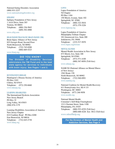National Eating Disorders Association (800) 931-2237 www.nationaleatingdisorders.org

#### **EPILEPSY**

Epilepsy Foundation of New Jersey 1 AAA Drive, Suite 203 Trenton, NJ 08691 Telephone: (800) 336-5843 (609) 392-4900

www.efnj.com

#### **HEAD INJURY/TRAUMATIC BRAIN INJURY (TBI)**

Brain Injury Alliance of New Jersey 825 Georges Road, Second Floor North Brunswick, NJ 08902 Telephone: (732) 745-0200 (800) 669-4323

www.bianj.org

## **DID YOU KNOW?**

**The Division of Disability Services administers the TBI Fund and is the lead state agency for services to individuals with brain injury. See Pages 1 and 2.**

#### **HUNTINGTON'S DISEASE**

Huntington's Disease Society of America PO Box 2103 Clifton, NJ 07015 Telephone: (973) 250-6660 www.hdsanj.org

#### **LEARNING DISABILITIES**

The International Dyslexia Association New Jersey Branch PO Box 32 Long Valley, NJ 07853 (908) 876-1179

Learning Disabilities Association of America New Jersey Chapter 614 Cranbury Road PO Box 6268 East Brunswick, NJ 08816 Telephone: (732) 645-2738 www.ldanj.org

#### **LUPUS**

Lupus Foundation of America NJ Chapter PO Box 1184 150 Morris Avenue, Suite 102 Springfield, NJ 07081 Telephone: (800) 322-5816 (973) 379-3226

## www.lupusnj.org

Lupus Foundation of America Philadelphia TriState Chapter 101 Greenwood Ave, Suite 200 Jenkintown, PA 19046 Telephone: (215) 517-5070 www.lupus.org/tristate

#### **MENTAL ILLNESS**

Mental Health Association in New Jersey 673 Morris Ave, Suite 100 Springfield, NJ 07081 Telephone: (973) 571-4100 (800) 367-8850 (Toll-free)

## www.mhanj.org

NAMI NJ (National Alliance on Mental Illness of New Jersey) 1562 Route 130 North Brunswick, NJ 08902 Telephone: (732) 940-0991 www.naminj.org

National Coalition for Mental Health Recovery 611 Pennsylvania Ave, SE # 133 Washington, DC 20003 Telephone: (877) 246-9058 www.ncmhr.org

National Mental Health Consumer's Self-Help Clearinghouse 1211 Chestnut Street, Suite 1100 Philadelphia, PA 19107 Telephone: (800) 553-4539 (Toll-free) (800)-688-4226 Ext: 3812 (Toll-free) www.mhselfhelp.org

**For the Division of Mental Health and Addiction Services, See Page 9**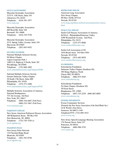#### **MUSCULAR DYSTROPHY**

Muscular Dystrophy Association 2132 S. 12th Street, Suite 101 Allentown, PA 18103 Telephone: (610) 391-1977 www.mda.org

Muscular Dystrophy Association 600 Reed Rd, Suite 104 Broomall PA 19008 Telephone: (610) 325-5758

Muscular Dystrophy Association 25 E. Spring Valley Avenue, Suite 210 Maywood, NJ 07607 Telephone (201) 843-4452

#### **MULTIPLE SCLEROSIS**

National Multiple Sclerosis Society NJ Metro Chapter Aspen Corporate Park 1 1480 U.S. Highway 9 North, Suite 301 Woodbridge, NJ 07095 Telephone: (732) 660-1005 www.nationalmssociety.org/Chapters/NJM

National Multiple Sclerosis Society Greater Delaware Valley Chapter 30 South 17th Street, Suite 800 Philadelphia, PA 19103 Telephone: (215) 271-2400 www.nationalmssociety.org/Chapters/PAE

Multiple Sclerosis Association of America National Headquarters 733 3rd Avenue, 3rd floor New York, NY 10017 Telephone: (800) 344-4867 (Toll Free) (800) 532-7667 (Toll Free)

www.mymsaa.org/

#### **PARKINSON'S DISEASE**

New Jersey American Parkinson Disease Association 100 Kirkpatrick Street PO Box 910 New Brunswick, NJ 08901 Telephone: (732) 745-7520 x1 www.apdanj.org

#### **POLIO/POST-POLIO**

New Jersey Polio Network 110 Chestnut Ridge Road Montvale, NJ 07645 Telephone: (201) 391-0758 www.njpolio.org

#### **RESPIRATORY DISEASE**

American Lung Association New Jersey Chapter PO Box 10188, #37214 Newark, NJ 07101 www.lung.org/about-us/local-associations/new-jersey. html

#### **SICKLE CELL DISEASE**

Sickle Cell Disease Association of America SCDAA - Philadelphia/Delaware Valley 5300 Wynnefield Avenue, 2nd Floor Philadelphia, PA 19131 Telephone: (215) 471-8686 www.sicklecelldisorder.com

Sickle Cell Association of NJ 1016 Broad street P.O Box 9501 Newark, NJ 07104 Telephone: (973) 482-9070 www.sicklecellnewjersey.org

#### **SCLERODERMA**

Scleroderma Foundation Delaware Valley Chapter (Southern NJ) 385 Kings Highway North Cherry Hill, NJ 08034 Telephone: (866) 675-5545 www.scleroderma.org

Scleroderma Foundation Tri-State Chapter (Northern NJ) 59 Front Street Binghamton, NY 13905 Telephone: (607) 723-2239 (800) 867-0885 www.scleroderma.org

#### **SENSORY IMPAIRMENTS**

Everas Community Services (Formerly the New Jersey Association of the Deaf-Blind, Inc.) 24 K World's Fair Drive Somerset, NJ 08873-1349 Telephone/TTY: (732) 805-1912 www.everas.org

New Jersey Speech-Language-Hearing Association 174 Nassau Street, Suite 337 Princeton, NJ 08542 Telephone: (888) 906-5742 www.njsha.org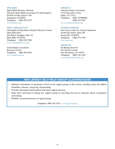#### **SPINA BIFIDA**

Spina Bifida Resource Network (formerly Spina Bifida Association Tri-State Region) 84 Park Avenue, Suite G-106 Flemington, NJ 08822 Telephone: (908) 782-7475 www.thesbrn.org

### **SPINAL CORD INJURY (SCI)**

Christopher & Dana Reeve Paralysis Resource Center Short Hills Plaza 636 Morris Turnpike, Suite 3A Short Hills, NJ 07078 Telephone: (800) 539-7309 www.christopherreeve.org

United Spinal Association Resources Center Telephone: (800) 962-9629 www.spinalcord.org

#### **STROKE/CVA**

American Stroke Association 7272 Greenville Avenue Dallas, TX 75231 Telephone: (888) 4-STROKE (888) 478-7653 www.strokeassociation.org

#### **TOURETTE SYNDROME**

New Jersey Center for Tourette Syndrome 50 Division Street, Suite 205 Somerville, NJ 08876 Telephone: (908) 575-7350 www.njcts.org

#### **TRANSPLANT**

NJ Sharing Network 691 Central Avenue New Providence, NJ 07974 Telephone: (800) 742-7365 www.njsharingnetwork.org

## **NEW JERSEY SELF-HELP GROUP CLEARINGHOUSE**

- 0 Maintains information on thousands of local no-fee support groups in New Jersey, including many that address disabilities, illnesses, caregiving, and parenting
- $\oslash$  Provides information about national and online support networks
- 0 Helps those interested in starting new support groups by providing free how-to materials, phone consultation, and training
- $\mathscr{D}$  Publishes an annual directory of support groups

Telephone: (800) 367-6274 www.njgroups.org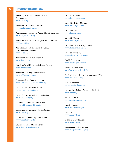## **V** INTERNET RESOURCES

ADAPT (American Disabled for Attendant Programs Today) www.adapt.org

Alliance for Inclusion in the Arts www.inclusioninthearts.org

American Association for Adapted Sports Programs www.adaptedsports.org

American Association of People with Disabilities www.aapd.com

American Association on Intellectual & Developmental Disabilities www.aaidd.org

American Chronic Pain Association www.theacpa.org

American Disability Association (ADAnet) www.ADAnet.org

American Self-Help Clearinghouse www.selfhelpgroups.org

Assistance Dogs International, Inc. www.assistancedogsinternational.org

Center for an Accessible Society www.accessiblesociety.org

Center for Hearing and Communication www.chchearing.org

Children's Disabilities Information www.childrensdisabilities.info.

Consortium for Citizens with Disabilities www.c-c-d.org

Cornucopia of Disability Information www.codi.tamucc.edu

Council for Disability Awareness www.disabilitycanhappen.org

Disabled in Action www.disabledinaction.org

Disability History Museum www.disabilitymuseum.org

Disability Info www.disability.gov

Disability Online www.disabilityonline.com

Disability Social History Project www.disabilityhistory.org

Disabled Sports USA www.disabledsportsusa.org

DO-IT Foundation www.washington.edu/doit

Eating Disorder Hope http://www.eatingdisorderhope.com

Food Addicts in Recovery Anonymous (FA) www.foodaddicts.org

Genetic Alliance www.geneticalliance.org

Harvard Law School Project on Disability www.hpod.org

Health Care Coach www.healthcarecoach.org

Healthy Hearing www.healthyhearing.com

I Am PWD www.nampwd.org

Inclusion Daily Express www.inclusiondaily.com

Independent Living Institute www.independentliving.org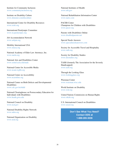Institute for Community Inclusion www.communityinclusion.org

Institute on Disability Culture www.dimenet.com/disculture

International Center for Disability Resources www.icdri.org

International Paralympic Committee www.m.paralympic.org

Job Accommodation Network www.askjan.org

Mobility International USA www.miusa.org

National Academy of Elder Law Attorneys, Inc. www.naela.org

National Arts and Disabilities Center www.semel.ucla.edu/nadc

National Center for Accessible Media www.ncam.wgbh.org

National Center on Accessibility www.ncaonline.org

National Center on Birth Defects and Developmental **Disabilities** www.cdc.gov/ncbddd

National Clearinghouse on Postsecondary Education for Individuals with Disabilities www.heath.gwu.edu

National Council on Disability www.ncd.gov

National Disability Rights Network www.ndrn.org

National Organization on Disability www.nod.org

National Institutes of Health www.nih.gov

National Rehabilitation Information Center www.naric.com

PACER Center Champions for Children with Disabilities www.pacer.org

Parents with Disabilities Online www.disabledparents.net

Special Needs Answers www.specialneedsanswers.com

Society for Accessible Travel and Hospitality www.sath.org

Society for Disability Studies www.disstudies.org

TASH (formerly The Association for the Severely Handicapped) www.tash.org

Through the Looking Glass www.lookingglass.org

Waisman Center www.waisman.wisc.edu

World Institute on Disability www.wid.org

United Nations Commission on Human Rights www.ohchr.org

U.S. International Council on Disabilities www.usicd.org

> **Don't See What You Need? Contact DDS at 1-888-285-3036**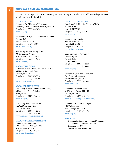# **ADVOCACY AND LEGAL RESOURCES**

This section lists agencies outside of state government that provide advocacy and low cost legal services to individuals with disabilities.

#### **ADVOCACY-GENERAL**

Advocates for Children of New Jersey 35 Halsey Street, 2nd Floor, Newark, NJ 07102 Telephone: (973) 643-3876 www.acnj.org

Association for Special Children and Families PO Box 494 Hewitt, NJ 07421-0494 Telephone: (973) 728-8744 www.ascfamily.org

New Jersey Self-Advocacy Project 985 Livingston Avenue North Brunswick, NJ 08902 Telephone: (732) 743-8345 www.arcnj.org

#### **ADVOCACY-EDUCATION**

Statewide Parent Advocacy Network (SPAN) 35 Halsey Street, 4th Floor Newark, NJ 07102 Telephone: (800) 654-7726 (973) 642-8100 www.spanadvocacy.org

#### **ADVOCACY-FAMILY SUPPORT**

The Family Support Center of New Jersey 35 Beaverson Blvd. Building 11 Brick, NJ 08723 Telephone: (800) 372-6510 www.fscnj.org

The Family Resource Network 1 AAA Drive, Suite 203 Trenton, NJ 08691 Telephone: (800) 376-2345 (609) 392-4900 www.familyresourcenetwork.org

#### **ADVOCACY-INFORMATION/RESEARCH**

United Spinal Association 120-34 Queens Blvd. Suite 320 Kew Gardens NY 11415 Telephone: (718) 803-3782 www.unitedspinal.org

#### **ADVOCACY- LEGAL SERVICES**

American Civil Liberties Union (ACLU) PO Box 32159 Newark, NJ 07102 Telephone: (973) 642-2084 www.aclu-nj.org

Education Law Center 60 Park Place, Suite 300 Newark, NJ 07102 Telephone: (973) 624-1815 www.edlawcenter.org

Legal Services of New Jersey 100 Metroplex Dr. PO Box 1357 Edison, NJ 08818 Telephone: (888) 576-5529 (732) 572-0066

### www.lsnj.org

New Jersey State Bar Association One Constitution Square New Brunswick, NJ 08901 Telephone: (732) 249-5000 www.njsba.com

Community Justice Center 310 W. State Street, Third Floor Trenton, NJ 08618 Telephone: (609) 218-5120 www.nj-communityjusticecenter.org

Community Health Law Project 185 Valley Street South Orange, NJ 07079 Telephone: (973) 275-1175 www.chlp.org

#### **BRANCH OFFICES**

Community Health Law Project (North Jersey) 650 Bloomfield Avenue, Suite 210 Bloomfield, NJ 07003 Telephone: (973) 680-5599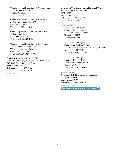Community Health Law Project (Central Jersey) 225 East State Street, Suite 5 Trenton, NJ 08608 Telephone: (609) 392-5553

Community Health Law Project (East Jersey) 65 Jefferson Avenue, Suite 402, Elizabeth, NJ 07201 Telephone: (908) 355-8282

Community Health Law Project (Shore Area) 1 Main Street, Suite 413 Eatontown, NJ 07724 Telephone: (732) 380-1012

Community Health Law Project (South Jersey) Station House Office Building 900 Haddon Avenue, Suite 400 Collingswood, NJ 08108 Telephone/TDD: (856) 858-9500

Disability Rights New Jersey (DRNJ) (formerly New Jersey Protection and Advocacy, Inc.) 210 South Broad Street, 3rd Floor Trenton, NJ 08608 Telephone: (800) 922-7233 (609) 292-9742

www.drnj.org

Division on Civil Rights (Central Regional Office) 140 East Front Street, 6th Floor PO Box 090 Trenton, NJ 08625 Telephone: (609) 292-4605 www.NJCivilRights.org

#### **BRANCH OFFICES**

Division on Civil Rights (Northern Regional Office) 31 Clinton Street, 3rd Floor Newark, NJ 07102 Telephone: (973) 648-2700

Division on Civil Rights (South Shore Regional Office) 1325 Boardwalk at Tennessee Avenue, 1st Floor Atlantic City, NJ 08401 Telephone: (609) 441-3100

Division on Civil Rights (Southern Regional Office) 5 Executive Campus Suite 107 Cherry Hill, NJ 08034 Telephone: (856) 486-4080

#### **SUPPORT GROUPS**

New Jersey Self-Help Group Clearinghouse 673 Morris Avenue Springfield, NJ 07081 Telephone: (800) 367-6274 www.njgroups.org

**For more information, see page 26**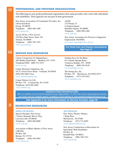#### PROFESSIONAL AND PROVIDER ORGANIZATIONS VII

The following are non-profit professional organizations that assist providers who work with individuals with disabilities. These agencies are not part of state government.

New Jersey Association of Community Providers, Inc. 140 Scotch Road Ewing, NJ 08638 Telephone: (609) 406-1400 www.njacp.org

Accses NJ Inc, CNA services 150 West State Street, Suite 120 Trenton, NJ 08608 Telephone: (609) 392-1255 www.accsesnj.org

ASAH 2125 Route 33 Lexington Square Hamilton Square, NJ 08690 Telephone: (609) 890-1400 www.asah.org

New Jersey Association for Persons in Supported Employment (NJAPSE) www.apse.org/chapter/new-jersey/

**For Home Care and Hospice Associations See Page 51**

# VIII

## SERVICE DOG RESOURCES

Canine Companions for Independence 286 Middle Island Road Medford, NY 11763 Telephone/TDD: (800) 572-2275 www.cci.org

Canine Hearing Companions, Inc. 247 E. Forest Grove Road Vineland, NJ 08360 (856) 696-3668 Voice www.chchearingdogs.org

Canine Partners for Life PO Box 170 Cochranville, PA 19330 Telephone: (610) 869-4902 www.k94life.org

Guiding Eyes for the Blind 611 Granite Springs Road Yorktown Heights, NY 10598 Telephone: (800) 942-0149 www.guidingeyes.org

The Seeing Eye, Inc. PO Box 375 Morristown, NJ 07963-0375 Telephone: (973) 539-4425 www.seeingeye.org

#### **Assistance Dogs International (ADI)**

ADI is a coalition of not for profit assistance dog organizations. To find other service dog programs serving your area, use the "program search" available on their website at: *www.assistancedogsinternational.org*

**See Appendix 5 for more information on Service Animals, page 58**

#### RECREATION RESOURCES IX

#### **SPORTS AND TRAINING**

Special Olympics New Jersey 1 Eunice Kennedy Shriver Way Lawrenceville, NJ 08648 Telephone: (609) 896-8000 www.sonj.org

Association of Blind Athletes of New Jersey (ABANJ) PO Box 294 Belmar, NJ 07719 Telephone: (848) 459-5983 www.abanj.org

#### **ARTS PROGRAMS**

New Jersey Theatre Alliance 7 King Place Morristown, NJ 07960 Telephone: (973) 731-6582 www.njtheatrealliance.org

New Jersey Commission on Recreation for Individuals With Disabilities PO Box 26 Kendall Park, NJ 08824 Telephone: (908) 768-2743 www.njcrid.org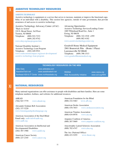# ASSISTIVE TECHNOLOGY RESOURCES

#### **ASSISTIVE TECHNOLOGY**

Assistive technology is equipment or a service that serves to increase, maintain or improve the functional capability of an individual with a disability. This section lists agencies, outside of state government, that provide awareness of and access to assistive technology.

Assistive Technology Advocacy Center (ATAC) "Back in Action" 210 S. Broad Street, 3rd Floor Trenton, NJ 08608 Telephone: (800) 922-7233 (609) 292-9742 www.drnj.org/atacprogram.htm

National Disability Institute's Assistive Technology Loan Program Telephone: (202) 449-9521 www.realeconomicimpact.org/asset-development/ assistive-technology-loan-program

Advancing Opportunities Assistive Technology Services/Lending Center 1005 Whitehead Road Ext., Suite 1 Ewing, NJ 08638 Telephone: (888) 322-1918 x595 (609) 882-4182 www.assistivetechnologycenter.org

Goodwill Home Medical Equipment 2901 Brunswick Pike (Route 1 Plaza) Lawrenceville NJ 08648 Telephone: (609) 396-1513 www.goodwillhomemedical.org

## **TECHNOLOGY RESOURCES ON THE WEB**

Able Data *www.abledata.com* AssistiveTech.net *www.assistivetech.net* Northeast ADA & IT Center *www.northeastada.org*

RESNA *www.resna.org* Web Accessibility Initiative *www.w3.org/WAI*

# XI

# NATIONAL RESOURCES

Many national organizations can offer assistance to people with disabilities and their families. Here are some telephone numbers, hotlines, and websites for additional resources.

AHEAD

(704) 947-7779 www.ahead.org

Alexander Graham Bell Association (202) 337-5220 www.listeningandspokenlanguage.org

American Association of the Deaf-Blind Email only: aadb-info@aadb.org www.aadb.org

American Association on Intellectual and Developmental Disabilities (202) 387-1968 www.aaidd.org

American Cancer Society (800) 227-2345 www.cancer.org American Foundation for the Blind (800) 232-5463 www.afb.org

American Stroke Association (888) 478-7653 www.strokeassociation.org

American Tinnitus Association (800) 634-8978 www.ata.org

Amputee Coalition of America (888) 267-5669 www.amputee-coalition.org

Amyotrophic Lateral Sclerosis Association (800) 782-4747 www.alsa.org

The Arc (National Office) (800) 433-5255 www.thearc.org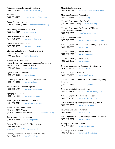#### Arthritis National Research Foundation

(800) 588-2873 www.curearthritis.org

Audient (866) 956-5400 x2 www.audientalliance.org

Better Hearing Institute (800) 327-9355 (Voice) www.betterhearing.org

Brain Injury Association of America (800) 444-6443 www.biausa.org

Burn Association of America (312) 642-9260 www.ameriburn.org

Celiac Support Association (877) 272-4272 www.csaceliacs.org

Children and Adults with Attention Deficit Disorder (CHADD) (800) 233-4050 www.chadd.org

Solve ME/CFS Initiative (formerly Chronic Fatigue and Immune Dysfunction Syndrome Association of America) (704) 364-0016 www.solvecfs.org

Cystic Fibrosis Foundation (800) 344-4823 www.cff.org

Disability Rights Education and Defense Fund (800) 348-4232 www.dredf.org

Easter Seals National Headquarters (800) 221-6827 www.easterseals.com

Epilepsy Foundation (800) 332-1000 www.epilepsy.com

Hearing Loss Association of America (301) 657-2248 www.hearingloss.org

Helen Keller National Center (516) 944-8900 (Voice) (516) 570-3626 (Video phone) www.helenkeller.org

Job Accommodation Network (800) 526-7234 www.askjan.org

Laurent Clerc National Deaf Education Center (202) 651-5051 www.gallaudet.edu/clerc-center.html

Learning Disabilities Association of America (412) 341-1515 www.ldanatl.org

Mental Health America (800) 969-6642 www.mentalhealthamerica.net

Muscular Dystrophy Association (800) 572-1717 www.mda.org

National Association of the Deaf (301) 587-1788 (Voice) www.nad.org

National Association for Parents of Children with Visual Impairments (800) 562-6265 http://www.napvi.org

National Autism Center (877) 313-3833 www.nationalautismcenter.org

National Council on Alcoholism and Drug Dependence (800) 622-2255 www.ncadd.org

National Down Syndrome Congress (800) 232-6372 www.ndsccenter.org

National Down Syndrome Society (800) 221-4602 www.ndss.org

National Education for Assistance Dog Services (978) 422-9064 www.neads.org

National Fragile X Foundation (800) 688-8765 www.fragilex.org

National Library Services for the Blind and Physically Handicapped (800) 424-8567 www.loc.gov/nls

National Multiple Sclerosis Society (800) 344-4867 www.nationalmssociety.org

National Organization for Rare Disorders (800) 999-6673 www.rarediseases.org

Office of Disability Employment Policy (ODEP) (866) 633-7365 www.dol.gov/odep

Paralyzed Veterans of America (800) 424-8200 www.pva.org

Reflex Sympathetic Dystrophy Syndrome Association (877) 662-7737 www.rsds.org

Society for Disability Studies (716) 645-0276 www.disstudies.org

United Spinal Association (800) 404-2898 www.unitedspinal.org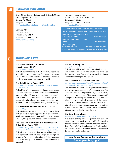#### RESEARCH RESOURCES XII

The NJ State Library Talking Book & Braille Center 2300 Stuyvesant Avenue Trenton NJ 08618 Telephone: (800) 792-8322 www.njstatelib.org/talking-book-braille-center/

Learning Ally 20 Roszel Road Princeton, NJ 08540 Telephone: (800) 221-4792 www.learningally.org

New Jersey State Library PO Box 520, 185 West State Street Trenton, NJ 08625 Telephone: (609) 278-2640 www.njstatelib.org

## **RESEARCH RESOURCES ON THE WEB** Disability Research Institute *www.dri.uiuc.edu/default.htm* National Center for the Dissemination of Disability Research *www.ncddr.org* National Rehabilitation Information Center *www.naric.com*

Spinal Cord Injury Information Network *www.uab.edu/medicine/sci/* US Census Bureau *www.census.gov/topics/health/disability.html*

#### RIGHTS AND LAWS XIII

## **The Individuals with Disabilities Education Act (IDEA)**

https://sites.ed.gov/idea/

Federal law mandating that all children, regardless of disability, are entitled to a free, appropriate education, without extra cost and in the least restrictive and least segregated environment possible.

#### **The Rehabilitation Act of 1973**

#### https://www.access-board.gov/the-board/laws/rehabilitation-act-of-1973

Federal law which mandates all federal government agencies, and agencies with federal government contracts, to take affirmative action to employ people with disabilities. It also protects otherwise qualified people with disabilities from being denied services or benefits from a program receiving federal money.

## **The Americans with Disabilities Act (ADA)** www.ADA.gov

Federal civil rights law which guarantees individuals with disabilities equal opportunity in employment, public accommodations, state and local government services, transportation, and telecommunications.

### **The Developmental Disabilities Assistance and Bill of Rights Act of 2000**

https://www.acl.gov/about-acl/authorizing-statutes/developmental-disabilities-assistance-and-bill-rights-act-2000 Federal law mandating that an individual with a developmental disability has a right to appropriate treatment for his or her disability, and that treatment should be designed to maximize the individual's potential.

#### **The Fair Housing Act**

#### www.justice.gov/crt/fair-housing-act-2

Federal law which prohibits discrimination in the sale or rental of houses and apartments. It is also discriminatory to refuse to allow the modification of a home to provide physical access.

### **The Motorized Wheelchair Lemon Law**

www.njconsumeraffairs.gov/News/Consumer%20Briefs/ motorized-wheelchair-lemon-law.pdf

The Wheelchair Lemon Law requires manufacturers to give customers warranties of at least one year that cover defects which impair the use, value or safety of the chair or scooter. After three unsuccessful attempts at repairing the same problem with the wheelchair or motorized scooter or if the wheelchair or motorized scooter is out of service for a total of twenty days, the customer may be entitled to a replacement, refund, or early lease termination, minus a reasonable allowance for use.

#### **The Snow Removal Act**

#### www.njleg.state.nj.us/2006/Bills/PL07/287\_.PDF

In a public parking area, the person who owns or controls the area shall be responsible for assuring that the restricted spaces remain free from obstruction. This includes shopping carts and other debris. Ice and snow must be removed within 24 hours after the weather condition has ceased.

**New Jersey Accessible Parking Laws See Appendix 1, pg 56**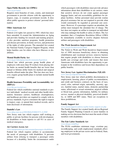#### **Open Public Records Act (OPRA)**

#### www.nj.gov/opra/

Requires most branches of state, county, and municipal government to provide citizens with the opportunity to inspect, copy, or examine government records. It does allow public agencies to protect citizens' personal information.

#### **Older Americans Act**

#### www.aoa.gov

Federal civil rights law passed in 1965, which has since been amended. It created the Administration on Aging and provides funding for research and training projects. It also provides nutrition programs, health promotion and disease prevention, in-home services, and protection of the rights of older persons. The amended Act created the National Family Caregiver Support Program, which helps families care for elders who have illnesses or disabilities.

#### **Mental Health Parity Act**

#### www.nj.gov/mhstigmacouncil/community/legislation

Federal law which prevents group health plans of employers with more than 50 workers from placing dollar limits on mental health benefits that are lower than annual or lifetime dollar limits for medical and surgical benefits offered under the plan. This law does not, however, require group health plans to include mental health coverage.

## **Health Insurance Portability and Accountability Act (HIPAA)**

## www.hhs.gov/ocr/privacy

Federal law which establishes national standards to protect individuals' medical records and other health information. Insurance carriers, healthcare clearinghouses, and healthcare providers are required to comply with its privacy standards. It gives consumers the right to request to inspect, copy, or amend their medical records, and to limit disclosure of information.

#### **Danielle's Law**

### www.njleg.state.nj.us/2002/Bills/S3000/2572\_I1.PDF

New Jersey state law which requires staff working at public or private facilities for persons with developmental disabilities or brain injuries to call 911 in cases of medical emergency.

#### **Air Carriers Access Act**

#### www.transportation.gov/airconsumer/passengers-disabilities

Federal law which requires airlines to accommodate the needs of passengers with disabilities. It prevents airlines from refusing to transport a passenger solely because of a disability; limits the circumstances under which passengers with disabilities must provide advance information about their disabilities to air carriers; states that assistive devices do not count against passenger baggage limits; and sets accessibility guidelines for airplane facilities. Airline personnel must provide routine physical assistance but are not required to provide what would customarily be regarded as personal care assistance. However, if a passenger requires an attendant, the airline must transport the attendant free of charge. The law does not require an airline to transport an individual who may endanger the health or safety of others. The Act mandates that a Complaints Resolution Officer (CRO) be immediately available to resolve disputes between airlines and passengers with disabilities.

#### **The Work Incentives Improvement Act**

#### www.ssa.gov/work/overview.html

The Ticket to Work and Work Incentives Improvement Act of 1999 increases beneficiary choice in obtaining rehabilitation and vocational services; removes barriers that require people with disabilities to choose between health care coverage and work; and insures that more Americans with disabilities have the opportunity to participate in the workforce and lessen their dependence on public benefits.

#### **New Jersey Law Against Discrimination (NJLAD)** www.state.nj.us/lps/dcr/law.html

New Jersey state law which prohibits discrimination in employment, housing, places of public accommodation, and credit and business contracts on the basis of race, creed, color, national origin, nationality, ancestry, age, sex, familial status, marital status, domestic partnership status, affectional or sexual orientation, atypical cellular or blood trait, genetic information, liability for military service, mental or physical disability, perceived disability, or AIDS and HIV status. There are exceptions to these prohibitions.

#### **Family Support Act**

www.familysupportcoalition.org/the-family-support-act.php

The Family Support Act created family-driven Regional Family Support Planning Councils to assist families in making service decisions that best meet the needs of their members with disabilities.

#### **The Fair Labor Standards Act**

#### www.dol.gov/whd/flsa/

The FLSA establishes minimum wage, overtime pay, recordkeeping, and youth employment standards affecting employees in the private sector and in Federal, State, and local governments.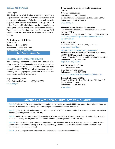### **LEGAL ASSISTANCE**

#### **Civil Rights**

The Division on Civil Rights, within the New Jersey Department of Law and Public Safety, is responsible for investigating allegations of discrimination and for seeking resolution through conciliation, hearings, or court orders. People with disabilities can file a complaint by calling the division or any of its enforcement branches. Complaints must be filed with the Division on Civil Rights within 180 days after the alleged act of discrimination.

#### **NJ Division on Civil Rights**

PO Box 090 Trenton, NJ 08625-0090 Telephone: (609) 292-4605 www.nj.gov/oag/dcr/index.html

## **See Pages 14 and 30**

#### **DISABILITY RIGHTS INFORMATION SERVICES**

The following telephone numbers and Internet sites offer access to federal agencies and other organizations which provide information about the Americans with Disabilities Act (ADA), as well as guidance in understanding and complying with provisions of the ADA and other federal disability rights laws.

#### **Department of Justice**

ADA Information Line: (800) 514-0301 www.ada.gov

## **Equal Employment Opportunity Commission (EEOC)**

National Headquarters Telephone: (800) 669-4000 To be automatically connected to the nearest EEOC field office: (866) 408-8075 www.eeoc.gov

#### **Federal Communications Commission**

Consumer Information on Telecommunications Relay Services (TRS) Telephone: (888) 225-5322 VP: (844) 432-2275 www.fcc.gov/encyclopedia/telecommunications-relay-services-trs

## **US Access Board**

Documents and questions: (800) 872-2253 www.access-board.gov

### **INFORMATION ON OTHER LAWS OF INTEREST**

**Individuals with Disabilities Education Act (IDEA) of 1990 US Department of Education** Office of Special Education and Rehabilitative Services Telephone: (202) 245-7468 https://sites.ed.gov/idea/

#### **Fair Housing Act of 1988**

New Jersey/New York HUD Fair Housing Office Telephone: (800) 496-4294 www.hud.gov/offices/fheo/aboutfheo/fhhubs.cfm

#### **Rehabilitation Act of 1973**

Disability Rights Section, Civil Rights Division, U.S. Department of Justice:<br>Telephone: (800) 51 (800) 514-0301 www.ada.gov

## **AMERICANS WITH DISABILITIES ACT AT A GLANCE**

**Title I** (Employment) Ensures that qualified job applicants and employees with disabilities are protected from discrimination on the basis of disability. Enforced by the Equal Employment Opportunity Commission (EEOC)

**Title II** (Public Services) Requires equal access for people with disabilities to state and local government programs and services. Enforced by the Department of Justice (DOJ)

**Title III** (Public Accommodations and Services Operated by Private Entities) Mandates access to goods and services to people with disabilities in places of public accommodation. Enforced by the Department of Justice (DOJ)

**Title IV** (Public Communication Systems) Establishes the Telecommunication Relay Service and requires any public service announcement that is funded wholly or in part by the federal government to be closed-captioned. Enforced by the Federal Communications Commission (FCC)

**Title V** (Misc.) Compliance mechanisms for the administration of the provisions of the ADA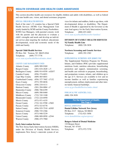# HEALTH COVERAGE AND HEALTH CARE ASSISTANCE

This section describes health care resources for eligible children and adults with disabilities, as well as federal and state health care, vision, and dental assistance programs.

#### **SPECIAL CHILD HEALTH SERVICES**

XIV

Each of the state's 21 counties has a Special Child Health Services (SCHS) Case Management Unit jointly funded by SCHS and the County Freeholders. SCHS Case Managers, with parental consent, work with the parents and the physician to evaluate a child's strengths and needs and develop an individual service plan targeting the medical, educational, developmental, social and economic needs of the child and family.

#### **Special Child Health Services**

PO Box 364 Trenton, NJ 08625-0364 Telephone: (609) 777-7778 www.state.nj.us/health/fhs/sch/index.shtml

#### **COUNTY CASE MANAGEMENT UNITS**

| <b>Atlantic County</b>   | $(609)$ 909-9269        |  |
|--------------------------|-------------------------|--|
| <b>Bergen County</b>     | $(201)$ 634-2620 x 5    |  |
| <b>Burlington County</b> | $(609)$ 914-8550 x42837 |  |
| <b>Camden County</b>     | $(856)$ 374-6021        |  |
| Cape May County          | $(609)$ 465-6841        |  |
| <b>Cumberland County</b> | (856) 327-7602 x7132    |  |
| <b>Essex County</b>      | $(973)$ 395-8836        |  |
| <b>Gloucester County</b> | $(856)$ 218-4111        |  |
| <b>Hudson County</b>     | $(201)$ 204-0004 x7     |  |
| <b>Hunterdon County</b>  | $(908) 788 - 6399$      |  |
| <b>Mercer County</b>     | $(609)$ 588-8460        |  |
| Middlesex County         | $(732)$ 745-3100        |  |
| <b>Monmouth County</b>   | $(732)$ 224-6950        |  |
| <b>Morris County</b>     | $(973)$ 971-4155        |  |
| <b>Ocean County</b>      | (732) 341-9700 x7602    |  |
| Passaic County           | $(973) 523 - 6778$      |  |
| <b>Salem County</b>      | (856) 935-7510 x8305    |  |
| <b>Somerset County</b>   | $(908)$ 725-2366        |  |
| <b>Sussex County</b>     | (973) 948-5239          |  |
| <b>Union County</b>      | (908) 889-0950 x2544    |  |
| <b>Warren County</b>     | $(908)$ 475-7960        |  |

#### **Early Intervention Services**

The New Jersey Early Intervention System (NJEIS), under the Division of Family Health Services, implements New Jersey's statewide system of ser-

vices for infants and toddlers, birth to age three, with developmental delays or disabilities. The Department of Health is appointed by the Governor as the state lead agency for the Early Intervention System. Telephone: (888) 653-4463 www.state.nj.us/health/fhs/eis/for-families/

# **DIVISION OF FAMILY HEALTH SERVICES NJ Family Health Line**

Telephone: (800) 328-3838

**Newborn Screening and Genetic Services** Telephone: (609) 292-1582

#### **SUPPLEMENTAL NUTRITION -NEW JERSEY WIC**

The Supplemental Nutrition Program for Women, Infants, and Children (WIC) provides supplemental nutritious foods, nutrition education, breastfeeding promotion and support, immunization screening, and health care referrals to pregnant, breastfeeding, and postpartum women, infants, and children up to the age of 5. Services are available to low and no income families as well as families experiencing unemployment, military deployment and other interim family financial hardships.

www.nj.gov/health/fhs/wic/index.shtml

#### **FOR LOCAL WIC AGENCIES, CALL:** (800) 328-3838

**For the Department of Health, See Page 9**

#### **DENTAL ASSISTANCE**

**Dental Lifeline Network New Jersey** PO Box 2117 Edison, NJ 08818 Telephone: (732) 821-3056 www.dentallifeline.org/newjersey/

#### **Rutgers School of Dental Medicine**

110 Bergen Street Newark, NJ 07101 Telephone: (973) 972-7370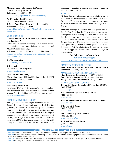## **Matheny Center of Medicine & Dentistry**

PO Box 339, Peapack, NJ 07977 Telephone: (908) 234-0011 www.matheny.org/center-of-medicine-dentistry

## **NJDA Senior-Dent Program**

c/o New Jersey Dental Association 1 Dental Plaza, North Brunswick, NJ 08902-6020 Telephone: (732) 821-9400

www.njda.org/for-the-public/dental-clinics-programs/ senior-dent

#### **VISION ASSISTANCE**

## **CBVI's Project BEST "Better Eye Health Services and Treatment"**

Offers free preschool screening, adult vision screening, mobile unit screening, diabetic eye screening, and Migrant Worker Screening.

Telephone: (877) 685-8878 (973) 648-7400

http://www.state.nj.us/humanservices/cbvi/services/prevention/index.html

#### **EyeCare America**

www.aao.org/eyecare-america

#### **ReSpectacle**

Donates free, used eyeglasses www.respectacle.org/

## **New Eyes For The Needy**

549 Millburn Ave., PO Box 332, Short Hills, NJ 07078 Telephone: (973) 376-4903

www.new-eyes.org

## **New Jersey Health Link**

New Jersey HealthLink is the nation's most comprehensive healthcare consumer information website serving seniors, families, children and healthcare professionals. www.nj.gov/njhealthlink

### **NEW JERSEY HEARING AID PROJECT**

Through this innovative project launched by the New Jersey Division of the Deaf and Hard of Hearing (DDHH), Montclair State University, and Sertoma/ Hearing Charities of America, used hearing aids are collected, reconditioned, and dispensed free to eligible seniors in need. Eligible New Jersey Residents must be 65 years of age or older and have an income of no more than 250% of the federal poverty level - \$27,189 if single; \$33,334 if married. For more information on obtaining or donating a hearing aid, please contact the DDHH at 800-792-8339.

### **MEDICARE**

Medicare is a health insurance program, administered by the Centers for Medicare and Medicaid Services (CMS), for people 65 years of age or older, certain younger people with disabilities, and people with End-Stage Renal Disease.

Medicare coverage is divided into four parts: Part A, Part B, Part C and Part D. Part A helps to pay for care in hospitals, skilled nursing facilities, and hospice care. Part B helps pay for doctors, outpatient hospital care, and some other services not covered under Part A. Part C, also known as Medicare Advantage, is a managed care option through which enrollees get Parts A, B and D benefits. Part D, administered by private insurance companies approved by Medicare, provides coverage for prescriptions.

## **For Medicare information: www.medicare.gov 800-MEDICARE (633-4227)**

#### **NEW JERSEY MEDICARE COUNSELING**

**State Health Insurance and Assistance Program (SHIP)** Telephone: (800) 792-8820

### **NEW JERSEY STATE GOVERNMENT CONTACTS**

**State Insurance Department:** (609) 292-5360 **State Medical Assistance Office:** (609) 588-2600 **Long Term Care Ombudsman:** (877) 582-6995

## **FEDERAL GOVERNMENT CONTACTS**

**Center for Disease Control and Prevention (CDCP)**  (800) 232-4636 www.cdc.gov

**Department of Veterans Affairs (DVA)**

(800) 827-1000 www.va.gov

**Health Resources and Services Administration (HRSA)** www.hrsa.gov

#### **Office on Civil Rights** (800) 368-1019 www.hhs.gov/ocr

**Office of the Inspector General** (800) 869-4499 www.justice.gov/oig

### **Railroad Retirement Board** (877) 772-5772 www.rrb.gov

## **MEDICARE COVERAGE AT A GLANCE**

**Part A:** Medically necessary care in hospitals, skilled nursing facilities, hospice, and some home health care **Part B:** Doctor visits, preventive care, laboratory and x-ray services, durable medical equipment, hospital outpatient services, home health care, and ambulance service

**Part C:** Also known as Medicare Advantage, is a managed care option through which enrollees get Parts A, B and D benefits. Part D: Coverage for some medically approved pharmaceuticals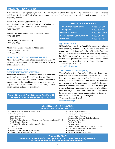## **MEDICAID (800) 356-1561**

New Jersey's Medicaid program, known as NJ FamilyCare, is administered by the DHS Division of Medical Assistance and Health Services. NJ FamilyCare covers certain medical and health care services for individuals who meet established eligibility standards.

## **MEDICAL ASSISTANCE CUSTOMER CENTERS**

Atlantic / Burlington / Camden/ Cape May / Cumberland Counties/ Gloucester / Mercer / Salem Counties (856) 614-2870

Bergen / Passaic / Morris / Sussex / Warren Counties (973) 977-4077

Essex County / Hudson County (973) 648-3700

Monmouth / Ocean / Middlesex / Hunterdon / Somerset / Union Counties (732) 863-4400

## **MEDICAID THROUGH MANAGED CARE**

Most NJ FamilyCare recipients are enrolled with an HMO to manage their services. See the blue box above for a list of HMOs serving NJ.

## **MEDICAID HOME AND COMMUNITY-BASED WAIVERS**

Medicaid waivers include traditional State Plan Medicaid services plus expanded Medicaid services to allow individuals who require a facility level of care to receive the support services they need to remain living in the community. Waivers have clinical and financial eligibility criteria which must be met prior to enrollment.

**County Boards of Social Services, See Page 17 To report Medicaid fraud: 877-55-FRAUD**

## **HMO Contact Numbers**

| Aetna Better Health of NJ        | 1-855-232-3596 |
|----------------------------------|----------------|
| Amerigroup                       | 1-800-600-4441 |
| <b>Horizon NJ Health</b>         | 1-800-682-9090 |
| United Healthcare Community Plan | 1-800-941-4647 |
| <b>WellCare</b>                  | 1-888-453-2534 |

## **NJ FAMILY CARE**

NJ FamilyCare, New Jersey's publicly funded health insurance program, includes CHIP, Medicaid, and Medicaid expansion populations under the Affordable Care Act (ACA). That means qualified NJ residents of any age may be eligible for free or low cost health insurance that covers doctor visits, prescriptions, vision, dental, mental health and substance use services, and even hospitalization. Telephone: (800) 701-0710

www.njfamilycare.org

## **The Affordable Care Act (ACA)**

The Affordable Care Act (ACA) offers affordable health insurance for eligible residents. Under the ACA, millions of Americans have benefited by having access to doctors, medical professionals and others. Marketplaces or "exchanges" offer consumers and small businesses a choice of standardized health plans. For the most part, these marketplaces serve people who are not offered insurance by a large employer. Enrollment periods are limited; however, special enrollment opportunities for those who need it are available throughout the year. Telephone: (800) 318-2596

www.healthcare.gov

| <b>MEDICAID AT A GLANCE</b><br><b>MEDICAID SERVICES MAY INCLUDE:</b>                                                                                                                                                                                                                                                                                                                                                                 |                                                                                                                                                                                                                                                                                                                                                                                                   |  |  |
|--------------------------------------------------------------------------------------------------------------------------------------------------------------------------------------------------------------------------------------------------------------------------------------------------------------------------------------------------------------------------------------------------------------------------------------|---------------------------------------------------------------------------------------------------------------------------------------------------------------------------------------------------------------------------------------------------------------------------------------------------------------------------------------------------------------------------------------------------|--|--|
| • Certified Nurse Practitioner/Clinical Nurse<br>• Specialist Services<br>• Chiropractic Services<br>• Dental Services<br>• Early and Periodic Screenings, Diagnosis, and Treatment (under age 21 only)<br>• Family Planning Services<br>• HealthStart Maternity and Pediatric Care Services<br>• Home Care Services<br>• Hospice Services<br>• Inpatient and Outpatient Hospital Services<br>• Laboratory and Radiological Services | • Medical Day Care Services<br>• Medical Supplies and Equipment<br>• Nursing Facility Services<br>• Optometric Services and Optical Appliances<br>• Pharmaceutical Services<br>• Physician Services<br>• Podiatric Services<br>• Prosthetic and Orthotic Devices and Hearing Aids<br>• Psychological and Mental Health Services<br>• Rehabilitative Services<br>• Medical Transportation Services |  |  |
| "Where's My Ride?"                                                                                                                                                                                                                                                                                                                                                                                                                   |                                                                                                                                                                                                                                                                                                                                                                                                   |  |  |

**Individuals on Medicaid/NJ FamilyCare can call LogistiCare at (866) 527-9934 to schedule rides to and from medical appointments.**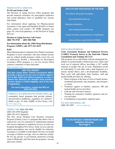#### **PHARMACEUTICAL ASSISTANCE**

#### **PAAD and Senior Gold**

The Division of Aging Services offers programs that provide financial assistance for prescription medicines and certain pharmacy items to qualified low income individuals.

For information about applying for Pharmaceutical Assistance to the Aged and Disabled (PAAD) or Senior Gold, contact your county's NJ ADRC program (see page 19), your local pharmacy, or the Division of Aging Services.

## **Division of Aging Services Call Center (800) 792-9745 (609) 588-7048**

## **For information about the AIDS Drug Distribution Program (ADDP), call: (877) 613-4533**

## **Rx4NJ**

Many pharmaceutical companies have Patient Assistance Programs to assist consumers who have limited income and are without health insurance which covers the cost of medications. Rx4NJ, a Partnership for Prescription Assistance (PPA) program, is a no-cost service which connects consumers to these discounts.

## https://nj.pparx.org

## **DID YOU KNOW?**

**The New Jersey Motor Vehicle Commission (MVC) provides a discount on the cost of vehicle registration to SSI, PAAD and Lifeline recipients. In order to receive this discount, the recipient must provide a current Lifeline or PAAD eligibility card at the time of registration.** 

**For more information, contact the MVC at: (609) 292-6500**

**FEDERALLY QUALIFIED HEALTH CENTERS (FQHCs)** are community based programs that provide primary and preventive healthcare, regardless of a patient's ability to pay. To find a FQHC in New Jersey, visit www.njpca.org.

#### **CHARITY CARE** (866) 588-5696

(609) 292-4709 (English)

and assets criteria.

(609) 292-4715 (Spanish) The New Jersey Hospital Care Payment Assistance Program (Charity Care) is a program that allows free or reduced fee care for uninsured or underinsured patients who receive inpatient or outpatient services at acute care hospitals throughout New Jersey. Some services and outpatient prescriptions may not be eligible for reduction. Assistance is available to individuals who have no health coverage or limited coverage, who are otherwise ineligible for any private or government sponsored coverage (such as Medicaid), and who meet the program's income

#### **HEALTHCARE RESOURCES ON THE WEB**

The Patient Advocate Foundation

*www.patientadvocate.org*

Medicare Interactive

 *www.medicareinteractive.org*

Center for Ethics and Advocacy in Healthcare

*www.guidestar.org/profile/36-3878528*

#### **MENTAL HEALTH SERVICES**

## **Crisis Assessment Response and Enhanced Services (CARES) Formerly known as the Statewide Clinical Consultation and Training (SCCAT)**

This program serves individuals with developmental disabilities in mental health or behavioral crises. Their staff work out of regional offices, providing a 24/7 mobile response to people who are in crisis. Population served are individuals 21 and older with a dual diagnosis of a serious mental illness and a developmental disability. They work with individuals, their families, staff and mental health providers by offering:

- **•** Direct response at the time of crisis in family homes, residential placements, day programs, and emergency rooms
- **•** Technical support to families, sponsors, DD and mental health service providers
- **•** Link-up with relevant resources
- **•** Training for consumers, families, sponsors, and service providers
- **•** Consultations at psychiatric inpatient units

**For more information, call:** (888) 393-3007 www.sccatnj.org

> **For the Division of Mental Health and Addiction Services, See Page 9**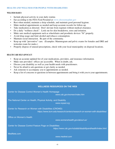## **HEALTH AND WELLNESS FOR PEOPLE WITH DISABILITIES**

## **WELLNESS BASICS**

- **•** Include physical activity in your daily routine.
- Eat according to the FDA Food Pyramid at www.choosemyplate.gov
- **•** Rest when needed, maintain a sleep schedule, and maintain good personal hygiene.
- **•** Make medical appointments as needed and keep accurate records for follow-up.
- Take medication as directed. Don't deviate from regimen without medical clearance.
- **•** Do a daily "wellness check". Look out for skin breakdown, sores and irritation.
- **•** Make sure medical equipment such as wheelchairs and prosthetic devices "fit" properly.
- **•** Avoid drug usage and limit alcohol and tobacco consumption.
- **•** Maintain social interaction. Be part of the community.
- **•** Keep up with "preventive" care. (Examples: Mammogram and pelvic exams for females and DRE and testicular exam for males.)
- Properly dispose of unused prescriptions, check with your local municipality on disposal locations.

## **HEALTH CARE SELF-ADVOCACY**

- **•** Keep an accurate updated list of your medications, providers, and insurance information.
- **•** Make sure providers' offices are accessible. When in doubt, ask.
- **•** Discuss your disability as well as your health needs with practitioners.
- Never be afraid to ask questions or get clarity as needed.
- **•** Ask someone to accompany you to appointments as needed.
- **•** Keep a list of concerns or questions in between appointments and bring it with you to your appointments.

## **WELLNESS RESOURCES ON THE WEB**

Center for Disease Control Women's Health Homepage

*www.cdc.gov/women/index.htm*

The National Center on Health, Physical Activity, and Disability *www.ncpad.org*

Center for Research on Women with Disabilities (CROWD) *https://www.bcm.edu/research/centers/research-on-women-with-disabilities/*

Office on Women's Health

*www.womenshealth.gov/about-us/*

Center for Disease Control Feature Page on Disabilities

*https://www.cdc.gov/ncbddd/disabilityandhealth/index.html*

MedNets.com

*www.mednet.com*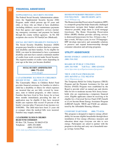# **XV** FINANCIAL ASSISTANCE

## **SUPPLEMENTAL SECURITY INCOME**

The Federal Social Security Administration administers the Supplemental Security Income (SSI) Program, under which persons age 65 years and older, or those who are blind or have disabilities (including children), receive maintenance payments from that agency and supportive services (including emergency assistance and payment for burial) through the county welfare agencies. In NJ, SSI recipients also receive NJ FamilyCare (Medicaid).

#### **SOCIAL SECURITY DISABILITY INSURANCE**

The Social Security Disability Insurance (SSDI) program pays benefits to workers that have a permanent disability and their families. To be eligible for SSDI, you must be determined to have a permanent disability and must have earned a minimum number of credits from work covered under Social Security. The required number of credits varies depending on your age at the time you became disabled.

## **SOCIAL SECURITY ADMINISTRATION (800) 772-1213 www.ssa.gov**

### **CATASTROPHIC ILLNESS IN CHILDREN RELIEF FUND (800) 335-FUND**

The Catastrophic Illness in Children Relief Fund provides financial assistance for families in which a child has a disability or illness for which expenses are incurred that are not fully covered by insurance, state or federal programs, or other sources. Families that have lived in New Jersey for at least three months immediately preceding the date of application may be eligible if they have incurred health care expenses that exceed 10 percent of the family's income (plus 15 percent of any income over \$100,000). The child must have been 21 years old or younger when the medical bills were incurred. Families may reapply annually.

## **CATASTROPHIC ILLNESS IN CHILDREN RELIEF FUND COMMISSION**

PO Box 728, Trenton, NJ 08625-0728 Telephone: (609) 292-0600 (800) 335-FUND www.state.nj.us/humanservices/cicrf/home/

## **HOMEOWNERSHIP PRESERVATION FOUNDATION 888-995-HOPE (4673)** www.995hope.org

The Homeownership Preservation Foundation (HPF) is a nonprofit group that helps financially challenged homeowners navigate their budget problems and, whenever possible, helps them to avoid mortgage foreclosure. The Home Ownership Preservation Effort (HOPE) Hotline provides advising services to distressed homeowners for free, 24 hours a day, 7 days a week, 365 days a year, in over 170 languages. HPF develops innovative and sustainable solutions to preserve and expand homeownership through consumer education and advising programs.

## UTILITY ASSISTANCE

**HOME ENERGY ASSISTANCE HOTLINE (800) 510-3102**

#### **BOARD OF PUBLIC UTILITIES**

**(609) 341-9188 Toll Free: (800) 624-0241** www.bpu.state.nj.us/bpu/assistance/programs

#### **TRUE AND PAGE PROGRAMS (855) 465-8783 or (732) 982-8710** www.NJpoweron.org

The Temporary Relief for Utility Expenses (TRUE) Program and the Payment Assistance for Gas and Electric (PAGE) Program were established by the Board to provide relief on natural gas and electric bills for low to moderate income New Jersey households who are experiencing a temporary financial crisis. Eligible applicants cannot be receiving or be eligible for a Universal Service Fund (USF) benefit or a Low Income Home Energy Assistance Program (LIHEAP) benefit. TRUE and PAGE are administered by the Affordable Housing Alliance.

#### **COMFORT PARTNERS (888) 773-8326**

This program is designed to improve energy affordability for income eligible households through direct installation of free energy efficiency measures and education about steps everyone can take to save energy. Participants are asked to partner with the program to develop and carry out a household energy savings Action Plan.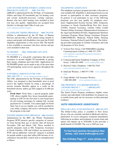## **LOW INCOME HOME ENERGY ASSISTANCE PROGRAM (LIHEAP) (800) 510-3102**

LIHEAP is administered by the NJ Dept. of Community Affairs and helps NJ households pay for heating costs and certain medically-necessary cooling expenses. Renters who have their heating costs included in their rent may also qualify. Applications are accepted from October 1st through April 30th of each year.

www.energyassistance.nj.gov

## **NJ LIFELINE CREDIT PROGRAM (800) 792-9745**

Lifeline is administered by the NJ Dept. of Human Services and provides a \$225 annual energy benefit to seniors and people with disabilities who meet the PAAD eligibility requirements or who receive SSI. The benefit is also available to customers who have electric and gas costs included in their rent.

## **NJ SHARES (866) NJSHARES (657-4273)** www.njshares.org

NJ SHARES is a non-profit corporation that provides assistance to income eligible NJ households in paying their energy, telephone and water bills. Applications for NJ SHARES grants can be made at any of the more than 270 participating social service agencies throughout the state.

### **UNIVERSAL SERVICE FUND (USF)**

#### **(866) 240-1347** orwww.energyassistance.nj.gov

The USF, administered by the NJ Dept. of Community Affairs, was designed so that households most in need receive the highest benefit by using a percentage of income formula. Benefits appear as a credit on the household electric and/or gas bill (capped at \$1,800 per year).

**Fresh Start**: Fresh Start, a special program under USF, allows eligible New Jersey households participating in USF for the first time to earn forgiveness for pre-existing arrearages by making full, on-time payments for 12 months. You cannot apply for Fresh Start, but if you are eligible you will be enrolled by your utility company and receive information about the program in the mail.

## **WINTER TERMINATION PROGRAM (800) 624-0241**

Administered by the BPU, the Winter Termination Program (WTP) protects specific categories of customers from having their gas or electric shut off between November 15th and March 15th. Those enrolled in specific programs (such as SSI, Temporary Assistance to Needy Families, USF and Lifeline) are protected by WTP, and an additional "catch-all" category is included for people unable to pay their utility bills because of circumstances beyond their control such as unemployment or illness.

#### **TELEPHONE ASSISTANCE**

The telephone assistance program provides a discount on your monthly bill. Eligibility is determined based on your income or participation in other assistance programs. In general, if you participate in any of the following programs you also may qualify for telephone assistance: Supplemental Security Income (SSI), Temporary Assistance to Needy Families/Work First New Jersey (TANF), General Assistance, Lifeline Utility Credit/ Tenants Lifeline Assistance, Pharmaceutical Assistance to the Aged and Disabled (PAAD), Supplemental Nutrition Assistance Program, Home Energy Assistance Program (LIHEAP/HEAP), Medicaid, Federal Public Housing Assistance, National School Lunch Program. The following providers participate in Lifeline Assistance and Link Up programs in New Jersey:

- 1) Verizon New Jersey: Call NJSHARES regarding Communications Lifeline at 1-888-337-3339 www.njshares.org/otherPrograms/communications-lifeline.asp
- 2) CenturyLink/United Telephone Company of New Jersey: 1-800-201-4099 www.centurylink.com
- 3) Warwick Valley Telephone: 1-800-952-7642 www.momentumtelecom.com
- 4) SafeLink Wireless: 1-800-977-3768 www.safelink. com
- 5) Virgin Mobile: Call Assurance Wireless 1-888-898-4888 www.assurancewireless.com

## **THE PROPERTY TAX REIMBURSEMENT ("SENIOR FREEZE") 1-800-882-6597**  www.state.nj.us/treasury/taxation/ptr/

The Senior Freeze Program reimburses eligible senior citizens and individuals with disabilities for property tax or mobile home park site fee increases on their principal residence.

# AUTO INSURANCE ASSISTANCE

## **DOLLAR-A-DAY AUTO INSURANCE (800) 652-2471**

The Dollar-A-Day policy is available to New Jersey drivers who are currently enrolled in Medicaid with hospitalization. It covers emergency treatment immediately following an accident, and treatment of serious brain and spinal cord injuries up to \$250,000. It also provides a death benefit of \$10,000. The cost is \$365 per year.

**To find food pantries throughout New Jersey, visit** *www.endhungernj.com*

**See NJHelps Page 17 -** *www.njhelps.org*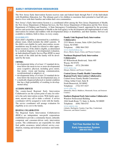# EARLY INTERVENTION RESOURCES

The New Jersey Early Intervention System receives state and federal funds through Part C of the Individuals with Disabilities Education Act. The ultimate goal is for children to maximize their potential to lead full, productive lives with their families and within their own communities.

New Jersey's Early Intervention System is a coordinated effort among the New Jersey Department of Health, the New Jersey Department of Human Services, the New Jersey Department of Education and the New Jersey Department of Children and Families. A State Interagency Coordinating Council, appointed by the governor, advises and assists the Department of Health as the lead agency in the development and implementation of early intervention for infants and toddlers with developmental delays or disabilities, and their families. Services are available to children, birth to three, in every county.

#### **ELIGIBILITY**

XVI

Each child's eligibility is determined by a multidisciplinary team, which includes the child's parents. If the child is not eligible for early intervention, recommendations may be made for referral to other appropriate resources. If the child is eligible, as determined by a medical diagnosis or developmental evaluation, an Individualized Family Service Plan (IFSP) to meet the needs of the child and the family will be developed by the team.

#### **CRITERIA**

- developmental delay of at least 1.5 standard deviations below the mean in two or more developmental areas (cognitive; physical, including gross motor, fine motor, vision and hearing; communication, social/emotional or adaptive); or
- developmental delay of at least 2.0 standard deviations below the mean in one developmental area; or
- a medically diagnosed physical or mental condition that has a high probability of resulting in developmental delay.

#### **ACCESSING SERVICES**

The county-based Regional Early Intervention Collaboratives are the system point of entry for referral to the early intervention system. With family agreement, anyone may call to make a referral. A service coordinator will be assigned to work with the family. The service coordinator will arrange evaluation for eligibility at no cost to the family.

#### **REGIONAL COLLABORATIVES**

The Regional Early Intervention Collaboratives (REICs) are independent, non-profit corporations established to provide a community-based, culturally competent and consumer-driven early intervention system. The collaboratives are responsible for child find, public awareness, initial referral, service coordination, training and technical assistance and family support.

#### **Family Link Regional Early Intervention Collaborative**

2333 Morris Avenue, Suite A204 (2nd Floor) Union, NJ 07083 Telephone: (908) 964-5303 www.familylinknj.org (Essex, Morris, Sussex, Union, and Warren Counties)

## **Northeast Regional Early Intervention Collaborative**

65 Willowbrook Boulevard, Suite 405 Wayne, NJ 07470 Telephone: (973) 256-8484 www.nreic.org (Bergen, Hudson, and Passaic Counties)

### **Central Jersey Family Health Consortium Regional Early Intervention Collaborative**

Central Jersey Family Health Consortium 2 King Arthur Court, Suite B North Brunswick, NJ 08902 Telephone: (732) 937-5437 www.cjfhc.org (Hunterdon, Mercer, Middlesex, Monmouth, Ocean, and Somerset Counties)

#### **Southern Regional Early Intervention Collaborative** Winslow Professional Building

1044 South Route 73, Suite A, Berlin, NJ 08009 Telephone: (856) 768-6747 www.snjreic.org

(Atlantic, Burlington, Camden, Cape May, Cumberland, Gloucester, and Salem Counties)

# **Toll Free Number for the Early Intervention System (888-653-4463)**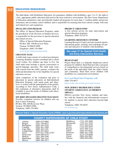# EDUCATION RESOURCES



The Individuals with Disabilities Education Act guarantees children with disabilities, ages 3 to 21, the right to a free, appropriate public education delivered in the least restrictive environment. The New Jersey Department of Education administers state and federally funded aid programs for more than 1.3 million public and private elementary and secondary school children, and is responsible for ensuring that local schools comply with state and federal laws and regulations.

#### **SPECIAL EDUCATION PROGRAMS**

The Office of Special Education Programs, under the jurisdiction of the Division of Student Services, is responsible for the provision of special education and related services.

 Office of Special Education Programs PO Box 500, 100 Riverview Plaza Trenton, NJ 08625-0500 Telephone: (609) 376-9060 www.nj.gov/education/specialed/

## **CHILD STUDY TEAMS**

A child study team consists of a school psychologist, a learning disability teacher-consultant and a school social worker. For children age three to five, the child study team includes a speech correctionist or speech-language specialist. The child study team, with consent from the child's parents, evaluates the child and determines his or her eligibility for special education services.

Upon completion of the evaluation and prior to placement in special education, an Individualized Education Program, with stated goals and objectives, is written with the participation of the parents. According to New Jersey Administrative Code, a full continuum of alternative placements shall be available to meet the needs of children with educational disabilities.

**NEW JERSEY SPECIALIZED CHILD STUDY TEAM (NJSCST)**

Provides evaluation services for children who are deaf or hard of hearing. PO Box 500, 200 Riverview Plaza

Trenton, NJ 08625-0500 Telephone: (609) 376-9091

#### **PROJECT CHILD FIND**

A free referral service for early intervention and special education programs. Telephone: (800) 322-8174

#### **LEARNING RESOURCE CENTERS**

Learning Resource Centers provide research reports, educational guides, training, and workshops for parents and educators of students with disabilities.

**See page 37 for Special Child Health and Early Intervention Services**

#### **HEAD START**

Project Head Start is a federally funded pre-school program for children. Head Start provides a program of comprehensive developmental services based on the needs of the individual child, the child's family and community. Head Start serves children with disabilities in a mainstream environment.

**For Local Head Start Programs, call:** (609) 376-9077 https://eclkc.ohs.acf.hhs.gov/center-locator

## **NEW JERSEY HIGHER EDUCATION STUDENT ASSISTANCE AUTHORITY (HESAA)**

HESAA provides New Jersey students and families with the financial and informational resources for students to pursue their education beyond high school.

Telephone: (800) 792-8670 www.hesaa.org

**Parental Rights in Special Education Guide (PRISE): www.nj.gov/education/specialed/form/prise/prise.pdf**

|                                                                                                                              | <b>COUNTY SUPERVISORS OF CHILD STUDY</b>                                                                                                                                                                                 |                                                                                                              |                                                                                                                                                                                      |
|------------------------------------------------------------------------------------------------------------------------------|--------------------------------------------------------------------------------------------------------------------------------------------------------------------------------------------------------------------------|--------------------------------------------------------------------------------------------------------------|--------------------------------------------------------------------------------------------------------------------------------------------------------------------------------------|
| Atlantic<br>Bergen<br>Burlington<br>Camden<br>Cape May<br>Cumberland<br>Essex<br>Gloucester<br>Hudson<br>Hunterdon<br>Mercer | $(609) 625 - 0004$<br>$(201)$ 336-6875<br>$(609)$ 265-5938<br>$(856)$ 401-2400<br>$(609)$ 465-1281<br>856) 453-0422<br>(973) 621-2750 x2767<br>$(856) 686 - 8378$<br>201) 369-5290<br>(908) 788-1414<br>$(609)$ 588-5873 | Middlesex<br>Monmouth<br>Morris<br>Ocean<br>Passaic<br>Salem<br>Somerset<br><b>Sussex</b><br>Union<br>Warren | (732) 249-2900<br>(732) 431-7810<br>973) 285-8336<br>(732) 929-2079<br>$(973)$ 569-2110<br>856) 453-0422<br>(908) 541-5700<br>(973) 579-6996<br>$(908) 654 - 9867$<br>(908) 689-0464 |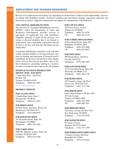# EMPLOYMENT AND TRAINING RESOURCES

Resources for employment and training vary depending on an individual's skill level and employability. Services for people with disabilities include vocational evaluation and assessment, training, counseling, education, job placement assistance, supported employment and support for entrepreneurs with disabilities.

## **VOCATIONAL REHABILITATION**

The Division of Vocational Rehabilitation Services (DVRS), within the Department of Labor and Workforce Development, provides services to individuals of employable age with disabilities. Eligibility generally is based on the presence of a mental or physical disability that is an obstacle to employment, and a reasonable expectation that the division's services will help the individual become employable.

Vocational rehabilitation counselors work with individuals and their families to develop and carry out a plan for training and placement. If financial need is established, the division will purchase other rehabilitative services from private providers, such as further evaluation or counseling, training at a vocational center or technical school and on-the-job training.

#### **DIVISION OF VOCATIONAL REHABILITATION SERVICES (DVRS) - MAIN OFFICE**

1 John Fitch Plaza, 12th Floor PO Box 398 Trenton, NJ 08625-0398 Telephone: (609) 292-5987 www.wnjpin.state.nj.us

## **DISTRICT OFFICES**

## **DVRS ATLANTIC OFFICE**

2 South Main Street, Suite 2 Pleasantville, NJ 08232 Telephone: (609) 813-3933

#### **DVRS BERGEN OFFICE**

60 State Street, 2nd Floor Room 203 Hackensack, NJ 07601-5471 Telephone: (201) 996-8970

## **DVRS BURLINGTON OFFICE**

795 Woodlane Road, Suite 201 Westampton, NJ 08060 Telephone: (609) 518-3948

## **DVRS CAMDEN OFFICE**

2600 Mt. Ephraim Avenue, Suite 103 Camden, NJ 08104-3290 Telephone: (856) 614-2500

#### **DVRS CAPE MAY OFFICE**

3810 New Jersey Avenue Wildwood, NJ 08260 Telephone: (609) 523-0330 VP: (609) 224-1218

## **DVRS CUMBERLAND/SALEM OFFICE**

40 East Broad Street, Suite 204 Bridgeton, NJ 08302-2881 Telephone: (856) 453-3888 VP: (856) 497-0075

## **DVRS ESSEX OFFICE**

990 Broad Street, 2nd Floor Newark, NJ 07102 Telephone: (973) 648-3494

## **DVRS GLOUCESTER OFFICE**

215 Crown Point Road, Suite 200 Thorofare, NJ 08086-2153 Telephone: (856) 384-3730

## **DVRS HUDSON OFFICE**

438 Summit Avenue, 6th Floor Jersey City, NJ 07306-3187 Telephone: (201) 217-7180

## **DVRS MERCER OFFICE**

Labor Station Plaza 4, PO Box 959 28 Yard Avenue, Trenton, NJ 08625-0959 Telephone: (609) 292-2940 VP: (609) 498-7011

#### **DVRS MIDDLESEX OFFICE**

550 Jersey Avenue, PO Box 2672 New Brunswick, NJ 08903 Telephone: (732) 937-6300

#### **DVRS MONMOUTH OFFICE**

60 Taylor Avenue Neptune, NJ 07753-4844 Telephone: (732) 775-1799

#### **DVRS MORRIS/SUSSEX/WARREN OFFICE**

13 Emery Avenue 2nd Floor Randolph, NJ 07869 Telephone: (973) 631-6304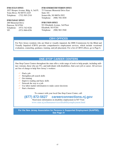#### **DVRS OCEAN OFFICE**

1027 Hooper Avenue, Bldg. 6, 3rd Fl. Toms River, NJ 08753-2225 Telephone: (732) 505-2310

### **DVRS PASSAIC OFFICE**

200 Memorial Drive Paterson, NJ 07501 Telephone: (973) 742-9226 VP: (973) 968-6556

#### **DVRS SOMERSET/HUNTERDON OFFICE**

75 Veterans Memorial Drive East Suite 101 Somerville, NJ 08876-2952 Telephone: (908) 704-3030

#### **DVRS UNION OFFICE**

921 Elizabeth Avenue, 3rd Floor Elizabeth, NJ 07201 Telephone: (908) 965-3940

# **CBVI OFFICES**

For New Jersey residents who are blind or visually impaired, the DHS Commission for the Blind and Visually Impaired (CBVI) provides comprehensive employment services, which include vocational evaluation, counseling, guidance, training, and job placement. For a list of CBVI offices, go to Page 6.

# **ONE-STOP CAREER CENTERS**

One-Stop Career Centers throughout the state offer a wide range of tools to help people, including military veterans, those who are 55+, and individuals with disabilities, find a new job or career. All services are free of charge to help New Jersey's workers:

- $\mathscr{D}$  Find a job
- $\mathscr{D}$  Strengthen job-search skills
- $\mathscr{O}$  Get training
- $\oslash$  Improve reading and basic skills
- $\mathscr{O}$  Network the way to a job
- $\mathscr O$  Use labor market information to make career decisions
- $\mathscr{D}$  Start a business

To connect with your local One-Stop Career Center, call:

# **(877) 872-5627 careerconnections.nj.gov**

Need more information on disability employment in NJ? Visit: www.state.nj.us/humanservices/disabilityemployment.html

**For the New Jersey Association for Persons in Supported Employment (NJAPSE), See Page 31**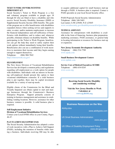#### **TICKET TO WORK AND WORK INCENTIVES IMPROVEMENT ACT**

Social Security's Ticket to Work Program is a free and voluntary program available to people ages 18 through 64 who are blind or have a disability and who receive Social Security Disability Insurance (SSDI) or Supplemental Security Income (SSI) benefits. The goals of the program are to offer beneficiaries with disabilities expanded choices when seeking service and supports to enter, re-enter, and/or maintain employment; to increase the financial independence and self-sufficiency of beneficiaries with disabilities; and to reduce and, whenever possible, eliminate reliance on disability benefits. While participating in the Ticket to Work Program, beneficiaries can get the help they need to safely explore their work options without immediately losing their benefits. Beneficiaries also can use a combination of work incentives to maximize their income until they begin earning enough to support themselves.

Telephone: (866) 968-7842 https://choosework.ssa.gov/

## **SELF-EMPLOYMENT**

The New Jersey Division of Vocational Rehabilitation Services has developed a common policy and regulations regarding self-employment as a work option for people with disabilities. Individuals with an interest in becoming self-employed should present this option to their vocational rehabilitation counselor. If a solid business plan is put together, there may be capital investment available for a variety of start-up needs.

Eligible clients of the Commission for the Blind and Visually Impaired can obtain capital to start and manage businesses through the Commission's Business Enterprise Program. Support primarily consists of training in business management and assistance in establishing vending locations. However, assistance for other business ventures is possible. A solid business plan is required.

## **Self-Employment Initiative**

## **Division of Vocational Rehabilitation Services**

Contact your Local DVRS office in your County, Pages: 46-47.

## **PLAN TO ACHIEVE SELF-SUPPORT (PASS)**

The Social Security Administration has adopted a series of work incentives with a Plan to Achieve Self-Support (PASS), including the retention of benefits while starting a business. Individuals receiving SSI may be able to acquire additional capital for small business start-up through a PASS. A business plan is required. Contact a PASS specialist at your local Social Security office.

PASS Proposals Social Security Administration Telephone: (866) 348-5403 Last names A-M x23648, N-Z x23645 www.socialsecurity.gov/disabilityresearch/wi/pass.htm

## **TECHNICAL ASSISTANCE**

Assistance for entrepreneurs with disabilities is available in the form of financing, business plan preparation, marketing assistance, PASS assistance, or general help in locating information or resources for business start-up or expansion.

#### **New Jersey Economic Development Authority**

Telephone: (866) 534-7789 www.njeda.com

## **Small Business Development Centers**  www.njsbdc.com

**Service Core of Retired Executives SCORE** Telephone: (800) 634-0245 www.score.org

> **Receiving Social Security Disability and considering working?**

**Visit the New Jersey Benefits to Work Calculator at www.nj.db101.org**

## **Business Resources on the Web**

AbilityJobs

*www.abilityjobs.com*

US Small Business Administration

*www.sba.gov/*

US Office of Disability Employment Policy *www.dol.gov/odep*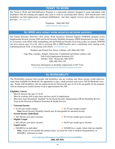# **TICKET TO WORK**

The Ticket to Work and Self-Sufficiency Program is a nationwide initiative designed to assist individuals with disabilities with the training and support they need to work by increasing their choices. SSA beneficiaries with disabilities can find employment, vocational rehabilitation, and other support services from public and private providers. (See page 48)

> Telephone: (866) 968-7842 https://choosework.ssa.gov/

# **NJ WINS (NEW JERSEY WORK INCENTIVE NETWORK SUPPORT)**

The Family Resource Network's New Jersey Work Incentives Network Support (NJWINS) program assists Supplemental Security Income (SSI) and Social Security Disability Insurance (SSDI) beneficiaries to start, continue, or increase work efforts while maintaining cash and healthcare benefits for as long as they are needed. NJWINS can serve anyone ages 14 to 64, who is receiving SSI or SSDI benefits and is considering work, starting work, continuing present work, or increasing work efforts. www.njwins.org

Northern and Central New Jersey residents, call: (866) 946-7465

Cape May, Camden, Atlantic, Gloucester, Cumberland and Salem counties, call: Full Circle Employment Solutions LLC PO Box 7030 Hyattsville, MD 20787 (888) 466-2942 x20

> Need more information on disability employment in NJ? Visit: www.state.nj.us/humanservices/disabilityemployment.html

# **NJ WORKABILITY**

The WorkAbility program offers people with disabilities who are working, and whose income would otherwise make them ineligible for Medicaid, the opportunity to pay a small premium and receive full NJ Medicaid coverage. People with disabilities who are employed and are between the ages of 16 to 64 can qualify for the program with an annual gross earned income of up to approximately \$61,500.

## **Eligibility Criteria**

- $\mathcal O$  Must be between the ages of 16-64
- $\mathscr O$  Must be working (full or part time) and have proof of employment
- 0 Must have been determined "disabled" by the Social Security Administration OR the Disability Review Team at the Division of Medical Assistance & Health Services

## 0 **Unearned Income**

- $\sqrt{$1,012}$  per month (single)  $\sqrt{$1,372}$  per month (couple) **Note:** Social Security Disability benefit may be disregarded for unearned income
- 0 **Earned Income (Individual)**
	- $\checkmark$  \$61,500 per year (gross income)  $\checkmark$  \$5,125 per month (gross income)

## 0 **Eligible Couple**

- $\overline{\phantom{1}}$  \$83,100 per year (gross income)  $\overline{\phantom{1}}$  \$6,925 per month (gross income)
- 0 **Liquid Assets:**

 $\overline{\phantom{0}}$  \$20,000 for an individual  $\overline{\phantom{0}}$  \$30,000 for a couple (where both are eligible)

**Note:** Assets do not include the primary home, car (used for work or medical transportation), or 401K/IRA retirement account.

> **www.state.nj.us/humanservices/dds/services/workability/ (888) 285-3036**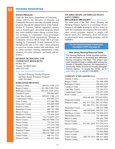# XIX

## HOUSING RESOURCES

#### **HOUSING PROGRAMS**

Under the New Jersey Department of Community Affairs (DCA), the Division of Housing and Community Resources provides affordable housing programs through the administration of the Federal Section 8 Voucher, various supportive services such as homelessness prevention programs which may assist qualified renters facing eviction, financial assistance to communities, local government, and community based organizations. Through its Community Services Block Grant, DCA provides funding to Community Action Agencies (CAA) throughout the state. CAA's offer various programs to assist low income families and individuals, such as: rental assistance, housing rehabilitation, weatherization, relocation assistance, and family self-sufficiency.

## **DIVISION OF HOUSING AND COMMUNITY RESOURCES**

PO Box 051 Trenton, NJ 08625-0051 (609) 633-6303 www.state.nj.us/dca/divisions/dhcr

Section 8 Housing Voucher Program and State Rental Assistance Program (609) 292-4080

#### **HOMELESSNESS PREVENTION**

| Bergen County  201-488-5100 x7041     |  |
|---------------------------------------|--|
| Burlington County  609-835-4329 x4721 |  |
|                                       |  |
| Cape May County  609-822-1108 x133    |  |
| Cumberland County 856-692-2331        |  |
|                                       |  |
| Gloucester County  856-845-9200       |  |
|                                       |  |
| Hunterdon County 908-782-2490         |  |
|                                       |  |
|                                       |  |
| Monmouth County  732-775-0525 x214    |  |
|                                       |  |
|                                       |  |
|                                       |  |
|                                       |  |
|                                       |  |
| Sussex County 908-454-7000 x118       |  |
|                                       |  |
|                                       |  |
|                                       |  |

## **NEW JERSEY HOUSING AND MORTGAGE FINANCE AGENCY (NJHMFA)**

**800-NJ-HOUSE (800) 654-6873** www.njhousing.gov The main goal of the New Jersey Housing and Mortgage Finance Agency is to encourage the production of affordable housing for all New Jersey citizens. Its Community Development Division administers several programs targeted to people with special needs. For information about low-income or special needs home ownership programs, call the NJHMFA.

> **For the Homeownership Preservation Foundation (HPF) see page 42.**

#### **New Jersey Housing Resource Center**

The Housing Resource Center provides individuals with information on accessible and affordable housing throughout the state. This project was made possible through a collaboration among the Division of Disability Services, the Department of Community Affairs and the NJ Housing Mortgage Finance Agency. To access the Center, go to: **www.njhrc.gov** or call (877) 428-8844.

### **COMMUNITY ACTION AGENCIES (CAA)**

| Burlington County  609-835-4329            |
|--------------------------------------------|
|                                            |
|                                            |
| Cumberland County 856-451-6330             |
|                                            |
| (Newark only: 973-642-0181)                |
|                                            |
| Hudson County 201-437-7222, 201-547-6910,  |
| 201-656-3711, 201-210-0100                 |
|                                            |
| Mercer County 609-989-6964, 609-392-2161   |
| Middlesex County732-324-2180, 732-828-4510 |
| Monmouth County 732-389-2958               |
|                                            |
|                                            |
| Passaic County 973-881-2834, 973-279-2333, |
| 973-472-2478                               |
|                                            |
|                                            |
|                                            |
| Union County908-753-3519, 908-527-4883     |
|                                            |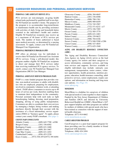# CAREGIVER RESOURCES AND PERSONAL ASSISTANCE SERVICES

## **PERSONAL CARE ASSISTANT SERVICE (PCA)**

PCA services are non-emergent, on-going health related tasks performed by qualified staff in an eligible NJ FamilyCare member's home. The purpose of the program is to accommodate long-term/chronic or maintenance health care by providing assistance with activities of daily living and household duties essential to the individual's health and comfort. Eligible NJ FamilyCare recipients may receive up to a maximum of 40 hours of PCA services per week. The number of hours authorized is based upon medical necessity, as determined by a nursing assessment. To apply, contact your NJ FamilyCare Managed Care Organization.

## **PERSONAL PREFERENCE PROGRAM (PPP)**

PPP offers an alternate way for individuals to receive their NJ FamilyCare Personal Care Assistant (PCA) services. Using a self-directed model, this program enables eligible NJ FamilyCare recipients to direct and manage their PCA services rather than receiving traditional PCA agency services. To enroll, contact your NJ FamilyCare Managed Care Organization (MCO) Care Manager.

#### **PERSONAL ASSISTANCE SERVICES PROGRAM (PASP)**

PASP is a state funded program that provides routine, non-medical assistance to adults with disabilities who are employed, preparing for employment, involved in community volunteer work, or attending school. PASP allows consumers to receive up to 40 hours of service per week, therefore enabling them to maintain their independence in the community. Personal assistants help with such tasks as light housekeeping, bathing, dressing, meal preparation, shopping, driving or using public transportation. Consumers are able to coordinate their own services by managing a budget, hiring workers and making purchases directly through their account with the assistance of a fiscal intermediary service organization (FISO) or "business agent". To apply, please contact your county PASP consultant. (See page 1)

#### **COUNTY PASP CONSULTANTS**

| Cumberland County(856) 453-2220           |  |
|-------------------------------------------|--|
| Essex County(973) 530-2972/(973) 395-8494 |  |

| Gloucester County (856) 384-6845 |  |
|----------------------------------|--|
|                                  |  |
| Hunterdon County(908) 788-1361   |  |
|                                  |  |
| Middlesex County(732) 745-2587   |  |
|                                  |  |
|                                  |  |
|                                  |  |
|                                  |  |
|                                  |  |
| Somerset County(908) 704-6346    |  |
|                                  |  |
|                                  |  |
|                                  |  |
|                                  |  |

## **AGING AND DISABILITY RESOURCE CONNECTION (ADRC)**

The Aging and Disability Resource Connection/ Area Agency on Aging (AAA) serves as the lead County agency for seniors and their caregivers to access information, community services, and long term services and supports. Services available to eligible individuals may include: outreach, case management, transportation, senior centers, volunteer opportunities, health promotion, nutrition programs, education, health insurance counseling, adult protective services, senior employment, respite care options, and information on housing and long-term care options. (See Page 19)

www.adrcnj.org

#### **MOM2MOM**

Mom2Mom is a helpline for caregivers of children with special needs to come together to share support. Funded by the New Jersey Department of Children and Families (DCF) and directed by University Behavioral HealthCare (UBHC), Mom2Mom's 24/7 peer support helpline and other programs are staffed by mothers of children with special needs who have been trained as counselors with the support of mental health clinicians.

Telephone: (877) 914-6662 www.mom2mom.us.com

## **CARE2CAREGIVERS PROGRAM**

Care2Caregivers is a peer-lead support program for those providing care for a family member or friend diagnosed with dementia. Telephone: (800) 424-2494 www.care2caregivers.com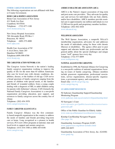#### **OTHER CAREGIVER RESOURCES**

The following organizations are not affiliated with State or County Government.

#### **HOME CARE & HOSPICE ASSOCIATIONS**

Home Care Association of New Jersey 411 North Ave East Crandford, NJ 07016 Telephone: (732) 877-1100 www.homecarenj.org

New Jersey Hospital Association 760 Alexander Road, PO Box 1 Princeton, NJ 08543 Telephone: (609) 275-4000 www.njha.com

Health Care Association of NJ 4 AAA Drive, Suite 203 Hamilton NJ 08691 Telephone:(609) 890-8700 www.hcanj.org

#### **THE CAREGIVER ACTION NETWORK (CAN)**

The Caregiver Action Network is the nation's leading family caregiver organization working to improve the quality of life for the more than 65 million Americans who care for loved ones with chronic conditions, disabilities, disease, or the frailties of old age. CAN serves a broad spectrum of family caregivers ranging from the parents of children with special needs, to the families and friends of wounded soldiers; from a young couple dealing with a diagnosis of MS, to adult children caring for parents with Alzheimer's disease. CAN (formerly the National Family Caregivers Association) is a non-profit organization providing education, peer support, and resources to family caregivers across the country free of charge.

Telephone: (202) 454-3970 www.caregiveraction.org

#### **FAMILY CAREGIVER ALLIANCE (FCA)**

Family Caregiver Alliance was the first community-based nonprofit organization in the country to address the needs of families and friends providing long-term care at home. Long recognized as a pioneer in health services, FCA now offers programs at national, state and local levels to support and sustain caregivers. Telephone: (415) 434-3388 or (800) 445-8106

www.caregiver.org

#### **AMERICAN HEALTHCARE ASSOCIATION (AHCA)**

AHCA is the Nation's largest association of long term and post-acute care providers. They advocate for quality care and services for individuals who are frail, elderly, and/or have disabilities. AHCA members provide essential care to approximately one million individuals in over 13,500 not-for-profit and proprietary member facilities. Telephone: (202) 842-4444 www.ahcancal.org

**WELLSPOUSE ASSOCIATION** 

The Well Spouse Association, a nonprofit  $501(c)(3)$ membership organization, advocates for and addresses the needs of individuals caring for those with chronic illnesses or disabilities. The agency offers peer to peer support and educates health care professionals and the general public about the special challenges and unique issues "well" spouses face every day.

Telephone: (732) 577-8899

www.wellspouse.org

#### **NATIONAL ALLIANCE FOR CAREGIVING**

Established in 1996, the National Alliance for Caregiving is a non-profit coalition of national organizations focusing on issues of family caregiving. Alliance members include grassroots organizations, professional associations, service organizations, disease-specific organizations, a government agency, and corporations.

Email only: info@caregiving.org www.caregiving.org

#### **GUARDIANSHIP RESOURCES**

NJ Judiciary Guardianship Support/Guardianship Monitoring Program www.judiciary.state.nj.us/courts/civil/guardianship.html

NJ Surrogate's Court

www.njcourts.gov/public/assets/directories/surrogateroster.pdf

Office of the Public Guardian for Elderly Adults www.state.nj.us/humanservices/doas/services/pg

Kinship Care/Kinship Navigator Program (See page 54)

Guardianship Assistance Program (GAP) www.gapservices.org/about-us/index.html (609) 444-6653

Guardianship Association of New Jersey, Inc. (GANJI) www.ganji.org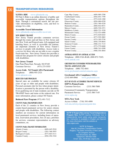## TRANSPORTATION RESOURCES

#### **NJ FIND A RIDE** www.njfindaride.org

NJ Find A Ride is an online directory of public and accessible transportation options throughout the State. Through a customized search, the site provides information on eligibility, costs, and how to arrange for a ride.

#### **Accessible Travel Information**

www.njfindaride.org/accessible-travel-info

#### **NEW JERSEY TRANSIT**

New Jersey Transit provides commuter services through bus routes and rail lines in New Jersey and into New York and Pennsylvania. Lift-equipped and kneeling buses, as well as accessible rail stations, are important elements of New Jersey Transit's services to people with disabilities. Access Link is a service for those who are not able to use a regular fixed-route bus. New Jersey Transit also provides a reduced fare program for senior citizens and people with disabilities.

#### **New Jersey Transit**

One Penn Plaza East, Newark, NJ 07105 Customer Service: (973) 275-5555

**Access Link: NJ Transit ADA Paratransit** Telephone: (800) 955-2321 www.njtransit.com

#### **REDUCED FARE PROGRAM**

Special rates are available for senior citizens 62 years of age or older and people with disabilities. Personal assistants ride for free when proper identification is presented by the person with a disability. Even qualifying out of state residents can ride on NJ TRANSIT buses and trains at the reduced rate. For more information, please contact NJ Transit.

#### **Reduced Fare Program** (973) 491-7112

#### **COUNTY PARA-TRANSPORTATION**

Each of the 21 counties in New Jersey provide a county-based paratransit service for senior citizens and people with disabilities. The following contact numbers are resources for current information on local paratransit services, including hours of operation, reservation procedures, fees (if any), priorities for services, consumer representation on advisory committees, etc.

#### **COUNTY PARA-TRANSIT INFORMATION**

| Cumberland County  (856) 691-7799 |  |
|-----------------------------------|--|
|                                   |  |
|                                   |  |
|                                   |  |
|                                   |  |
|                                   |  |
|                                   |  |
|                                   |  |
|                                   |  |
|                                   |  |
|                                   |  |
|                                   |  |
|                                   |  |
|                                   |  |
|                                   |  |
|                                   |  |

#### **AMTRAK-OFFICE OF AMTRAK ACCESS**

Telephone: (800) USA-RAIL (800-872-7245) www.amtrak.com

## **GREYHOUND CUSTOMERS WITH DISABILITIES TRAVEL ASSISTANCE LINE**

Telephone: (800) 752-4841 www.greyhound.com/en/contactus.aspx

#### **Greyhound ADA Compliance Office**

(214) 849-8966 www.greyhound.com

## **OUT OF STATE ACCESSIBLE TRANSIT SERVICES SEPTA-Pennsylvania**

Customer Services: (215) 580-7800

Customized Community Transportation Paratransit Service (215) 580-7145 www.septa.org

#### **MTA-New York**

Access-A-Ride: (718) 393-4999 web.mta.info/nyct/paratran/guide.htm

**NJTIP @ Rutgers New Jersey Travel Independence Program New** (NJTIP) teaches individuals how to independently travel safely using public transportation. Instruction is available in English and Spanish For more information visit the website at: *njtip.rutgers.edu*

NJTIP @ Rutgers Alan M. Voorhees Transportation Center Rutgers, The State University of New Jersey 33 Livingston Avenue New Brunswick, NJ 08901 Telephone: 848-932-4499 Email: njtip\_info@njtip.rutgers.edu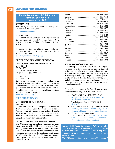# **SERVICES FOR CHILDREN**

## **For the Department of Children and Families, See Page 13** *www.nj.gov/dcf*

#### **NJ PARENT LINK**

New Jersey's Early Childhood, Parenting and Professional Resource Center www.njparentlink.nj.gov

#### **PERFORMCARE**

Since 2009 PerformCare has been the Administrative Service Organization (ASO) for the State of New Jersey's Division of Children's System of Care (CSOC).

To access services for children and youth, call PerformCare toll-free, 24 hours a day, seven days a week, at 1-877-652-7624. (See also, PerformCare Page 13)

#### **OFFICE OF CHILD ABUSE PREVENTION**

**THE NEW JERSEY TASK FORCE ON CHILD ABUSE AND NEGLECT** PO Box 729 Trenton, NJ 08625-0700 Telephone: (609) 888-7919

### **SAFE HAVEN**

(877) 839-2339

Safe Haven operates an infant protection hotline for distressed parents who wish to surrender an infant anonymously at a police station or hospital emergency room with no fear of arrest or prosecution. The child must be less than 30 days old and must not have been abused or neglected.

www.njsafehaven.org

## **CHILD CARE ASSISTANCE**

# **NEW JERSEY CHILD CARE HELPLINE**

(800) 332-9227

Callers can obtain the telephone number of their local Child Care Resource and Referral Agency to get information about registered family day care providers and other child care services in their area. Caregivers can also learn how to become a registered family day care provider.

#### **CHILD CARE RESOURCE AND REFERRAL CENTERS**

The CCR&Rs are centralized locations in each county that provide child care resources, referral, training and technical assistance. Child Care Health Consultant Coordinators provide consultation, education and training about the health and safety needs of children in child care. For additional information, contact your local Child Care Resource and Referral Center (CCR&R).

| Atlantic |  |
|----------|--|
|          |  |
|          |  |
|          |  |
|          |  |
|          |  |
|          |  |
|          |  |
|          |  |
|          |  |
|          |  |
|          |  |
|          |  |
|          |  |
|          |  |
|          |  |
|          |  |
|          |  |
|          |  |
|          |  |
|          |  |

#### **KINSHIP NAVIGATOR/KINSHIP CARE**

The Kinship Navigator/Kinship Care is a program for people who have taken on the responsibility of caring for their relatives' children. It is an information and referral program established to help relatives navigate their way through the various governmental systems to find the local supports they need, including support groups, cash assistance, medical coverage, housing assistance, child care resources, and respite services.

The telephone numbers of the four Kinship agencies and the counties they serve are listed below:

- CarePlus NJ: (201) 797-2660 x 5645 (Bergen, Hudson, Morris, Passaic, Sussex, and Warren Counties)
- The Salvation Army: 973-373-5045 (Essex County)<br>
• Children's Hon
- Children's Home Society: 1-800-396-4518 (Mercer, Middlesex, Monmouth, Ocean, Somerset, Hunterdon, and Union Counties)
- Family Service Association: 1-877-569-0350 (Atlantic, Burlington, Camden, Cape May, Cumberland, Gloucester, and Salem Counties)

Prevent Child Abuse-New Jersey (PCA-NJ) provides leadership and technical assistance to non-profit organizations and local educational agencies to help those organizations put successful parental involvement programs in place.

(732) 246-8060 *https://www.preventchildabusenj.org/*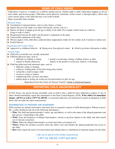# **SIGNS OF CHILD ABUSE**

Child abuse is harm to, or neglect of, a child by another person, whether adult or child. Child abuse happens in all cultural, ethnic, and income groups. Child abuse can be physical, emotional, verbal, sexual, or through neglect. Abuse may cause serious injury to the child and may even result in death.

Signs of possible abuse include:

## **Physical Abuse**

- $\blacksquare$  Unexplained or repeated injuries, such as welts, bruises, or burns
- $\blacksquare$  Injuries that are in the shape of an object (belt buckle, electric cord, etc.)
- n Injuries not likely to happen given the age or ability of the child. (For example, broken bones in a child too young to walk or climb.)
- Disagreement between the child's and the parent's explanation of the injury
- $\blacksquare$  Unreasonable explanation of the injury
- n Obvious neglect of the child (dirty, undernourished, inappropriate clothes for the weather, lack of medical or dental care)
- $\blacksquare$  Fearful behavior

## **Emotional and Verbal Abuse**

Aggressive or withdrawn behavior  $\Box$  Shying away from physical contact  $\Box$  Afraid to go home with parents or adults

## **Sexual Abuse**

- $\blacksquare$  Child tells you he/she was sexually mistreated
- $\blacksquare$  Child has physical signs, such as:
	-
	- difficulty in walking or sitting genital or rectal pain, itching, swelling, bruises or other
	- stained or bloody underwear injuries in the genital or rectal area, redness, or discharge
- $\blacksquare$  Child has behavioral and emotional signs, such as:
	- difficulty eating or sleeping
	- soiling or wetting pants or bed after being potty trained
	- acting like a much younger child
	- excessive crying or sadness
	- withdrawing from activities and others
	- talking about or acting out sexual acts beyond normal sex play for age

Reproduced from the Center for Disease Control's Guide to Intentional Injuries

# **REPORTING CHILD ABUSE/NEGLECT**

In New Jersey, any person having reasonable cause to believe that a child has been subjected to neglect or acts of abuse should immediately report this information to the State Central Registry (SCR). **If the child is in immediate danger, call 911 as well as 1-877 NJ ABUSE**. A concerned caller does not need proof to report an allegation of child abuse and can make the report anonymously.

## **INFORMATION TO PROVIDE THE SCREENER**

SCR screeners are trained caseworkers who know how to respond to reports of child abuse/neglect. Whenever possible, a caller should provide all of the following information:

- **• Who:** The child and parent/caretaker's name, age and address, as well as the name of the alleged perpetrator and that person's relationship to the child.
- **• What:** Type and frequency of alleged abuse/neglect, current or previous injuries to the child, and what caused you to become concerned.
- **• When:** When the alleged abuse/neglect occurred and when you learned of it.
- **• Where:** Where the incident occurred, where the child is now and whether the alleged perpetrator has access to the child.
- **• How:** How urgent the need is for intervention and whether there is a likelihood of imminent danger for the child.

**Calls can be placed to the hotline anonymously.**

**1-877 NJ ABUSE (1-877-652-2873)**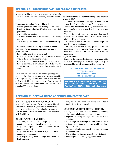Accessible parking rights may be granted to individuals with both permanent and temporary mobility impairments.

### **Temporary Accessible Parking Placards:**

- May be granted for short-term mobility impairments
- Require written medical certification from a qualified practitioner.
- Are valid for six months
- Are renewable one time at the discretion of the issuing authority
- Are issued by the Chief of Police of each municipality.

## **Permanent Accessible Parking Placards or Plates: To qualify for a permanent accessible placard or plates, you must:**

- Have lost the use of one or more limb
- Have a permanent disability and be unable to move without the use of an assistive device
- Have your mobility limited as certified by a physician
- Have a permanent sight impairment of both eyes as certified by the N.J. Commission of the Blind (placard only)

Note: Non-disabled drivers who are transporting persons who meet the criteria above may also use the Accessible parking privileges, but only when the person with the qualifying disability is in the car. Also, plates or placard must be accompanied by the companion "person with a disability ID" card at all times.

## **Revisions to the NJ Accessible Parking Laws, effective August 1, 2013:**

- The term "handicapped" was replaced with "person with a disability" to reflect person first language.
- Permanent person with a disability identification cards and placards are now required to be renewed every three years.
- The certification of a medical professional is required for the issuance and/or renewal of all persons with a disability ID cards/placards.
- All placards will be issued with a prominently printed and displayed expiration date.
- 1 in every 6 accessible parking spaces must be van accessible; this is an increase from the previous standard, which required 1 in every 8 spaces to be van accessible.

#### **Important Notes:**

• Parking in the access aisles, the striped areas adjacent to accessible parking spaces, is always illegal. That space is required for wheelchair accessibility, ramps, etc.

> **New Jersey Motor Vehicles Commission** www.state.nj.us/mvc **(609) 292-6500 (Voice) 711 NJ Relay (TTY)**

**The Division of Disability Services publishes a comprehensive "Guide to Accessible Parking", call (888) 285-3036 to obtain a copy.**

# APPENDIX 2: SPECIAL NEEDS ADOPTION AND FOSTER CARE

#### **NEW JERSEY SUBSIDIZED ADOPTION PROGRAM**

Many children are waiting for loving homes. The NJ Subsidized Adoption Program offers financial assistance to suitable prospective adoptive parents who seek to adopt certain children, including children with disabilities.

## **CHILDREN WAITING FOR ADOPTION:**

- Are older, or of a race or ethnic group for which adoptive homes are not readily available;
- May have a significant physical, intellectual or emotional disability;
- May need medical treatment or special services, equipment or training;
- May be part of a group of siblings who should be kept together;

• May be over five years old, living with a foster family for at least 12 months.

## **SUBSIDIES TO ADOPTIVE FAMILIES CAN PROVIDE:**

- A regular monthly payment including clothing allowance to help parents meet daily needs.
- Payment covering the legal fees related to the adoption.
- NJ FamilyCare coverage for the child to assist with any condition that is not covered by the family's insurance.
- A special subsidy for a specific medical, health or equipment need.
- Out of State Medical coverage (for most states).
- Post adoption counseling support services.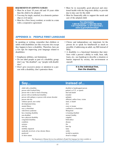#### **REQUIREMENTS OF ADOPTIVE FAMILIES**

- Must be at least 18 years old and 10 years older than the child to be adopted
- You may be single, married, in a domestic partnership or civil union
- Must be a New Jersey resident, or reside in a state with a cooperative agreement
- Must be in reasonably good physical and emotional health with the long-term ability to provide day-to-day care for the child
- Must be financially able to support the needs and care of the adopted child

**For information 1-800-99 ADOPT (1-800-992-3678) 1-877-NJFOSTER (1-877-653-6783 )**  *www.nj.gov/njfosteradopt*

# APPENDIX 3: PEOPLE FIRST LANGUAGE

In speaking or writing, remember that children or adults with disabilities are like everyone else except they happen to have a disability. Therefore, here are a few tips for improving your language related to disabilities:

- Emphasize abilities, not limitations.
- Do not label people as part of a disability group; don't say "the disabled", say "people with disabilities".
- Don't give excessive praise or attention to a person with a disability; don't patronize them.
- Choice and independence are important; let the person do or speak for him/herself as much as possible; if addressing an adult, say Bill instead of Billy.
- A disability is a functional limitation that interferes with a person's ability to walk, hear, talk, learn, etc.; use handicap to describe a situation or barrier imposed by society, the environment or oneself.

**It is the individual first, then the disability.**

child with a disability disabled or handicapped person person with Cerebral Palsy palsied, or C.P., or spastic person who is deaf or hard of hearing deaf and dumb person with an intellectual disability retarded person with epilepsy or person with seizure disorder epileptic person who has afflicted, suffers from, victim without speech, non-verbal mute, or dumb developmental delay slow slow mental illness crazy or insane uses a wheelchair confined to a wheelchair with Down syndrome Mongoloid has a learning disability is learning disabled non-disabled normal, healthy has a physical disability crippled congenital disability birth defect condition disease seizures fits cleft lip hare lip mobility impaired lame medically involved, or has chronic illness sickly paralyzed invalid or paralytic of short stature dwarf or midget

# **Say... Instead of...**

The Department of Human Services has published a People First language fact sheet available on www.state.nj.us/humanservices/news/publications/PeopleFirstFlyer.pdf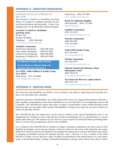# APPENDIX 4: ADDICTION RESOURCES

## **GOVERNOR'S COUNCIL ON ALCOHOLISM AND DRUG ABUSE**

The Governor's Council on Alcoholism and Drug Abuse was created to coordinate statewide services involving alcoholism and drug abuse. It also is the funding source for the Municipal Alliance Program.

## **Governor's Council on Alcoholism and Drug Abuse**

PO Box 345 Trenton, NJ 08625 Telephone: (609) 588-4466 www.state.nj.us/treasury/gcada

## **Alcoholics Anonymous**

South Jersey Intergroup: (856) 486-4444 Cape Atlantic Intergroup: (609) 641-8855 Central Jersey Intergroup: (609) 586-6902 Intergroup of Northern NJ: (908) 687-8566 www.aa.org

**NJ Addictions Hotline (800) 238-2333**

**For the Division of Mental Health and Addiction Services, See Page 9**

## **AL-ANON Adult Children & Family Group ALA-TEEN** North Jersey: (973) 744-8686

www.northjerseyal-anon.org

## South Jersey: (856) 547-0855 www.southjerseyal-anon.org

**Reach NJ Addictions Helpline**  (844) ReachNJ (844) 732-2465 http://reachnj.gov

**Gamblers Anonymous** (855) 222-5542 www.gamblersanonymous.org

**Narcotics Anonymous** (800) 992-0401 (732) 933-0462 www.na.org

**NAR-ANON Family Group** (877) 424-4491 www.naranonofnj.org

**Nicotine Anonymous** (631) 665-0527 www.nicotine-anonymous.org

**National Alcohol and Substance Abuse Information Center** (800) 784-6776 www.addictioncareoptions.com

**NJ Connect for Recovery (opiate misuse)** (855) 652-3737 www.njconnectforrecovery.org

# APPENDIX 5: SERVICE DOGS

The Americans with Disabilities Act defines a service animal as any guide or signal dog used to provide assistance to an individual with a disability.

Under the Americans with Disabilities Act (ADA) and the New Jersey Law Against Discrimination (NJLAD), a place of public accommodation cannot refuse admittance of a service dog when it is accompanying a person with a disability. The ADA/NJLAD requires that places of public accommodation (which include privately-owned businesses that serve the public) allow people with disabilities to bring service dogs into any area in which customers are generally allowed.

The ADA/NJLAD does not require that a service dog be certified or have special identification, but it is not inappropriate for a business to ask if a dog that does not have an identifying vest or a special harness is a service animal rather than a pet. The business may not, however, insist on proof of certification before permitting admittance of a service dog accompanying a person with a disability.

It is a violation of the ADA/NJLAD for a business to charge a cleaning or maintenance fee when a person with a disability has brought a service dog into the place of business. However, the owner of the animal has sole responsibility for its behavior and may be charged for any damages the animal causes as long as the business has a policy of charging non-disabled customers for damages that they cause. Likewise, it is not a violation of the ADA/ NJLAD to exclude a service dog from a place of public accommodation if the animal behaves in a loud, threatening, or uncontrolled manner, creating a substantial disturbance or posing a direct threat to the safety of others.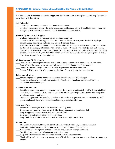The following list is intended to provide suggestions for disaster preparedness planning that may be taken by individuals with disabilities:

### **Self-Networks**

- \_\_\_\_Discuss your disability and needs with relatives and friends.
- \_\_\_\_Develop a network of people who know your needs and location, who will be able to assist you or alert emergency personnel on your behalf. Do not depend on only one person.

### **Medical Equipment and Supplies**

- \_\_\_\_Evaluate equipment for repairs and obtain and keep spare parts.
- \_\_\_\_Order the full allotment of supplies that your insurance allows, such as protective briefs, leg bags, suction tubing, hearing aid batteries, etc. Stockpile unused items.
	- \_\_\_\_Assemble a first aid kit. It should include: sterile adhesive bandages in assorted sizes, assorted sizes of safety pins, cleansing agents/soaps, latex gloves (2 pairs), 4-6 sterile gauze pads (2-inch and 4-inch), three triangular bandages, non-prescription drugs, three rolls each of 2 and 3 inch sterile roller bandages, scissors, tweezers, needle, moistened towelettes, antiseptic, thermometer, two tongue depressors, and a tube of petroleum jelly or other lubricant.

## **Medications and Medical Needs**

- \_\_\_\_Create a list of current prescriptions, names and dosages. Remember to update this list, as needed.
- Keep a list of the names, addresses, and telephone numbers of doctors and pharmacists.
- Prepare a detailed description of your medical regimen and personal care needs.

\_\_\_\_Order a full 30-day supply of necessary medications. Check with your insurance carrier.

#### **Telecommunications**

- \_\_\_\_Make sure your cell phone battery and any extra batteries are kept fully charged.
- \_\_\_\_Pre-arrange alternative methods to reach family, friends, or personal care attendants if ordinary communications are disrupted.

## **Personal Assistant Care**

- \_\_\_\_Consider checking into a nursing home or hospital if a disaster is anticipated. Staff will be available to meet personal care needs. Also, back up generators will be operating to assist people who use power wheelchairs and/or ventilators.
- \_\_\_\_Contact your personal care attendant provider to discuss disaster preparedness and maintain a list of phone numbers of those who can assist in obtaining personal care for you.

## **Food and Water**

- \_\_\_\_Two quarts of water per person are needed for drinking daily.
- \_\_\_\_Two quarts of water per person are needed for food preparation and sanitation daily.
- \_\_\_\_Keep a supply of canned, dehydrated, and no-cook foods.
- Keep cases of nutrients available for tube feeding.
- \_\_\_\_Keep foods for special dietary needs, such as diabetic and high caloric diets.

#### **Service Dog**

- \_\_\_\_The animal always should wear an identification tag with all necessary contact information.
- \_\_\_\_Keep shots and medical records current and service animal ID numbers available.
- \_\_\_\_Your animal will need plenty of food and water, kept in sturdy storage containers.
- \_\_\_\_Consider large capacity self-feeders and water dispensers.
- \_\_\_\_Keep contact information on your service animal's veterinarian available.
- \_\_\_\_Check with your local emergency management officials for companion animal procedures in emergency shelters.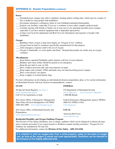# APPENDIX 6: Disaster Preparedness (continued)

#### **Power**

- Extended power outages may affect ventilators, heating and/or cooling units, which may be a matter of life or death for some people with disabilities.
- \_\_\_\_Investigate emergency contingency plans in your building/community/municipality.
- \_\_\_\_Explore care facilities, especially if you use a ventilator or have other complex medical needs.
- \_\_\_\_Consider staying with friends or family out of your area if you anticipate possible power outages, especially if you have medical equipment that is dependent upon power.
- \_\_\_\_Contact your local fire department and Red Cross for information and registries of people with disabilities.

#### **Oxygen**

- \_\_\_\_Buildings where oxygen is kept must display an "Oxygen in Use" emblem.
- \_\_\_\_Oxygen must be kept in containers specifically manufactured for that purpose.
- Alert emergency response staff to the use of oxygen.
- \_\_\_\_Oxygen is flammable, so avoid sparks and flame. Demand that people not smoke near an oxygen container.

#### **Miscellaneous**

- Keep battery-operated flashlights and/or lanterns with lots of extra batteries.
- \_\_\_\_Blankets and warm clothes should be packed in an emergency.
- \_\_\_\_Keep the gas tank in your car full.
- \_\_\_\_Have a battery-powered radio and extra batteries on hand.
- \_\_\_\_Keep ample cash on-hand. ATMs and banks may not function during power outages.
- Have a non-electric can opener.
- \_\_\_\_Keep a supply of assorted plastic bags.

For more information on developing an individualized disaster preparedness plan, or for current information on Homeland Security Advisory System recommendations, contact:

## **STATE**

#### **FEDERAL**

NJ Special Needs Registry (See Page 3) www.registerready.nj.gov Call 211 for registration or help New Jersey Office of Emergency Management State Police Division Headquarters (NJ OEM) (609) 882-2000 www.registerready.nj.gov US Department of Homeland Security www.ready.gov www.Listo.gov (Spanish) 1-800-BE-Ready Federal Emergency Management Agency (FEMA) (800) 621-FEMA (3362) www.fema.gov **LOCAL**

New Jersey Office of Homeland Security and Preparedness www.njhomelandsecurity.gov

American Red Cross www.redcross.org

## **Residential Disability and Oxygen Emblems Program**

The Division of Fire Safety distributes, free of charge, emblems which can be displayed to inform all emergency response personnel of an oxygen hazard or disabled occupant needing assistance. "Oxygen In Use" emblems are mandated by NJ state law.

For additional information, contact the **Division of Fire Safety**: **(609) 633-6106**

**It is unlawful to evict an oxygen-user from a rental property, solely on the basis of oxygen use, as long as the oxygen is stored and used appropriately. Questions can be directed to the Division of Fire Safety (609) 633-6106.**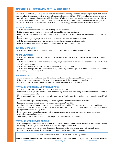# APPENDIX 7: TRAVELING WITH A DISABILITY

Air Carrier Access Rules (See page 35) lift many restrictions that formerly discriminated against passengers with disabilities, and all carriers are now required to have a Complaints Resolution Officer (CRO) immediately available to resolve disputes between carriers and passengers with disabilities. While airlines may not require passengers with disabilities to provide advance notice of their disability or intent to travel (except in some very specific circumstances), doing so may in some cases help to avoid inconvenience. The following is a list of suggestions for air travelers with disabilities:

#### **PHYSICAL DISABILITY**

- Ask the screener for assistance with your mobility aid and carry items.
- Let the screener know your level of ability and your need for physical assistance.
- Inform the screener about any special equipment or devices that you are using and where this equipment is located on your body.
- Ensure that all bags hanging from, or carried on, your wheelchair are put on the X-ray belt.
- Ask the screener to reunite you with your carry items and assistive devices after screening.
- Request assistance with removing your shoes when additional screening is necessary.

## **HEARING DISABILITY**

• Ask the screener to write the information down or to look directly at you and repeat the information.

#### **VISUAL DISABILITY**

- Ask the screener to explain the security process to you step by step and to let you know where the metal detector is located.
- Ask the screener to let you know when you will be going through the metal detector and when there are obstacles that you will need to avoid.
- Ask the screener to find someone to escort you through the security process.
- Ask the screener to perform a hand inspection of equipment to prevent damage and to direct you toward your gate once the screening has been completed.

#### **HIDDEN DISABILITY**

- Advise screeners that you have a disability and may need some assistance, or need to move slower.
- Offer suggestions to screeners on the best way to approach you during a pat-down inspection.
- Notify the screener if you need to sit down before and/or during the screening process.

## **TRAVELING WITH MEDICAL SUPPLIES/DEVICES**

- Notify the screener that you are carrying medical supplies with you.
- Medications must be properly marked with a professionally printed label identifying the medication or manufacturer's name or pharmaceutical label.
- Notify screeners if you are using any surgically implanted medical device (i.e., insulin pumps, prosthetics, or artificial joints).
- Advise screeners if you are experiencing low blood sugar and are in need of medical assistance.
- Pacemaker users may wish to carry a Pacemaker Identification Card (ID).
- Crutches, canes and walkers will need to go through the X-ray machine. The screener will perform a hand inspection of your equipment if it cannot fit through the X-ray machine. You can ask for a private screening for the inspection of your prosthetic device or body brace.
- Notify screeners if you need assistance, such as a chair or someone to assist you during the inspection of your prosthetic devices or body braces.
- Tools and appliances used to put on or take off prosthetic devices must be screened.

## **TRAVELING WITH SERVICE ANIMALS**

- Carry appropriate identification. Identification may include: cards or documentation, presence of a harness or markings on the tags. Service dogs and their harnesses or vests are subject to inspection.
- Advise the screener how you and your dog can go through the metal detector as a team with the leash and/or harness. If necessary, remind the screener that you should not be separated from your dog.

For more information on traveling by air with a disability, contact:

|             | Federal Aviation Administration Transportation Security Administration | <b>Department of Homeland Security</b> |
|-------------|------------------------------------------------------------------------|----------------------------------------|
| www.faa.gov | www.tsa.gov                                                            | www.dhs.gov                            |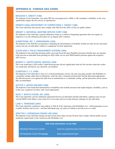#### **BRAGDON V. ABBOTT (1998)**

The Supreme Court found that, even when HIV has not progressed to AIDS, it still constitutes a disability, as the virus significantly impairs the life activity of reproduction.

#### **PENNSYLVANIA DEPARTMENT OF CORRECTIONS V. YESKEY (1998)**

The Court ruled that state prisons must comply with Title II of the ADA, as they are public entities.

#### **WRIGHT V. UNIVERSAL MARITIME SERVICE CORP (1998)**

The Supreme Court ruled that a general arbitration clause in a collective bargaining agreement does not require an employee to use the arbitration procedure for an alleged ADA violation.

#### **ALBERTSONS, INC. V. KIRKINGBURG (1999)**

The Supreme Court held that circumstances mitigating the determination of disability include not only devices and medications, but also an individual's ability to compensate for their impairment.

#### **CLEVELAND V. POLICY MANAGEMENT SYSTEMS (1999)**

The Supreme Court ruled that pursuing and/or receiving Social Security Disability Insurance benefits does not automatically prevent an individual from pursuing an ADA claim, nor do such SSDI benefits presume against the recipient's ADA success.

#### **MURPHY V. UNITED PARCEL SERVICE (1999)**

The Court found that a UPS worker's high blood pressure did not significantly limit his life activities when the worker was medicated, and that he was, therefore, not disabled.

#### **OLMSTEAD V. L.C. (1999)**

The Supreme Court ruled that to stop or to avoid discriminatory activity, the state may place people with disabilities in community settings rather than in institutions, when the state's treatment professionals find the placement appropriate, the affected person is not against the shift from an institutional to a community setting, and the placement can be reasonably accommodated.

#### **SUTTON V. UNITED AIRLINES (1999)**

The Supreme Court found that determination of disability must include measures that might mitigate a disability, such as, in this case, eyeglasses for those with visual impairments.

#### **EEOC V. WAFFLE HOUSE, INC. (2002)**

The Court ruled that a private arbitration agreement between an individual and that individual's employer does not prevent the EEOC from filing a court action in its own name and recovering monetary damages for the individual.

#### **LANE V. TENNESSEE (2004)**

The Court ruled that courthouses must adhere to Title II of the Americans with Disabilities Act - which guarantees access to public facilities and services - and that individuals may sue states for failing to provide access to courts.

#### **SPECTOR V. NORWEGIAN CRUISE LINE (2004)**

The Supreme Court ruled that foreign run and owned cruise ships serving US ports must comply with the public accommodations requirements of the American with Disabilities Act.

| ADA Case Information on the Web |                                                |  |
|---------------------------------|------------------------------------------------|--|
| <b>Olmstead Resource Center</b> | www.ilru.org/resources-olmstead-implementation |  |
| US Supreme Court Homepage       | www.supremecourt.gov                           |  |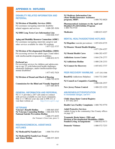# APPENDIX 9: HOTLINES

## **DISABILITY RELATED INFORMATION AND REFERRAL**

#### **NJ Division of Disability Services (DDS)**

For assistance navigating statewide disability related supports and services 1-888-285-3036

**NJ DHS Long Term Care Information Line** 1-844-646-5347

## **Aging and Disability Resource Connection (ADRC)**

For assistance navigating statewide caregiver and other services available for older NJ residents 1-877-222-3737

## **NJ Division of Developmental Disabilities (DDD)**

For accessing services for adults (ages 21and older) with intellectual/developmental disabilities 1-800-832-9173

#### **PerformCare**

For accessing services for children and adolescents (up to age  $21$ ) with behavioral health challenges, emotional challenges, and/or intellectual/developmental disabilities

1-877-652-7624

**NJ Division of Deand and Hard of Hearing** 1-800-792-8339

**Commission for the Blind and Visually Impaired** 1-877-685-8878

### **GENERAL INFORMATION AND REFERRAL**

NJ 2-1-1 provides a 24/7 call center to connect with services available in your local community. Dial 2-1-1 OR text your zip code to 898-211 or visit their website at:  $\frac{http://www.ni211}{http://www.ni211}$ .  $http://www.nj211.org/$ 

#### **VETERANS**

**Veteran's Benefit Hotline** 1-888-865-8387 **NJ Veterans Counseling Hotline** 1-866-838-7674 **National Suicide Prevention Hotline** 1-800-273-8255 (for Veteran's Crisis Line, press 1)

## **INSURANCE/MEDICAL ASSISTANCE HOTLINES**

**NJ Medicaid/NJ FamilyCare** 1-800-701-0710

**NJ Medicaid/NJ FamilyCare Fraud**  and Abuse Hotline

**NJ Medicare Information Line (State Health Insurance Assistance**  program, SHIP)

**Pharmaceutical Assistance to the Aged and Disabled (PAAD)/Lifeline Program** 1-800-792-9745

| Medicaire | 1-800-633-4227 |
|-----------|----------------|
|           |                |

## **MENTAL HEALTH/ADDICTIONS HOTLINES**

- **NJ Hopeline** (suicide prevention) 1-855-654-6735
- **NJ Disaster Mental Health Helpline**

| <b>NJ Mental Health Cares</b>   | 1-866-202-4357 |
|---------------------------------|----------------|
| <b>Addictions Access Center</b> | 1-844-276-2777 |
| <b>NJ Addictions Hotline</b>    | 1-800-238-2333 |
| <b>NJ Connect for Recovery</b>  | 1-855-652-3737 |

PEER RECOVERY WARMLINE 1-877-292-5588

**ReachNJ** (Addictions Helpline) 1-844-732-2465

**NJ Council on Compulsive Gambling**

1-800-426-2537

1-877-294-4357

**New Jersey Poison Control** 1-800-222-1222

#### **ABUSE/NEGLECT/EXPOITATION In immediate danger, call 911**

**Child Abuse-State Central Registry** 1- 877-652-2873

**Health Care Facility Complaints** 1-800-792-9770

**Adult Protective Services**  (adults living in the community) See County offices on page 19

**Traumatic Brain Injury (TBI) and Division of Developmental Disabilities (DDD) Funded Living Arrangements** 

| 1-800-572-7233 |
|----------------|
|                |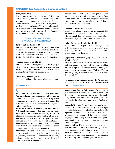## APPENDIX 10: Accessible Communication

#### **New Jersey Relay**

A free service administered by the NJ Board of Public Utilities (BPU) in collaboration with Sprint, to ensure equal communication access to telephone service for people who are deaf, deaf-blind, hard-ofhearing, or speech disabled. The service allows callers to communicate with standard (voice) telephone users through specially trained Relay Operators (OPR). Dial 711 to use NJ Relay.

## **COMMUNICATION OPTIONS AVAILABLE THROUGH NJ RELAY**

### **Text Telephone Relay (TTY)**

Allows individuals using a TTY to type their conversation to the OPR, who then reads the typed conversation to a standard telephone user. TTY equipment is also available with braille or large visual displays for individuals who are visually impaired.

## **Hearing Carry-Over (HCO)**

Allows a speech disabled person with hearing capabilities to listen to a standard telephone user and type his/her conversation to the OPR, who will voice the message to the standard telephone user.

#### **Video Relay Service (VRS)**

Enables individuals who use sign language to com-

## GLOSSARY

# A

**Accessible**: Usable to an individual with a disability **Accommodation**: An adjustment, alteration, or addition to an environment, a situation, or a piece of equipment, which enables a person with a disability to utilize it in a manner equivalent to that of a person without a disability

**Acquired Immune Deficiency Syndrome (AIDS):** A defect of the immune system caused by the bloodborne HIV virus, causing vulnerability to various infections, malignancies, and neurological diseases **Addiction**: Genetically and/or psychosocially impaired ability to control the use of a substance, preoccupation with the substance, distorted perceptions about the substance, and continued use of the substance despite adverse consequences

**Alzheimer's Disease**: Brain disease of unknown cause in which nerve cells in the brain die, causing progressive, irreversible deterioration of memory and other intellectual functions, language skills, and ability to perform routine tasks

municate via a certified Video Interpreter via the internet, using any device equipped with a front facing camera or webcam. The interpreter voices the signed conversation over the phone – in real time – to the standard telephone users.

#### **Internet Protocol Relay (IP Relay)**

Enables individuals to use any device connected to the internet to type their conversation to an OPR who then reads the conversation to a standard telephone user. Spanish translation is also available.

#### **Relay Conference Captioning (RCC)**

Enables individuals to participate in meetings, phone calls, videoconferences and multi-party conference calls using live, real-time text streamed to a computer connected to the Internet.

## **Captioned Telephones (CapTel), Web CapTel, Wireless CapTel**

Allows users to listen, speak directly to the caller, and read captions of the caller's response either through a captioned telephone device (CapTel), via a computer with internet access (Web CapTel), or wirelessly using a mobile device. Spanish translation is available.

For additional information, contact the NJ Division of the Deaf and Hard of Hearing at 609-588-2648 or visit www.njrelay.com.

**Amyotrophic Lateral Sclerosis (ALS)**: A progressive, degenerative disease of the motor neurons of the central nervous system, causing muscular weakness, atrophy, and spasticity. Ten percent of cases are genetic, the other ninety percent are of unknown origin

**Anorexia Nervosa**: Eating disorder primarily characterized by an excessive, voluntary loss of weight and refusal to maintain minimal normal body weight **Aphasia:** A communication disorder that results from damage to the parts of the brain that contain language. Aphasia may causes difficulties in speaking, listening, reading, and writing, but does not affect intelligence.

**Area of Refuge**: Designated safe place for a person with a disability to await assistance during an emergency evacuation of a building or vessel

**Arthritis**: Disease of the joints and connective tissues, which can have numerous causes, creating pain, swelling, and limited range of movement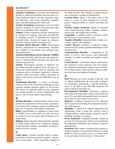### GLOSSARY

**Asperger's Syndrome:** A pervasive developmental disorder in which the individual often has above-average intellectual ability, but may experience ongoing difficulties with social interaction, empathy, logic, and understanding non-verbal cues.

**Assistive Technology:** Equipment or services which increase, maintain, or improve the functional capability of an individual with a disability

**Asthma:** Chronic respiratory disorder characterized by episodes of coughing, wheezing, and difficulty in breathing because of inflamed and obstructed bronchial tubes. Among the triggers are allergies, chemical irritation, and/or emotional stress

**Attention Deficit Disorder (ADD):** Neurological disorder characterized by distractibility, forgetfulness, inability to concentrate, poor attention span, and impulsiveness

**Attention Deficit/Hyperactivity Disorder (ADHD):** Neurological disorder which has the same characteristics as Attention Deficit Disorder, but which also includes hyperactivity

**Autism:** Neurological disorder of unknown origin which generally manifests before the age of 3. Social and communication skills are impaired, and symptoms such as self-injury, aggression, voluntary repetitive body movements, intense attachment to objects, and sensory processing difficulties may be present

**Autoimmune Disorder:** A variety of disorders which are the result of the body producing an inappropriate immune response against its own tissues. The causes are generally unknown, but symptoms can include episodic or chronic inflammation and pain, as well as tissue and/or organ damage

# B

**Bi-Polar Disorder:** A mental disorder which is characterized by alternations between manic and depressive moods with consequent changes in thinking and behavior. Commonly called Manic-Depression

**Blind:** Legal blindness is regarded as visual acuity of 20/200 or less in the better eye with correction, or a field of vision no greater than 20 degrees at its widest point

**Bulimia:** Eating disorder characterized by episodes of binge eating, followed by compulsive purging, usually through vomiting, consumption of laxatives, and/or excessive exercise

## C

**Celiac Sprue:** A genetic disorder which is characterized by an extreme sensitivity to gluten – the protein in some grains – which can produce damage to the small intestine. This damage can impair absorption of nutrients, resulting in malnutrition.

**Cerebral Palsy:** Injury to the motor areas of the brain, at or prior to birth, resulting in a non-progressive impaired ability to control movement and posture

**Chronic Fatigue Syndrome:** Illness of uncertain cause characterized by fatigue, weakness, malaise, muscle pain, and lymph node swelling

**Congenital:** A condition which is present at birth, but which has a non-hereditary cause

**Cognitive Disability:** Impaired ability to think, concentrate, reason, and remember

**Crohn's Disease:** Condition of unknown origins, characterized by chronic painful inflammation of the intestinal tract

**Communication Disorder:** is impairment in the ability to receive, send, process, and comprehend concepts or verbal, nonverbal and graphic symbol systems

**Cystic Fibrosis:** A hereditary disease which affects the respiratory system, pancreas, and sweat glands. It is characterized primarily by the excessive production of thick mucus, which results in chronic respiratory infections and impaired breathing

# D

**Deaf:** Hearing loss severe enough to prevent, with or without amplification, the processing of linguistic information. Specifically, a hearing deficiency above 25 db ISO in the 500-2000 frequency Hz range unaided in the better ear

**Developmental Disability:** Permanent cognitive and/or physical impairment, which occurs before the age of 22, and which substantially limits the individual in three or more major life activities

**Diabetes:** Condition characterized by abnormal blood sugar levels resulting from impaired functioning of the pancreas

**Disability:** A physical or mental impairment that substantially limits a major life activity, such as walking, talking, seeing, hearing, caring for oneself, breathing, learning, or working

**Down Syndrome:** Congenital disorder caused by an extra 21st chromosome, which causes intellectual developmental disabilities and distinctive physical characteristics

**Dwarfism:** Short stature, resulting from a genetic or medical condition. It is generally defined as an adult height of 4 feet ten inches or less. A common term for an individual with dwarfism is "little person"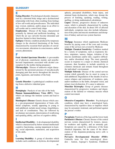# E

**Eating Disorder:** Psychological disorder characterized by a distorted body image and a dysfunctional relationship with food, often resulting from feelings of low self-worth and powerlessness. The individual may overeat, undereat, and/or purge in an effort to self-soothe and to control body shape

**Emphysema:** Disease of the lungs, characterized primarily by labored and inefficient breathing, in which the air sacs (alveoli) become distended and therefore limited in their functioning

**Epilepsy:** Chronic condition produced by temporary changes in the electrical functioning of the brain, characterized by recurrent brief episodes of convulsive movements, alterations in consciousness, and/or sensory phenomena

## F

**Fetal Alcohol Spectrum Disorder:** A preventable set of physical, craniofacial, mental, and neurobehavioral impairments associated with alcohol consumption by the mother during pregnancy **Fibromyalgia:** Disease of unknown origin charac-

terized by the persistent presence of non-physically damaging pain that moves throughout the muscles, joints, ligaments, and tendons of the body

# G

**Genetic Disorder:** A pathological condition resulting from a defective inherited gene

# H

**Hemiplegia:** Paralysis of one side of the body **Human Immunodeficiency Virus (HIV)**: Virus which can damage the immune system and lead to AIDS

**Huntington's Disease:** Genetic disease which causes a pre-programmed degeneration of brain cells. Initial symptoms, usually appearing in young to mid-adulthood, include mood swings, forgetfulness, and lack of coordination. They are followed by involuntary movements, deterioration of swallowing and speaking ability, and loss of cognitive ability

## I

**Intellectual Disability:** A developmental disability which is characterized by below-normal intellectual/ cognitive functioning, causing impairment in learning, social adjustment, maturation, and acquisition of life skills.

## L

**Learning Disability:** A group of disorders which includes such conditions as dyslexia, developmental

aphasia, perceptual disabilities, brain injury, and minimal brain dysfunction, which may disrupt the process of listening, speaking, reading, writing, spelling, or doing mathematical calculations

**Lupus:** Chronic, progressive disease of unknown cause, which is primarily characterized by scaling and ulceration of the skin. In about 10% of affected individuals, symptoms may also include inflammation of the joints and mucous membranes and disruption of kidney and nervous system function

# M

**Medigap:** Insurance which supplements Medicare benefits by paying some of the costs and covering some of the services not covered by Medicare

**Multiple Chemical Sensitivity:** Condition marked by a variety of symptoms, such as respiratory distress, migraines, nausea, fatigue, irritation of the mucous membranes and/or skin, cognitive difficulties, and/or disordered sleep. The onset generally occurs in response to a major or chronic chemical exposure, then broadens to include sensitivity to common chemicals and irritants found throughout the individual's environment

**Multiple Sclerosis**: Disease of the central nervous system which generally has its onset in young to mid-adulthood. Degradation of the sheaths of nerves causes relapses and remissions of weakness, pain, and/or numbness in the limbs, disrupted vision, and urinary tract dysfunction. It's cause is unknown

**Muscular Dystrophy:** Group of genetic diseases characterized by progressive weakness and degeneration of the skeletal or voluntary muscles which control movement

# O

**Obsessive-Compulsive Disorder:** Psychological condition, which may have a neurological basis, characterized by repetitive ideas or impulses which may be unwanted, irrational, and performed against the person's wishes

## P

**Paraplegia:** Paralysis of the legs and the lower trunk **Parkinson's Disease:** Chronic disease of the central nervous system characterized by tremors, muscular weakness and rigidity, and an unsteady gait. Symptoms are caused by a deficiency of the brain chemical dopamine, but the cause of the deterioration of the dopamine-producing nerve cells is unknown

**Pervasive Developmental Disorder (PDD):**  Umbrella term for five neurological disorders - Autism, Asperger's Syndrome, Childhood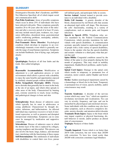## **GLOSSARY**

Disintegrative Disorder, Rett's Syndrome, and PDD-Not Otherwise Specified, all of which impair social and communication skills

**Post-Polio Syndrome:** Array of possible symptoms which occur in about 25% of individuals who have been infected with polio. These symptoms generally manifest 20 to 40 years after the onset of the infection and after a recovery period of at least 10 years, and may include muscle pain, weakness, tics, respiratory difficulties, disordered sleep, gastrointestinal and/or swallowing problems, neuropathy, arthritis, scoliosis, and osteoporosis

**Post-Traumatic Stress Disorder:** Psychological condition which develops in response to an overwhelmingly traumatic event which is generally outside the range of usual human experience. Symptoms can include flashbacks, fear of dying, rage, and panic attacks

# $\mathbf 0$

**Quadriplegia:** Paralysis of all four limbs and the trunk. Also called tetraplegia

## R

**Reasonable Accommodation:** Modification or adjustment to a job application process or work environment which allows a person with a disability to enjoy the same benefits and opportunities enjoyed by similarly situated people without disabilities

**Reflex Sympathetic Dystrophy (RSD):** Chronic nerve disorder that generally has its onset in the body at the site of an injury, and which often spreads to other areas of the body. Characterized by burning pain, extreme sensitivity to touch, tissue swelling, and pathological changes in bone and skin

## S

**Schizophrenia:** Brain disease of unknown cause which typically has its onset in adolescence or young adulthood. Characterized by thought disorders, delusions, and hallucinations. An affected individual may experience excessive or lack of emotional expression, as well as paranoia and disrupted interpersonal relationships. Symptoms can in some cases be managed by medication and supportive counseling

**Scleroderma**: Disease of unknown cause in which the dermis layer of the skin is replaced by collagen, causing toughness and discomfort. This process can also involve the heart, lungs, kidneys, and intestinal tract, interfering with the functioning of these organs **Self-Determination:** The entitlement of individuals with disabilities to control their own lives, pursue

self-defined goals, and participate fully in society **Service Animal**: Animal trained to provide assistance to an individual with a disability

**Sickle Cell Anemia:** A genetic disorder of the blood, characterized by red blood cells that assume an abnormal rigid sickle cell shape. This decreases the cells' functionality, resulting in a variety of complications, such as anemia, pain, and frequent infections

**Speech to Speech (STS):** Telephone relay service mandated by the Federal Communications Commission, which provides translation for individuals with speech disabilities. A communication assistant, specially trained to understand the speech of people with a wide variety of speech disabilities, listens to the speaker who has the speech disability and restates verbatim to a third party what that person has said

**Spina Bifida:** Congenital condition caused by the failure of the spine to close properly during the first month of pregnancy. This may result in mobility impairment, bladder/bowel problems, and/or hydrocephalis

**Spinal Cord Injury:** Damage to the spinal cord, which results in temporary or permanent loss of sensation, motor control, and/or bladder and bowel control

**Stroke:** Sudden neurological impairment caused by a hemorrhage or blood clot in the brain. Temporary or permanent loss of vision, speech, mobility, and/or consciousness may result

# T

**Tourette Syndrome:** A disorder of the nervous system which may cause "tics," which are repetitive involuntary movements and vocalizations. Tics can vary in severity, frequency, and type, and can be intensified by physiological and emotional stressors. Some individuals with this condition may also have other symptoms, such as obsessive compulsive disorder, anxiety disorder, and attention deficit disorder **Traumatic Brain Injury:** Injury to the brain which may impair cognitive or physical functioning, disturb behavior or moods, and/or produce an altered state of consciousness

**Triplegia:** Paralysis of three limbs

V

**Visually Impaired:** Vision which is no better than 20/70 with correction, but not worse than 20/200 with correction. To have less visual acuity than 20/200 with correction constitutes legal blindness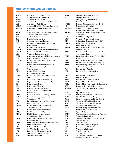#### **ABBREVIATIONS AND ACRONYMS**

| <b>ACLU</b>    | <b>American Civil Liberties Union</b>           | <b>MDA</b>    | <b>Muscular Dystrophy Association</b>     |
|----------------|-------------------------------------------------|---------------|-------------------------------------------|
| <b>ADA</b>     | Americans with Disabilities Act                 | <b>MS</b>     | Multiple Sclerosis                        |
| <b>ADD</b>     | <b>Attention Deficit Disorder</b>               | <b>MLTSS</b>  | Managed Long Term Services and            |
| <b>ADHD</b>    | <b>Attention Deficit Hyperactivity Disorder</b> |               | <b>Supports</b>                           |
| <b>ADL</b>     | <b>Activities of Daily Living</b>               | <b>NAMI</b>   | National Alliance for the Mentally Ill    |
| <b>ADRC</b>    | Aging and Disability Resource Connection        | NI            | Neurologically Impaired                   |
| <b>AHCPR</b>   | Agency for Health Care Policy and               | <b>NICHCY</b> | National Information Center for           |
|                | Research                                        |               | Children and Youth with Disabilities      |
| <b>AIDS</b>    | Acquired Immune Deficiency Syndrome             | <b>NJCFSA</b> | New Jersey Chronic Fatigue Syndrome       |
| <b>ALS</b>     | Amyotrophic Lateral Sclerosis                   |               | Association                               |
| <b>APS</b>     | <b>Adult Protective Services</b>                | <b>NOS</b>    | Not Otherwise Specified                   |
| <b>BSS</b>     | <b>Board of Social Services</b>                 | <b>OCD</b>    | Obsessive-Compulsive Disorder             |
| <b>CAP</b>     | <b>Consumer Assistance Program</b>              | <b>OIG</b>    | Office of the Inspector General (US)      |
| <b>CBVI</b>    | Commission for the Blind and Visually           | <b>OPRA</b>   | Open Public Records Act                   |
|                | Impaired (NJ)                                   | <b>OT</b>     | <b>Occupational Therapy</b>               |
| <b>CCW</b>     | <b>Community Care Waiver</b>                    | <b>PAAD</b>   | Pharmaceutical Assistance to the Aged     |
| <b>CDCP</b>    | Center for Disease Control and Prevention       |               | and Disabled (NJ)                         |
| <b>CHLP</b>    | <b>Community Health Law Project</b>             | <b>PAIMI</b>  | Protection and Advocacy for Individuals   |
| <b>CIL</b>     | Center for Independent Living                   |               | with Mental Illness                       |
| <b>CMS</b>     | Centers for Medicare and Medicaid Services      | <b>PAIR</b>   | Protection and Advocacy for Individual    |
| <b>CNA</b>     | <b>Certified Nursing Assistant</b>              |               | <b>Rights</b>                             |
| <b>COMHCO</b>  | <b>Coalition of Mental Health Consumers</b>     | <b>PAP</b>    | Pharmaceutical Assistance Program         |
|                | Organizations                                   | <b>PASP</b>   | Personal Assistance Services Program      |
| <b>COSAC</b>   | Center for Outreach and Services for            | <b>PASS</b>   | Social Security Administration Plan to    |
|                | the Autism Community, Inc.                      |               | <b>Achieve Self-Support</b>               |
| $\bf CP$       | Cerebral Palsy                                  | <b>PCA</b>    | Personal Care Attendant                   |
| <b>CWA</b>     | County Welfare Agency                           | <b>PDD</b>    | Pervasive Developmental Disorder          |
| <b>DD</b>      | <b>Developmental Disability</b>                 |               |                                           |
| <b>DDD</b>     | Division of Developmental Disabilities          | <b>PRO</b>    | Peer Review Organization                  |
|                | (NJ)                                            | <b>PT</b>     | Physical Therapy                          |
| <b>DDS</b>     | Division of Disability Services (NJ)            | <b>PTSD</b>   | Post-Traumatic Stress Disorder            |
| <b>DHS</b>     | Department of Human Services (NJ)               | <b>RHHI</b>   | <b>Regional Home Health Intermediary</b>  |
| D <sub>H</sub> | Department of Health                            | <b>REIC</b>   | Regional Early Intervention Collaborative |
| <b>DOJ</b>     | Department of Justice                           | <b>RSD</b>    | Reflexive Sympathetic Dystrophy           |
| <b>DRNJ</b>    | Disability Rights New Jersey                    | <b>SCAHS</b>  | Special Child and Adult Health Services   |
| <b>DVRS</b>    | Division of Vocational Rehabilitation           |               | (NJ)                                      |
|                | Services (NJ)                                   | <b>SCI</b>    | Spinal Cord Injury                        |
| <b>DYFS</b>    | Division of Youth and Family Services           | <b>SCORE</b>  | Service Core of Retired Executives        |
| <b>EEOC</b>    | <b>Equal Employment Opportunity</b>             | <b>SHIP</b>   | State Health Insurance Program            |
|                | Commission (US)                                 | <b>SILC</b>   | Statewide Independent Living Council      |
| <b>FCC</b>     | Federal Communications Commission               | <b>SNAP</b>   | Supplemental Nutritional Program          |
| ID             | <b>Intellectual Disability</b>                  | <b>SPAN</b>   | <b>Statewide Parents Advocacy Network</b> |
| <b>HIPAA</b>   | Health Insurance Portability and                | <b>SSA</b>    | Social Security Administration            |
|                | <b>Accountability Act</b>                       | <b>SSDI</b>   | Social Security Disability Income         |
| HIV            | Human Immunodeficiency Virus                    | <b>SSI</b>    | Supplemental Security Income              |
| <b>HMO</b>     | <b>Health Maintenance Organization</b>          | <b>STS</b>    | Speech To Speech                          |
| <b>HRFA</b>    | <b>Health Resources and Services</b>            | <b>TARP</b>   | Technology Assistive Resource Program     |
|                | Administration (US)                             | TBI           | Traumatic Brain Injury                    |
| <b>HUD</b>     | Department of Housing and Urban                 | <b>TDD</b>    | Telecommunications Device for the Deaf    |
|                | Development (US)                                | <b>TT</b>     | <b>Text Telephone</b>                     |
| <b>IDEA</b>    | Individuals with Disabilities Education Act     | <b>TTY</b>    | Teletypewriter                            |
| <b>IEP</b>     | <b>Individual Education Plan</b>                | <b>UAP</b>    | University Affiliated Program             |
| <b>IHP</b>     | <b>Individual Habilitation Plan</b>             | <b>UCPA</b>   | United Cerebral Palsy Association         |
| <b>JTPA</b>    | Job Training Partnership Act                    | <b>VA</b>     | Veterans' Administration                  |
| <b>LAD</b>     | Law Against Discrimination (NJ)                 | VI            | <b>Visually Impaired</b>                  |
| <b>MCO</b>     | Managed Care Organization                       | <b>VP</b>     | Video Phone                               |
| <b>MD</b>      | <b>Muscular Dystrophy</b>                       | <b>WIC</b>    | Supplemental Nutrition Program for        |
|                |                                                 |               | Women, Infants, and Children              |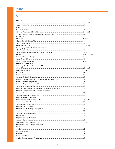## A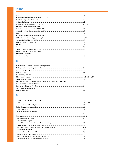# $\mathbf{B}$

# $\mathbf C$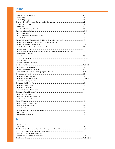| Chronic Fatigue and Immune Dysfunction Syndrome Association of America (Solve ME/CFS) 33 |  |
|------------------------------------------------------------------------------------------|--|
|                                                                                          |  |
|                                                                                          |  |
|                                                                                          |  |
|                                                                                          |  |
|                                                                                          |  |
|                                                                                          |  |
|                                                                                          |  |
|                                                                                          |  |
|                                                                                          |  |
|                                                                                          |  |
|                                                                                          |  |
|                                                                                          |  |
|                                                                                          |  |
|                                                                                          |  |
|                                                                                          |  |
|                                                                                          |  |
|                                                                                          |  |
|                                                                                          |  |
|                                                                                          |  |
|                                                                                          |  |
|                                                                                          |  |
|                                                                                          |  |
|                                                                                          |  |
|                                                                                          |  |
|                                                                                          |  |
|                                                                                          |  |
|                                                                                          |  |
|                                                                                          |  |

## D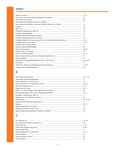## E

## F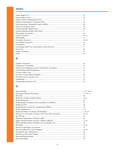## G

## Н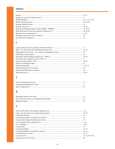#### I

# $\begin{array}{c} \rule{0pt}{2.5ex} \rule{0pt}{2.5ex} \rule{0pt}{2.5ex} \rule{0pt}{2.5ex} \rule{0pt}{2.5ex} \rule{0pt}{2.5ex} \rule{0pt}{2.5ex} \rule{0pt}{2.5ex} \rule{0pt}{2.5ex} \rule{0pt}{2.5ex} \rule{0pt}{2.5ex} \rule{0pt}{2.5ex} \rule{0pt}{2.5ex} \rule{0pt}{2.5ex} \rule{0pt}{2.5ex} \rule{0pt}{2.5ex} \rule{0pt}{2.5ex} \rule{0pt}{2.5ex} \rule{0pt}{2.5ex} \rule{0$

# K

## L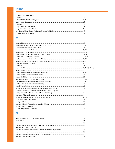## $\mathbf N$

## N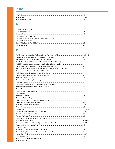## $\bullet$

#### P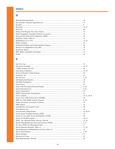## R

## S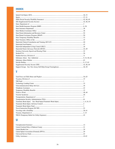## T

#### $\overline{\mathsf{U}}$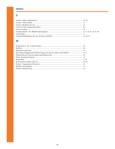#### V

#### W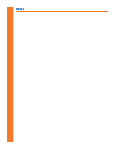## NOTES